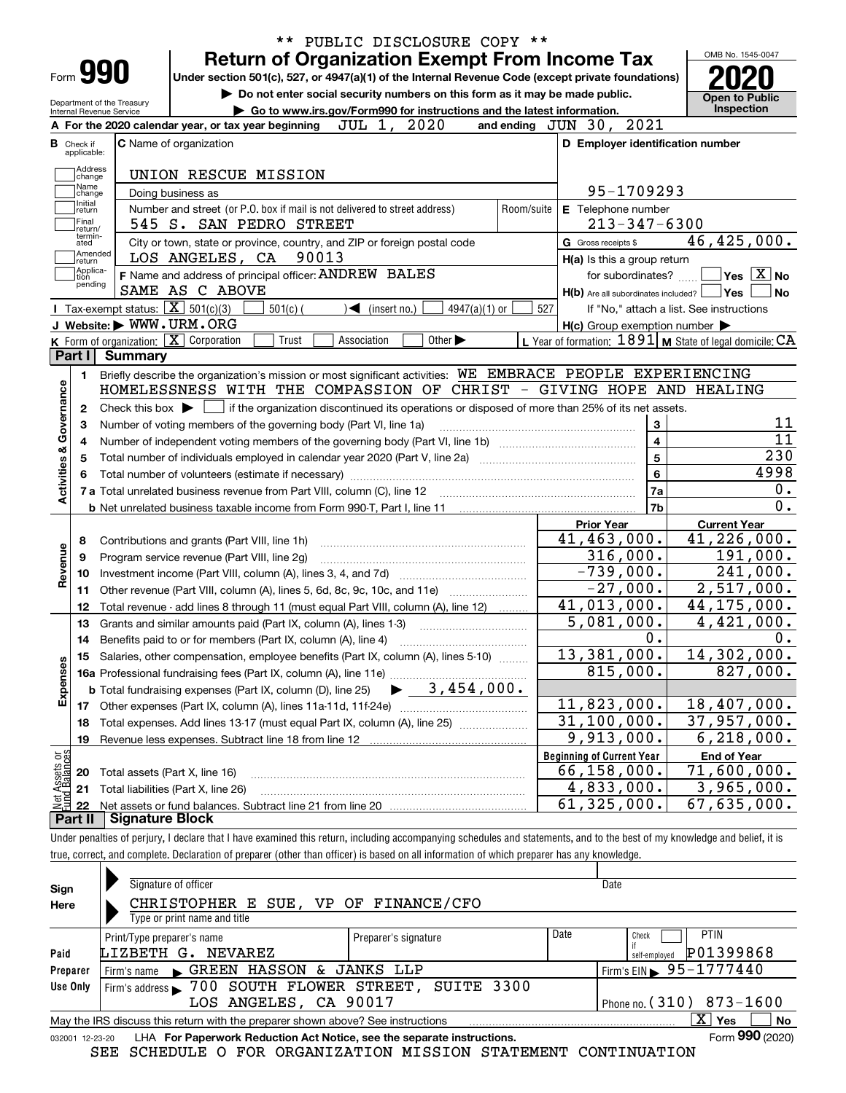| Form <b>990</b>                                      |                                                   |                                                                                                               | <b>Return of Organization Exempt From Income Tax</b>                                            |             |                              |                                  |                 |                      |                     |                                                     | OMB No. 1545-0047                                         |
|------------------------------------------------------|---------------------------------------------------|---------------------------------------------------------------------------------------------------------------|-------------------------------------------------------------------------------------------------|-------------|------------------------------|----------------------------------|-----------------|----------------------|---------------------|-----------------------------------------------------|-----------------------------------------------------------|
|                                                      |                                                   | Under section 501(c), 527, or 4947(a)(1) of the Internal Revenue Code (except private foundations)            | Do not enter social security numbers on this form as it may be made public.                     |             |                              |                                  |                 |                      |                     |                                                     |                                                           |
| <b>Internal Revenue Service</b>                      | Department of the Treasury                        |                                                                                                               | Go to www.irs.gov/Form990 for instructions and the latest information.                          |             |                              |                                  |                 |                      |                     |                                                     | <b>Open to Public</b><br><b>Inspection</b>                |
|                                                      |                                                   | A For the 2020 calendar year, or tax year beginning                                                           |                                                                                                 |             | JUL 1, 2020                  |                                  |                 | and ending $JUN$ 30, |                     | 2021                                                |                                                           |
| <b>B</b> Check if                                    |                                                   | <b>C</b> Name of organization                                                                                 |                                                                                                 |             |                              |                                  |                 |                      |                     | D Employer identification number                    |                                                           |
| applicable:                                          |                                                   |                                                                                                               |                                                                                                 |             |                              |                                  |                 |                      |                     |                                                     |                                                           |
| Address<br> change<br>Name                           |                                                   | UNION RESCUE MISSION                                                                                          |                                                                                                 |             |                              |                                  |                 |                      |                     |                                                     |                                                           |
| change<br>Initial                                    |                                                   | Doing business as                                                                                             |                                                                                                 |             |                              |                                  |                 |                      |                     | 95-1709293                                          |                                                           |
| return                                               |                                                   | Number and street (or P.O. box if mail is not delivered to street address)                                    |                                                                                                 |             |                              |                                  |                 | Room/suite           |                     | E Telephone number                                  |                                                           |
| Final<br>return/<br>termin-                          |                                                   | 545 S. SAN PEDRO STREET                                                                                       |                                                                                                 |             |                              |                                  |                 |                      |                     | $213 - 347 - 6300$                                  |                                                           |
| ated<br>Amended                                      |                                                   | City or town, state or province, country, and ZIP or foreign postal code                                      |                                                                                                 |             |                              |                                  |                 |                      | G Gross receipts \$ |                                                     | 46,425,000.                                               |
| return<br> Applica-                                  |                                                   | LOS ANGELES, CA                                                                                               | 90013                                                                                           |             |                              |                                  |                 |                      |                     | H(a) Is this a group return                         |                                                           |
| tion<br>pending                                      |                                                   | F Name and address of principal officer: ANDREW BALES<br>SAME AS C ABOVE                                      |                                                                                                 |             |                              |                                  |                 |                      |                     | for subordinates?                                   | $\sqrt{}$ Yes $\sqrt{}$ $\overline{\text{X}}$ No          |
|                                                      | Tax-exempt status: $\boxed{\mathbf{X}}$ 501(c)(3) |                                                                                                               |                                                                                                 |             |                              |                                  |                 | 527                  |                     | $H(b)$ Are all subordinates included? $\Box$ Yes    |                                                           |
|                                                      |                                                   | J Website: WWW.URM.ORG                                                                                        | $501(c)$ (                                                                                      |             | $\triangleleft$ (insert no.) |                                  | $4947(a)(1)$ or |                      |                     | $H(c)$ Group exemption number $\blacktriangleright$ | If "No," attach a list. See instructions                  |
|                                                      |                                                   | K Form of organization: X Corporation                                                                         | Trust                                                                                           | Association |                              | Other $\blacktriangleright$      |                 |                      |                     |                                                     | L Year of formation: $1891$ M State of legal domicile: CA |
| Part I                                               | Summary                                           |                                                                                                               |                                                                                                 |             |                              |                                  |                 |                      |                     |                                                     |                                                           |
| 1.                                                   |                                                   | Briefly describe the organization's mission or most significant activities: WE EMBRACE PEOPLE EXPERIENCING    |                                                                                                 |             |                              |                                  |                 |                      |                     |                                                     |                                                           |
|                                                      |                                                   | HOMELESSNESS WITH THE COMPASSION OF CHRIST - GIVING HOPE AND HEALING                                          |                                                                                                 |             |                              |                                  |                 |                      |                     |                                                     |                                                           |
| 2                                                    | Check this box $\blacktriangleright$              |                                                                                                               |                                                                                                 |             |                              |                                  |                 |                      |                     |                                                     |                                                           |
|                                                      |                                                   |                                                                                                               |                                                                                                 |             |                              |                                  |                 |                      |                     |                                                     |                                                           |
|                                                      |                                                   |                                                                                                               | if the organization discontinued its operations or disposed of more than 25% of its net assets. |             |                              |                                  |                 |                      |                     |                                                     |                                                           |
| З                                                    |                                                   | Number of voting members of the governing body (Part VI, line 1a)                                             |                                                                                                 |             |                              |                                  |                 |                      |                     | 3                                                   |                                                           |
| 4                                                    |                                                   |                                                                                                               |                                                                                                 |             |                              |                                  |                 |                      |                     | $\overline{\mathbf{4}}$                             |                                                           |
| 5                                                    |                                                   |                                                                                                               |                                                                                                 |             |                              |                                  |                 |                      |                     | 5                                                   |                                                           |
|                                                      |                                                   |                                                                                                               |                                                                                                 |             |                              |                                  |                 |                      |                     | 6<br>7a                                             | 4998                                                      |
|                                                      |                                                   |                                                                                                               |                                                                                                 |             |                              |                                  |                 |                      |                     | 7b                                                  |                                                           |
|                                                      |                                                   |                                                                                                               |                                                                                                 |             |                              |                                  |                 |                      | <b>Prior Year</b>   |                                                     | <b>Current Year</b>                                       |
| 8                                                    |                                                   | Contributions and grants (Part VIII, line 1h)                                                                 |                                                                                                 |             |                              |                                  |                 |                      |                     | $\overline{41}$ , 463, 000.                         | $\overline{41}$ , 226, 000.                               |
| 9                                                    |                                                   | Program service revenue (Part VIII, line 2g)                                                                  |                                                                                                 |             |                              |                                  |                 |                      |                     | 316,000.                                            | 191,000.                                                  |
| 10                                                   |                                                   |                                                                                                               |                                                                                                 |             |                              |                                  |                 |                      |                     | $-739,000.$                                         | $\overline{241}$ ,000.                                    |
| 11                                                   |                                                   | Other revenue (Part VIII, column (A), lines 5, 6d, 8c, 9c, 10c, and 11e)                                      |                                                                                                 |             |                              |                                  |                 |                      |                     | $-27,000.$                                          | $\overline{2,517,000}$ .                                  |
| 12                                                   |                                                   | Total revenue - add lines 8 through 11 (must equal Part VIII, column (A), line 12)                            |                                                                                                 |             |                              |                                  |                 |                      |                     | 41,013,000.                                         | $\overline{44}$ , 175, 000.                               |
| 13                                                   |                                                   | Grants and similar amounts paid (Part IX, column (A), lines 1-3)                                              |                                                                                                 |             |                              |                                  |                 |                      |                     | 5,081,000.                                          | 4,421,000.                                                |
| 14                                                   |                                                   |                                                                                                               |                                                                                                 |             |                              |                                  |                 |                      |                     | 0.                                                  |                                                           |
|                                                      |                                                   | 15 Salaries, other compensation, employee benefits (Part IX, column (A), lines 5-10)                          |                                                                                                 |             |                              |                                  |                 |                      |                     | 13,381,000.                                         | 14,302,000.                                               |
|                                                      |                                                   |                                                                                                               |                                                                                                 |             |                              |                                  |                 |                      |                     | 815,000.                                            | 827,000.                                                  |
|                                                      |                                                   | <b>b</b> Total fundraising expenses (Part IX, column (D), line 25)                                            |                                                                                                 |             |                              | $\blacktriangleright$ 3,454,000. |                 |                      |                     |                                                     |                                                           |
| 17                                                   |                                                   |                                                                                                               |                                                                                                 |             |                              |                                  |                 |                      |                     | 11,823,000.                                         | 18,407,000.                                               |
| Activities & Governance<br>Revenue<br>Expenses<br>18 |                                                   | Total expenses. Add lines 13-17 (must equal Part IX, column (A), line 25) [11, 120111111111111111111111111111 |                                                                                                 |             |                              |                                  |                 |                      |                     | 31, 100, 000.                                       | $\overline{37,957,000}$ .                                 |
| 19                                                   |                                                   | Revenue less expenses. Subtract line 18 from line 12                                                          |                                                                                                 |             |                              |                                  |                 |                      |                     | $\overline{9,913,000}$ .                            | $\overline{6}$ , 218, 000.                                |
|                                                      |                                                   |                                                                                                               |                                                                                                 |             |                              |                                  |                 |                      |                     | <b>Beginning of Current Year</b>                    | <b>End of Year</b>                                        |
| 20                                                   |                                                   | Total assets (Part X, line 16)                                                                                |                                                                                                 |             |                              |                                  |                 |                      |                     | $\overline{66}$ , 158, 000.                         | $\overline{71}$ , 600, 000.                               |
| t Assets or<br>d Balances<br>21<br>혏                 |                                                   | Total liabilities (Part X, line 26)                                                                           |                                                                                                 |             |                              |                                  |                 |                      |                     | 4,833,000.<br>61, 325, 000.                         | $\overline{3,965}$ ,000.<br>67,635,000.                   |

true, correct, and complete. Declaration of preparer (other than officer) is based on all information of which preparer has any knowledge.

| Sign     | Signature of officer                                                                                         |                      | Date                       |  |  |  |  |  |  |  |  |
|----------|--------------------------------------------------------------------------------------------------------------|----------------------|----------------------------|--|--|--|--|--|--|--|--|
| Here     | CHRISTOPHER E SUE, VP OF FINANCE/CFO                                                                         |                      |                            |  |  |  |  |  |  |  |  |
|          | Type or print name and title                                                                                 |                      |                            |  |  |  |  |  |  |  |  |
|          | Print/Type preparer's name                                                                                   | Preparer's signature | Date<br>PTIN<br>Check      |  |  |  |  |  |  |  |  |
| Paid     | LIZBETH G.<br>NEVAREZ                                                                                        |                      | P01399868<br>self-emploved |  |  |  |  |  |  |  |  |
| Preparer | Firm's name GREEN HASSON & JANKS LLP                                                                         |                      | Firm's EIN 95-1777440      |  |  |  |  |  |  |  |  |
| Use Only | Firm's address $\blacktriangleright$ 700 SOUTH FLOWER STREET,                                                | SUITE 3300           |                            |  |  |  |  |  |  |  |  |
|          | LOS ANGELES, CA 90017<br>Phone no. $(310)$ 873-1600                                                          |                      |                            |  |  |  |  |  |  |  |  |
|          | ΧI<br><b>No</b><br>Yes<br>May the IRS discuss this return with the preparer shown above? See instructions    |                      |                            |  |  |  |  |  |  |  |  |
|          | Form 990 (2020)<br>LHA For Paperwork Reduction Act Notice, see the separate instructions.<br>032001 12-23-20 |                      |                            |  |  |  |  |  |  |  |  |

SEE SCHEDULE O FOR ORGANIZATION MISSION STATEMENT CONTINUATION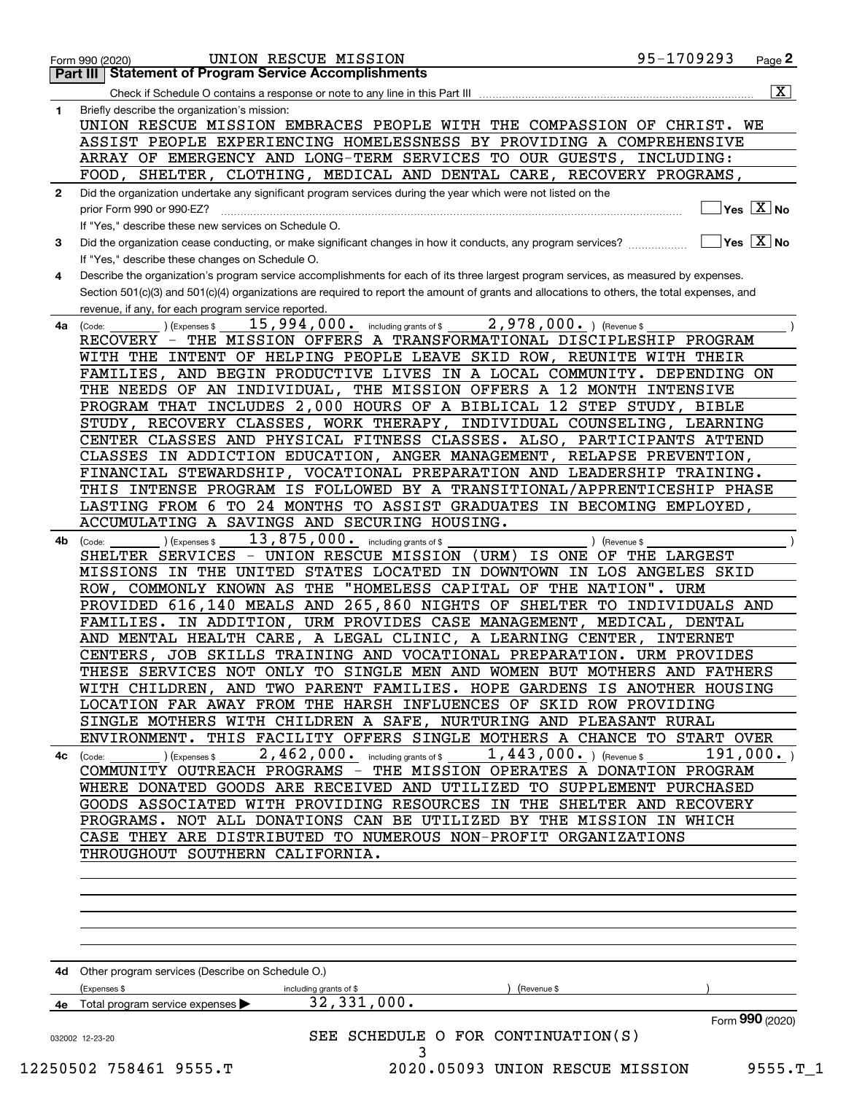|              | UNION RESCUE MISSION<br>Form 990 (2020)                                                                                                      | 95-1709293                               | Page $2$                    |
|--------------|----------------------------------------------------------------------------------------------------------------------------------------------|------------------------------------------|-----------------------------|
|              | <b>Part III   Statement of Program Service Accomplishments</b>                                                                               |                                          |                             |
|              | Check if Schedule O contains a response or note to any line in this Part III                                                                 |                                          | $\overline{\mathbf{x}}$     |
| 1.           | Briefly describe the organization's mission:                                                                                                 |                                          |                             |
|              | UNION RESCUE MISSION EMBRACES PEOPLE WITH THE COMPASSION OF CHRIST. WE                                                                       |                                          |                             |
|              | ASSIST PEOPLE EXPERIENCING HOMELESSNESS BY PROVIDING A COMPREHENSIVE                                                                         |                                          |                             |
|              | ARRAY OF EMERGENCY AND LONG-TERM SERVICES TO OUR GUESTS, INCLUDING:                                                                          |                                          |                             |
|              | FOOD, SHELTER, CLOTHING, MEDICAL AND DENTAL CARE, RECOVERY PROGRAMS,                                                                         |                                          |                             |
| $\mathbf{2}$ | Did the organization undertake any significant program services during the year which were not listed on the                                 |                                          |                             |
|              | prior Form 990 or 990-EZ?                                                                                                                    |                                          | $\sqrt{}$ Yes $\sqrt{X}$ No |
|              | If "Yes," describe these new services on Schedule O.                                                                                         |                                          |                             |
| 3            | Did the organization cease conducting, or make significant changes in how it conducts, any program services?                                 | $\blacksquare$ Yes $\boxed{\text{X}}$ No |                             |
|              | If "Yes," describe these changes on Schedule O.                                                                                              |                                          |                             |
| 4            | Describe the organization's program service accomplishments for each of its three largest program services, as measured by expenses.         |                                          |                             |
|              | Section 501(c)(3) and 501(c)(4) organizations are required to report the amount of grants and allocations to others, the total expenses, and |                                          |                             |
|              | revenue, if any, for each program service reported.                                                                                          |                                          |                             |
| 4a           | 2,978,000. ) (Revenue \$<br>15,994,000. including grants of \$<br>(Code:<br>) (Expenses \$                                                   |                                          |                             |
|              | RECOVERY - THE MISSION OFFERS A TRANSFORMATIONAL DISCIPLESHIP PROGRAM                                                                        |                                          |                             |
|              | WITH THE INTENT OF HELPING PEOPLE LEAVE SKID ROW, REUNITE WITH THEIR                                                                         |                                          |                             |
|              | FAMILIES, AND BEGIN PRODUCTIVE LIVES IN A LOCAL COMMUNITY. DEPENDING ON                                                                      |                                          |                             |
|              | THE NEEDS OF AN INDIVIDUAL, THE MISSION OFFERS A 12 MONTH INTENSIVE                                                                          |                                          |                             |
|              | PROGRAM THAT INCLUDES 2,000 HOURS OF A BIBLICAL 12 STEP STUDY, BIBLE                                                                         |                                          |                             |
|              | STUDY, RECOVERY CLASSES, WORK THERAPY, INDIVIDUAL COUNSELING, LEARNING                                                                       |                                          |                             |
|              | CENTER CLASSES AND PHYSICAL FITNESS CLASSES. ALSO, PARTICIPANTS ATTEND                                                                       |                                          |                             |
|              | CLASSES IN ADDICTION EDUCATION, ANGER MANAGEMENT, RELAPSE PREVENTION,                                                                        |                                          |                             |
|              | FINANCIAL STEWARDSHIP, VOCATIONAL PREPARATION AND LEADERSHIP TRAINING.                                                                       |                                          |                             |
|              |                                                                                                                                              |                                          |                             |
|              | THIS INTENSE PROGRAM IS FOLLOWED BY A TRANSITIONAL/APPRENTICESHIP PHASE                                                                      |                                          |                             |
|              | LASTING FROM 6 TO 24 MONTHS TO ASSIST GRADUATES IN BECOMING EMPLOYED,                                                                        |                                          |                             |
|              | ACCUMULATING A SAVINGS AND SECURING HOUSING.                                                                                                 |                                          |                             |
| 4b           | 13,875,000. including grants of \$<br>(Expenses \$<br>) (Revenue \$<br>(Code:                                                                |                                          |                             |
|              | SHELTER SERVICES - UNION RESCUE MISSION<br>(URM)<br>IS ONE OF THE LARGEST                                                                    |                                          |                             |
|              | MISSIONS IN THE UNITED STATES LOCATED IN DOWNTOWN IN LOS ANGELES SKID                                                                        |                                          |                             |
|              | ROW, COMMONLY KNOWN AS THE "HOMELESS CAPITAL OF THE NATION". URM                                                                             |                                          |                             |
|              | PROVIDED 616,140 MEALS AND 265,860 NIGHTS OF SHELTER TO INDIVIDUALS AND                                                                      |                                          |                             |
|              | FAMILIES. IN ADDITION, URM PROVIDES CASE MANAGEMENT, MEDICAL, DENTAL                                                                         |                                          |                             |
|              | AND MENTAL HEALTH CARE, A LEGAL CLINIC, A LEARNING CENTER, INTERNET                                                                          |                                          |                             |
|              | CENTERS, JOB SKILLS TRAINING AND VOCATIONAL PREPARATION. URM PROVIDES                                                                        |                                          |                             |
|              | THESE SERVICES NOT ONLY TO SINGLE MEN AND WOMEN BUT MOTHERS AND FATHERS                                                                      |                                          |                             |
|              | WITH CHILDREN, AND TWO PARENT FAMILIES. HOPE GARDENS IS ANOTHER HOUSING                                                                      |                                          |                             |
|              | LOCATION FAR AWAY FROM THE HARSH INFLUENCES OF SKID ROW PROVIDING                                                                            |                                          |                             |
|              | SINGLE MOTHERS WITH CHILDREN A SAFE, NURTURING AND PLEASANT RURAL                                                                            |                                          |                             |
|              | ENVIRONMENT. THIS FACILITY OFFERS SINGLE MOTHERS A CHANCE TO START OVER                                                                      |                                          |                             |
|              | 2,462,000. including grants of \$<br>$1,443,000.$ ) (Revenue \$<br>$\overline{4c}$ (Code: ) (Expenses \$                                     | 191,000.                                 |                             |
|              | COMMUNITY OUTREACH PROGRAMS - THE MISSION OPERATES A DONATION PROGRAM                                                                        |                                          |                             |
|              | WHERE DONATED GOODS ARE RECEIVED AND UTILIZED TO SUPPLEMENT PURCHASED                                                                        |                                          |                             |
|              | GOODS ASSOCIATED WITH PROVIDING RESOURCES IN THE SHELTER AND RECOVERY                                                                        |                                          |                             |
|              | PROGRAMS. NOT ALL DONATIONS CAN BE UTILIZED BY THE MISSION IN WHICH                                                                          |                                          |                             |
|              | CASE THEY ARE DISTRIBUTED TO NUMEROUS NON-PROFIT ORGANIZATIONS                                                                               |                                          |                             |
|              | THROUGHOUT SOUTHERN CALIFORNIA.                                                                                                              |                                          |                             |
|              |                                                                                                                                              |                                          |                             |
|              |                                                                                                                                              |                                          |                             |
|              |                                                                                                                                              |                                          |                             |
|              |                                                                                                                                              |                                          |                             |
|              |                                                                                                                                              |                                          |                             |
|              |                                                                                                                                              |                                          |                             |
|              | 4d Other program services (Describe on Schedule O.)                                                                                          |                                          |                             |
|              | (Expenses \$<br>Revenue \$<br>including grants of \$                                                                                         |                                          |                             |
|              | 32, 331, 000.<br>4e Total program service expenses                                                                                           |                                          |                             |
|              |                                                                                                                                              | Form 990 (2020)                          |                             |
|              |                                                                                                                                              |                                          |                             |
|              | SEE SCHEDULE O FOR CONTINUATION(S)<br>032002 12-23-20                                                                                        |                                          |                             |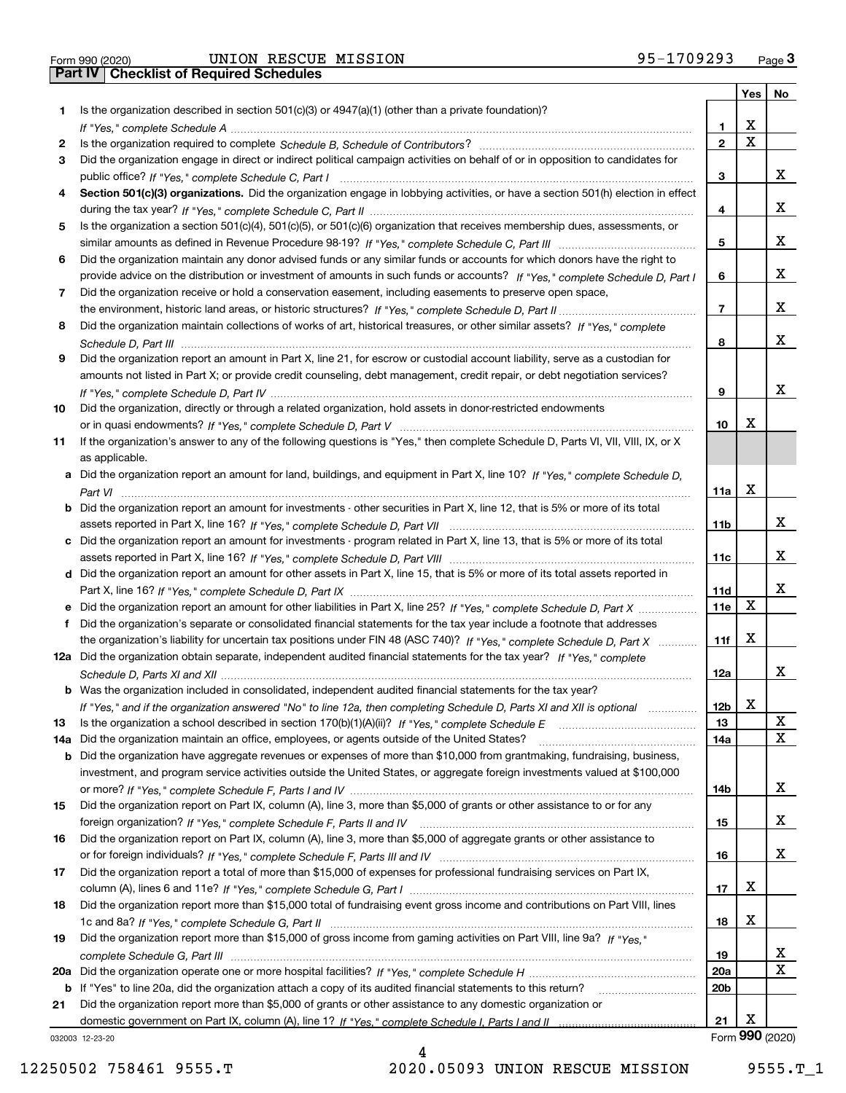Form 990 (2020) UNION RESCUE MISSION 95-1709293 <sub>Page</sub> 3<br>**Part IV** | Checklist of Required Schedules

|     |                                                                                                                                       |                 |   | Yes   No        |
|-----|---------------------------------------------------------------------------------------------------------------------------------------|-----------------|---|-----------------|
| 1.  | Is the organization described in section $501(c)(3)$ or $4947(a)(1)$ (other than a private foundation)?                               |                 |   |                 |
|     |                                                                                                                                       | 1.              | x |                 |
| 2   |                                                                                                                                       | $\overline{2}$  | X |                 |
| 3   | Did the organization engage in direct or indirect political campaign activities on behalf of or in opposition to candidates for       |                 |   |                 |
|     |                                                                                                                                       | 3               |   | x               |
| 4   | Section 501(c)(3) organizations. Did the organization engage in lobbying activities, or have a section 501(h) election in effect      |                 |   |                 |
|     |                                                                                                                                       | 4               |   | x               |
| 5   | Is the organization a section 501(c)(4), 501(c)(5), or 501(c)(6) organization that receives membership dues, assessments, or          |                 |   |                 |
|     |                                                                                                                                       | 5               |   | x               |
| 6   | Did the organization maintain any donor advised funds or any similar funds or accounts for which donors have the right to             |                 |   |                 |
|     | provide advice on the distribution or investment of amounts in such funds or accounts? If "Yes," complete Schedule D, Part I          | 6               |   | x               |
| 7   | Did the organization receive or hold a conservation easement, including easements to preserve open space,                             |                 |   |                 |
|     |                                                                                                                                       | $\overline{7}$  |   | x               |
| 8   | Did the organization maintain collections of works of art, historical treasures, or other similar assets? If "Yes," complete          |                 |   |                 |
|     |                                                                                                                                       | 8               |   | x               |
| 9   | Did the organization report an amount in Part X, line 21, for escrow or custodial account liability, serve as a custodian for         |                 |   |                 |
|     | amounts not listed in Part X; or provide credit counseling, debt management, credit repair, or debt negotiation services?             |                 |   |                 |
|     |                                                                                                                                       | 9               |   | x               |
| 10  | Did the organization, directly or through a related organization, hold assets in donor-restricted endowments                          |                 |   |                 |
|     |                                                                                                                                       | 10              | х |                 |
| 11  | If the organization's answer to any of the following questions is "Yes," then complete Schedule D, Parts VI, VII, VIII, IX, or X      |                 |   |                 |
|     | as applicable.                                                                                                                        |                 |   |                 |
|     | a Did the organization report an amount for land, buildings, and equipment in Part X, line 10? If "Yes," complete Schedule D.         |                 | x |                 |
|     |                                                                                                                                       | 11a             |   |                 |
|     | <b>b</b> Did the organization report an amount for investments - other securities in Part X, line 12, that is 5% or more of its total |                 |   | x               |
|     |                                                                                                                                       | 11 <sub>b</sub> |   |                 |
|     | c Did the organization report an amount for investments - program related in Part X, line 13, that is 5% or more of its total         | 11c             |   | x               |
|     | d Did the organization report an amount for other assets in Part X, line 15, that is 5% or more of its total assets reported in       |                 |   |                 |
|     |                                                                                                                                       | 11d             |   | х               |
|     |                                                                                                                                       | 11e             | X |                 |
| f   | Did the organization's separate or consolidated financial statements for the tax year include a footnote that addresses               |                 |   |                 |
|     | the organization's liability for uncertain tax positions under FIN 48 (ASC 740)? If "Yes," complete Schedule D, Part X                | 11f             | х |                 |
|     | 12a Did the organization obtain separate, independent audited financial statements for the tax year? If "Yes," complete               |                 |   |                 |
|     |                                                                                                                                       | 12a             |   | x               |
|     | b Was the organization included in consolidated, independent audited financial statements for the tax year?                           |                 |   |                 |
|     | If "Yes," and if the organization answered "No" to line 12a, then completing Schedule D, Parts XI and XII is optional                 | 12 <sub>b</sub> | X |                 |
| 13  | Is the organization a school described in section $170(b)(1)(A)(ii)?$ If "Yes," complete Schedule E                                   | 13              |   | X               |
| 14a | Did the organization maintain an office, employees, or agents outside of the United States?                                           | 14a             |   | X               |
|     | <b>b</b> Did the organization have aggregate revenues or expenses of more than \$10,000 from grantmaking, fundraising, business,      |                 |   |                 |
|     | investment, and program service activities outside the United States, or aggregate foreign investments valued at \$100,000            |                 |   |                 |
|     |                                                                                                                                       | 14b             |   | x               |
| 15  | Did the organization report on Part IX, column (A), line 3, more than \$5,000 of grants or other assistance to or for any             |                 |   |                 |
|     |                                                                                                                                       | 15              |   | x               |
| 16  | Did the organization report on Part IX, column (A), line 3, more than \$5,000 of aggregate grants or other assistance to              |                 |   |                 |
|     |                                                                                                                                       | 16              |   | x               |
| 17  | Did the organization report a total of more than \$15,000 of expenses for professional fundraising services on Part IX,               |                 |   |                 |
|     |                                                                                                                                       | 17              | x |                 |
| 18  | Did the organization report more than \$15,000 total of fundraising event gross income and contributions on Part VIII, lines          |                 |   |                 |
|     |                                                                                                                                       | 18              | x |                 |
| 19  | Did the organization report more than \$15,000 of gross income from gaming activities on Part VIII, line 9a? If "Yes."                |                 |   |                 |
|     |                                                                                                                                       | 19              |   | X               |
|     |                                                                                                                                       | 20a             |   | x               |
|     | b If "Yes" to line 20a, did the organization attach a copy of its audited financial statements to this return?                        | 20 <sub>b</sub> |   |                 |
| 21  | Did the organization report more than \$5,000 of grants or other assistance to any domestic organization or                           |                 |   |                 |
|     |                                                                                                                                       | 21              | х |                 |
|     | 032003 12-23-20                                                                                                                       |                 |   | Form 990 (2020) |

032003 12-23-20

4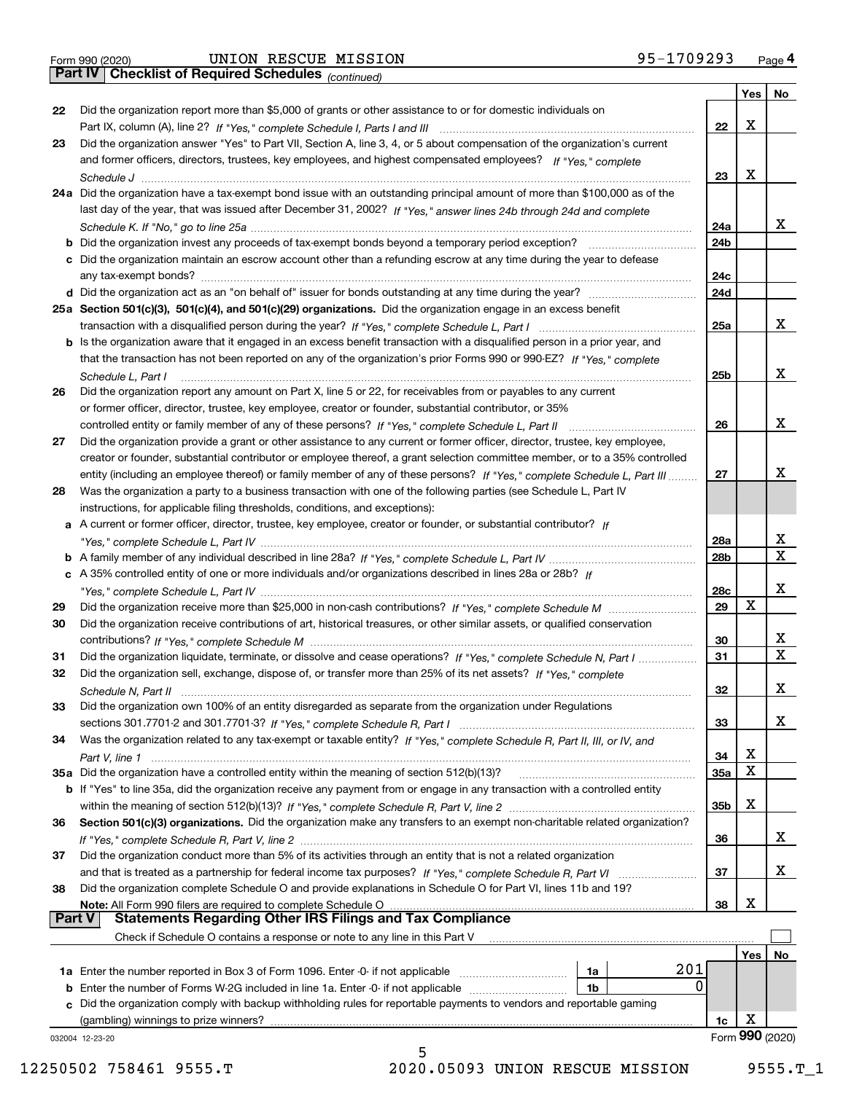|  | Form 990 (2020) |
|--|-----------------|
|  |                 |

Form 990 (2020) UNION RESCUE MISSION 95-1709293 <sub>Page</sub> 4<br>**Part IV | Checklist of Required Schedules** <sub>(continued)</sub>

*(continued)*

|               |                                                                                                                                                                                                                                            |                 | Yes | No              |
|---------------|--------------------------------------------------------------------------------------------------------------------------------------------------------------------------------------------------------------------------------------------|-----------------|-----|-----------------|
| 22            | Did the organization report more than \$5,000 of grants or other assistance to or for domestic individuals on                                                                                                                              |                 |     |                 |
|               |                                                                                                                                                                                                                                            | 22              | X   |                 |
| 23            | Did the organization answer "Yes" to Part VII, Section A, line 3, 4, or 5 about compensation of the organization's current                                                                                                                 |                 |     |                 |
|               | and former officers, directors, trustees, key employees, and highest compensated employees? If "Yes," complete                                                                                                                             |                 |     |                 |
|               |                                                                                                                                                                                                                                            | 23              | X   |                 |
|               | 24a Did the organization have a tax-exempt bond issue with an outstanding principal amount of more than \$100,000 as of the                                                                                                                |                 |     |                 |
|               | last day of the year, that was issued after December 31, 2002? If "Yes," answer lines 24b through 24d and complete                                                                                                                         |                 |     |                 |
|               |                                                                                                                                                                                                                                            | 24a             |     | X.              |
|               | <b>b</b> Did the organization invest any proceeds of tax-exempt bonds beyond a temporary period exception?                                                                                                                                 | 24b             |     |                 |
|               | c Did the organization maintain an escrow account other than a refunding escrow at any time during the year to defease                                                                                                                     |                 |     |                 |
|               |                                                                                                                                                                                                                                            | 24с             |     |                 |
|               | d Did the organization act as an "on behalf of" issuer for bonds outstanding at any time during the year?                                                                                                                                  | 24d             |     |                 |
|               | 25a Section 501(c)(3), 501(c)(4), and 501(c)(29) organizations. Did the organization engage in an excess benefit                                                                                                                           |                 |     |                 |
|               |                                                                                                                                                                                                                                            | 25a             |     | x               |
|               | b Is the organization aware that it engaged in an excess benefit transaction with a disqualified person in a prior year, and                                                                                                               |                 |     |                 |
|               | that the transaction has not been reported on any of the organization's prior Forms 990 or 990-EZ? If "Yes," complete                                                                                                                      |                 |     |                 |
|               | Schedule L. Part I                                                                                                                                                                                                                         | 25b             |     | x               |
| 26            | Did the organization report any amount on Part X, line 5 or 22, for receivables from or payables to any current                                                                                                                            |                 |     |                 |
|               | or former officer, director, trustee, key employee, creator or founder, substantial contributor, or 35%                                                                                                                                    |                 |     |                 |
|               |                                                                                                                                                                                                                                            | 26              |     | x               |
| 27            | Did the organization provide a grant or other assistance to any current or former officer, director, trustee, key employee,                                                                                                                |                 |     |                 |
|               | creator or founder, substantial contributor or employee thereof, a grant selection committee member, or to a 35% controlled                                                                                                                |                 |     |                 |
|               | entity (including an employee thereof) or family member of any of these persons? If "Yes," complete Schedule L, Part III                                                                                                                   | 27              |     | x               |
| 28            | Was the organization a party to a business transaction with one of the following parties (see Schedule L, Part IV                                                                                                                          |                 |     |                 |
|               | instructions, for applicable filing thresholds, conditions, and exceptions):                                                                                                                                                               |                 |     |                 |
|               | a A current or former officer, director, trustee, key employee, creator or founder, or substantial contributor? If                                                                                                                         |                 |     |                 |
|               |                                                                                                                                                                                                                                            | 28a             |     | x               |
|               |                                                                                                                                                                                                                                            | 28 <sub>b</sub> |     | X               |
|               | c A 35% controlled entity of one or more individuals and/or organizations described in lines 28a or 28b? If                                                                                                                                |                 |     |                 |
|               |                                                                                                                                                                                                                                            | 28c             |     | x               |
| 29            |                                                                                                                                                                                                                                            | 29              | X   |                 |
| 30            | Did the organization receive contributions of art, historical treasures, or other similar assets, or qualified conservation                                                                                                                |                 |     |                 |
|               |                                                                                                                                                                                                                                            | 30              |     | x               |
| 31            | Did the organization liquidate, terminate, or dissolve and cease operations? If "Yes," complete Schedule N, Part I                                                                                                                         | 31              |     | X               |
| 32            | Did the organization sell, exchange, dispose of, or transfer more than 25% of its net assets? If "Yes," complete                                                                                                                           |                 |     |                 |
|               |                                                                                                                                                                                                                                            | 32              |     | x               |
| 33            | Did the organization own 100% of an entity disregarded as separate from the organization under Regulations                                                                                                                                 |                 |     |                 |
|               |                                                                                                                                                                                                                                            | 33              |     | х               |
| 34            | Was the organization related to any tax-exempt or taxable entity? If "Yes," complete Schedule R, Part II, III, or IV, and                                                                                                                  |                 |     |                 |
|               |                                                                                                                                                                                                                                            | 34              | X   |                 |
|               | 35a Did the organization have a controlled entity within the meaning of section 512(b)(13)?                                                                                                                                                | 35a             | X   |                 |
|               | b If "Yes" to line 35a, did the organization receive any payment from or engage in any transaction with a controlled entity                                                                                                                |                 |     |                 |
|               |                                                                                                                                                                                                                                            | 35b             | X   |                 |
| 36            | Section 501(c)(3) organizations. Did the organization make any transfers to an exempt non-charitable related organization?                                                                                                                 |                 |     |                 |
|               |                                                                                                                                                                                                                                            | 36              |     | x               |
| 37            | Did the organization conduct more than 5% of its activities through an entity that is not a related organization                                                                                                                           |                 |     |                 |
|               |                                                                                                                                                                                                                                            | 37              |     | x               |
| 38            | and that is treated as a partnership for federal income tax purposes? If "Yes," complete Schedule R, Part VI<br>Did the organization complete Schedule O and provide explanations in Schedule O for Part VI, lines 11b and 19?             |                 |     |                 |
|               | Note: All Form 990 filers are required to complete Schedule O                                                                                                                                                                              | 38              | X   |                 |
| <b>Part V</b> | <b>Statements Regarding Other IRS Filings and Tax Compliance</b>                                                                                                                                                                           |                 |     |                 |
|               | Check if Schedule O contains a response or note to any line in this Part V                                                                                                                                                                 |                 |     |                 |
|               |                                                                                                                                                                                                                                            |                 |     |                 |
|               | 201<br>1a                                                                                                                                                                                                                                  |                 | Yes | No              |
|               | <b>1a</b> Enter the number reported in Box 3 of Form 1096. Enter -0- if not applicable <i>manumumumum</i><br>$\Omega$<br><b>b</b> Enter the number of Forms W-2G included in line 1a. Enter -0- if not applicable <i>manumumumum</i><br>1b |                 |     |                 |
|               | c Did the organization comply with backup withholding rules for reportable payments to vendors and reportable gaming                                                                                                                       |                 |     |                 |
|               | (gambling) winnings to prize winners?                                                                                                                                                                                                      | 1c              | х   |                 |
|               | 032004 12-23-20                                                                                                                                                                                                                            |                 |     | Form 990 (2020) |
|               | 5                                                                                                                                                                                                                                          |                 |     |                 |

12250502 758461 9555.T 2020.05093 UNION RESCUE MISSION 9555.T\_1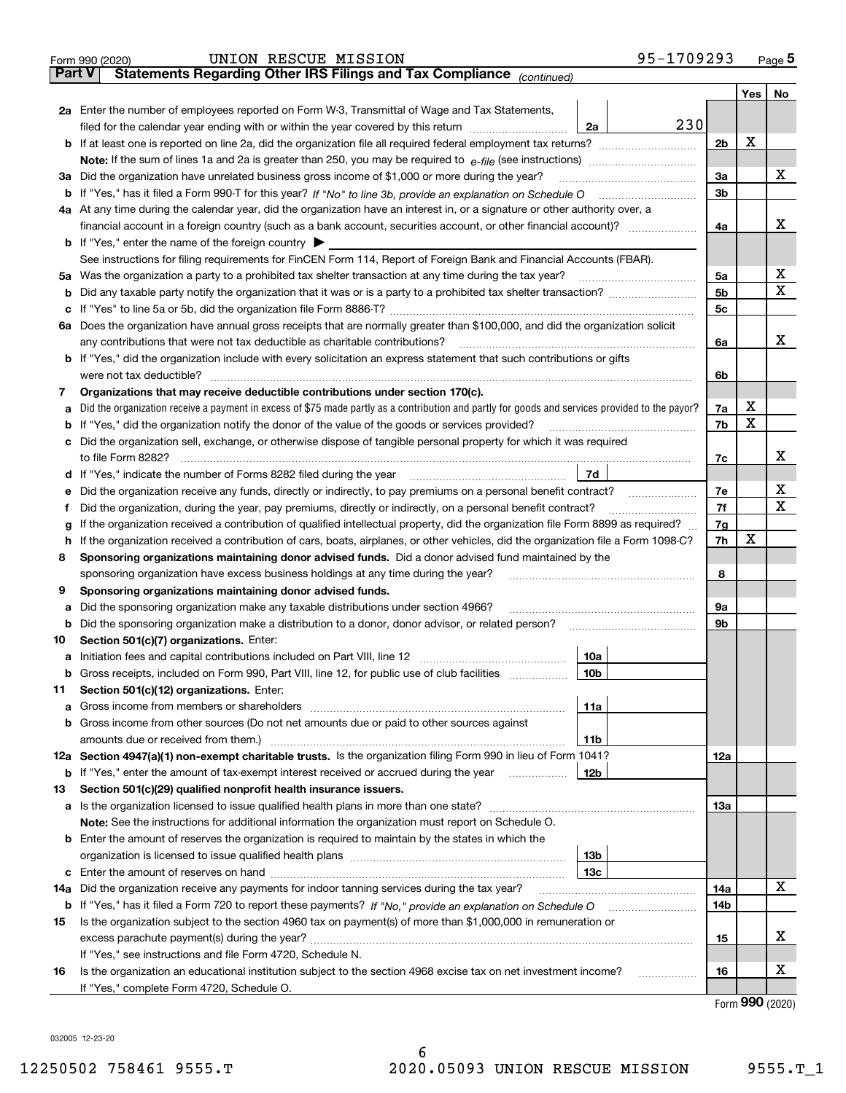|               | 95-1709293<br>UNION RESCUE MISSION<br>Form 990 (2020)                                                                                                                                                                                |     |     | <u>Page 5</u> |  |  |  |  |  |  |  |
|---------------|--------------------------------------------------------------------------------------------------------------------------------------------------------------------------------------------------------------------------------------|-----|-----|---------------|--|--|--|--|--|--|--|
| <b>Part V</b> | Statements Regarding Other IRS Filings and Tax Compliance (continued)                                                                                                                                                                |     |     |               |  |  |  |  |  |  |  |
|               |                                                                                                                                                                                                                                      |     | Yes | No            |  |  |  |  |  |  |  |
|               | 2a Enter the number of employees reported on Form W-3, Transmittal of Wage and Tax Statements,                                                                                                                                       |     |     |               |  |  |  |  |  |  |  |
|               | 230<br>filed for the calendar year ending with or within the year covered by this return <i>manumumumum</i><br>2a                                                                                                                    |     |     |               |  |  |  |  |  |  |  |
|               |                                                                                                                                                                                                                                      |     |     |               |  |  |  |  |  |  |  |
|               |                                                                                                                                                                                                                                      |     |     |               |  |  |  |  |  |  |  |
|               | 3a Did the organization have unrelated business gross income of \$1,000 or more during the year?                                                                                                                                     | 3a  |     | x             |  |  |  |  |  |  |  |
|               |                                                                                                                                                                                                                                      | 3b  |     |               |  |  |  |  |  |  |  |
|               | 4a At any time during the calendar year, did the organization have an interest in, or a signature or other authority over, a                                                                                                         |     |     |               |  |  |  |  |  |  |  |
|               | financial account in a foreign country (such as a bank account, securities account, or other financial account)?                                                                                                                     | 4a  |     | х             |  |  |  |  |  |  |  |
|               | <b>b</b> If "Yes," enter the name of the foreign country $\blacktriangleright$                                                                                                                                                       |     |     |               |  |  |  |  |  |  |  |
|               | See instructions for filing requirements for FinCEN Form 114, Report of Foreign Bank and Financial Accounts (FBAR).                                                                                                                  |     |     |               |  |  |  |  |  |  |  |
|               |                                                                                                                                                                                                                                      | 5a  |     | x             |  |  |  |  |  |  |  |
| b             |                                                                                                                                                                                                                                      | 5b  |     | x             |  |  |  |  |  |  |  |
|               |                                                                                                                                                                                                                                      | 5c  |     |               |  |  |  |  |  |  |  |
| с             |                                                                                                                                                                                                                                      |     |     |               |  |  |  |  |  |  |  |
|               | 6a Does the organization have annual gross receipts that are normally greater than \$100,000, and did the organization solicit                                                                                                       |     |     | х             |  |  |  |  |  |  |  |
|               |                                                                                                                                                                                                                                      | 6a  |     |               |  |  |  |  |  |  |  |
|               | <b>b</b> If "Yes," did the organization include with every solicitation an express statement that such contributions or gifts                                                                                                        |     |     |               |  |  |  |  |  |  |  |
|               |                                                                                                                                                                                                                                      | 6b  |     |               |  |  |  |  |  |  |  |
| 7             | Organizations that may receive deductible contributions under section 170(c).                                                                                                                                                        |     |     |               |  |  |  |  |  |  |  |
| а             | Did the organization receive a payment in excess of \$75 made partly as a contribution and partly for goods and services provided to the payor?                                                                                      | 7a  | х   |               |  |  |  |  |  |  |  |
|               | <b>b</b> If "Yes," did the organization notify the donor of the value of the goods or services provided?                                                                                                                             | 7b  | х   |               |  |  |  |  |  |  |  |
|               | c Did the organization sell, exchange, or otherwise dispose of tangible personal property for which it was required                                                                                                                  |     |     |               |  |  |  |  |  |  |  |
|               |                                                                                                                                                                                                                                      | 7с  |     | х             |  |  |  |  |  |  |  |
|               | 7d<br>d If "Yes," indicate the number of Forms 8282 filed during the year [11] [11] The Section of Holden and The Year [11] In The Year [11] In The Year [11] In The Year [11] In The Year [11] In The Year [11] In The Year [11] In |     |     |               |  |  |  |  |  |  |  |
| е             | Did the organization receive any funds, directly or indirectly, to pay premiums on a personal benefit contract?                                                                                                                      | 7e  |     | х             |  |  |  |  |  |  |  |
| f             | Did the organization, during the year, pay premiums, directly or indirectly, on a personal benefit contract?                                                                                                                         | 7f  |     | Х             |  |  |  |  |  |  |  |
| g             | If the organization received a contribution of qualified intellectual property, did the organization file Form 8899 as required?                                                                                                     | 7g  |     |               |  |  |  |  |  |  |  |
| h.            | If the organization received a contribution of cars, boats, airplanes, or other vehicles, did the organization file a Form 1098-C?                                                                                                   | 7h  | х   |               |  |  |  |  |  |  |  |
| 8             | Sponsoring organizations maintaining donor advised funds. Did a donor advised fund maintained by the                                                                                                                                 |     |     |               |  |  |  |  |  |  |  |
|               | sponsoring organization have excess business holdings at any time during the year?                                                                                                                                                   | 8   |     |               |  |  |  |  |  |  |  |
| 9             | Sponsoring organizations maintaining donor advised funds.                                                                                                                                                                            |     |     |               |  |  |  |  |  |  |  |
| а             | Did the sponsoring organization make any taxable distributions under section 4966?                                                                                                                                                   | 9а  |     |               |  |  |  |  |  |  |  |
| b             | Did the sponsoring organization make a distribution to a donor, donor advisor, or related person?                                                                                                                                    | 9b  |     |               |  |  |  |  |  |  |  |
| 10            | Section 501(c)(7) organizations. Enter:                                                                                                                                                                                              |     |     |               |  |  |  |  |  |  |  |
|               | 10a                                                                                                                                                                                                                                  |     |     |               |  |  |  |  |  |  |  |
|               | 10b <br>Gross receipts, included on Form 990, Part VIII, line 12, for public use of club facilities                                                                                                                                  |     |     |               |  |  |  |  |  |  |  |
| 11            | Section 501(c)(12) organizations. Enter:                                                                                                                                                                                             |     |     |               |  |  |  |  |  |  |  |
| a             | Gross income from members or shareholders<br>11a                                                                                                                                                                                     |     |     |               |  |  |  |  |  |  |  |
|               | b Gross income from other sources (Do not net amounts due or paid to other sources against                                                                                                                                           |     |     |               |  |  |  |  |  |  |  |
|               | amounts due or received from them.)<br>11b                                                                                                                                                                                           |     |     |               |  |  |  |  |  |  |  |
|               | 12a Section 4947(a)(1) non-exempt charitable trusts. Is the organization filing Form 990 in lieu of Form 1041?                                                                                                                       | 12a |     |               |  |  |  |  |  |  |  |
|               | <b>b</b> If "Yes," enter the amount of tax-exempt interest received or accrued during the year<br>12b                                                                                                                                |     |     |               |  |  |  |  |  |  |  |
| 13            | Section 501(c)(29) qualified nonprofit health insurance issuers.                                                                                                                                                                     |     |     |               |  |  |  |  |  |  |  |
|               | a Is the organization licensed to issue qualified health plans in more than one state?                                                                                                                                               | 13а |     |               |  |  |  |  |  |  |  |
|               | Note: See the instructions for additional information the organization must report on Schedule O.                                                                                                                                    |     |     |               |  |  |  |  |  |  |  |
|               | <b>b</b> Enter the amount of reserves the organization is required to maintain by the states in which the                                                                                                                            |     |     |               |  |  |  |  |  |  |  |
|               | 13b                                                                                                                                                                                                                                  |     |     |               |  |  |  |  |  |  |  |
|               | 13с                                                                                                                                                                                                                                  |     |     |               |  |  |  |  |  |  |  |
|               | 14a Did the organization receive any payments for indoor tanning services during the tax year?                                                                                                                                       | 14a |     | x             |  |  |  |  |  |  |  |
|               | <b>b</b> If "Yes," has it filed a Form 720 to report these payments? If "No," provide an explanation on Schedule O                                                                                                                   | 14b |     |               |  |  |  |  |  |  |  |
| 15            | Is the organization subject to the section 4960 tax on payment(s) of more than \$1,000,000 in remuneration or                                                                                                                        |     |     |               |  |  |  |  |  |  |  |
|               |                                                                                                                                                                                                                                      | 15  |     | x             |  |  |  |  |  |  |  |
|               | If "Yes," see instructions and file Form 4720, Schedule N.                                                                                                                                                                           |     |     |               |  |  |  |  |  |  |  |
| 16            | Is the organization an educational institution subject to the section 4968 excise tax on net investment income?                                                                                                                      | 16  |     | х             |  |  |  |  |  |  |  |
|               | If "Yes," complete Form 4720, Schedule O.                                                                                                                                                                                            |     |     |               |  |  |  |  |  |  |  |
|               |                                                                                                                                                                                                                                      |     |     | QQQ           |  |  |  |  |  |  |  |

Form (2020) **990**

032005 12-23-20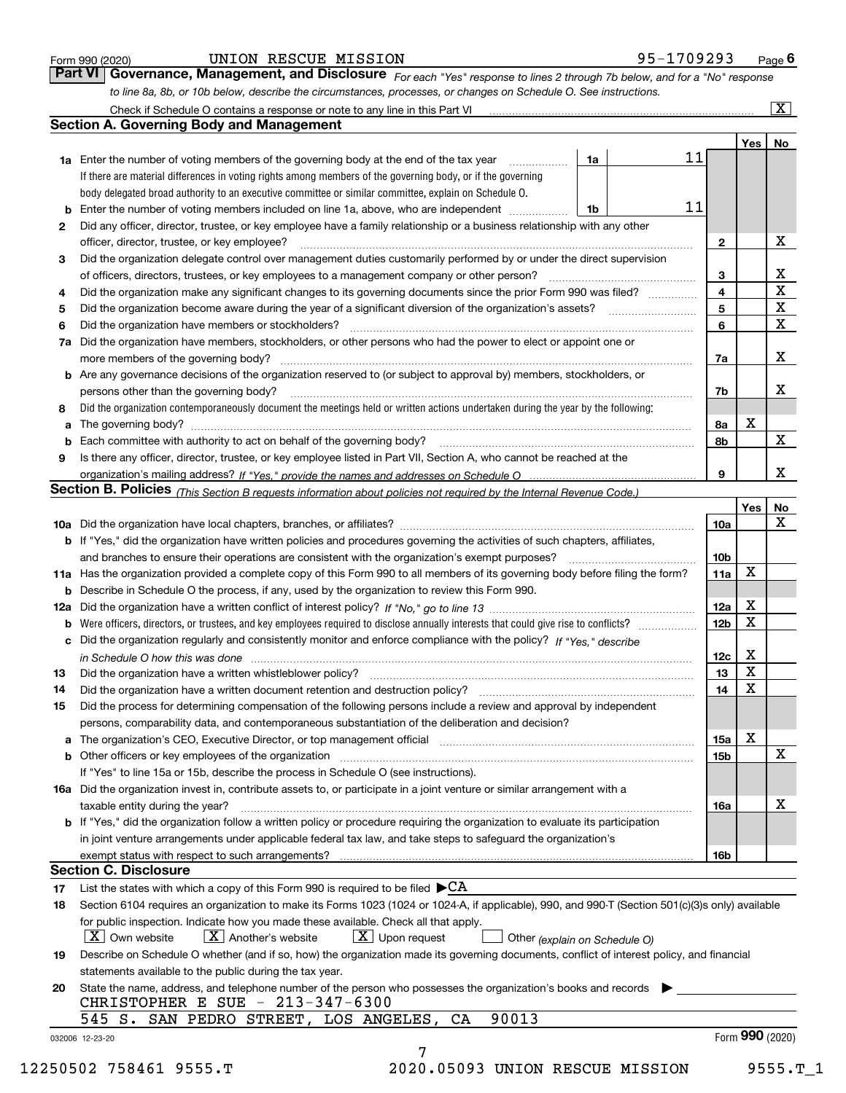|  | Form 990 (2020) |
|--|-----------------|
|  |                 |

| Form 990 (2020) |  | UNION RESCUE MISSION | 95-1709293                                                                                                                    | $P_{\text{aqe}}$ 6 |
|-----------------|--|----------------------|-------------------------------------------------------------------------------------------------------------------------------|--------------------|
|                 |  |                      | Part VI   Governance, Management, and Disclosure For each "Yes" response to lines 2 through 7b below, and for a "No" response |                    |
|                 |  |                      | to line 8a, 8b, or 10b below, describe the circumstances, processes, or changes on Schedule O. See instructions.              |                    |

|              |                                                                                                                                                                                                                                |      |    |                 | Yes             | No                      |
|--------------|--------------------------------------------------------------------------------------------------------------------------------------------------------------------------------------------------------------------------------|------|----|-----------------|-----------------|-------------------------|
|              | <b>1a</b> Enter the number of voting members of the governing body at the end of the tax year <i>manumum</i>                                                                                                                   | 1a   | 11 |                 |                 |                         |
|              | If there are material differences in voting rights among members of the governing body, or if the governing                                                                                                                    |      |    |                 |                 |                         |
|              | body delegated broad authority to an executive committee or similar committee, explain on Schedule O.                                                                                                                          |      |    |                 |                 |                         |
| b            | Enter the number of voting members included on line 1a, above, who are independent                                                                                                                                             | l 1b | 11 |                 |                 |                         |
| $\mathbf{2}$ | Did any officer, director, trustee, or key employee have a family relationship or a business relationship with any other                                                                                                       |      |    |                 |                 |                         |
|              | officer, director, trustee, or key employee?                                                                                                                                                                                   |      |    | $\mathbf{2}$    |                 | х                       |
| 3            | Did the organization delegate control over management duties customarily performed by or under the direct supervision                                                                                                          |      |    |                 |                 |                         |
|              |                                                                                                                                                                                                                                |      |    | 3               |                 | x                       |
| 4            | Did the organization make any significant changes to its governing documents since the prior Form 990 was filed?                                                                                                               |      |    | $\overline{4}$  |                 | X                       |
| 5            |                                                                                                                                                                                                                                |      |    | 5               |                 | $\overline{\mathbf{x}}$ |
| 6            | Did the organization have members or stockholders?                                                                                                                                                                             |      |    | 6               |                 | X                       |
|              | 7a Did the organization have members, stockholders, or other persons who had the power to elect or appoint one or                                                                                                              |      |    |                 |                 |                         |
|              |                                                                                                                                                                                                                                |      |    | 7a              |                 | X                       |
|              | <b>b</b> Are any governance decisions of the organization reserved to (or subject to approval by) members, stockholders, or                                                                                                    |      |    |                 |                 |                         |
|              | persons other than the governing body?                                                                                                                                                                                         |      |    | 7b              |                 | х                       |
| 8            | Did the organization contemporaneously document the meetings held or written actions undertaken during the year by the following:                                                                                              |      |    |                 |                 |                         |
| a            |                                                                                                                                                                                                                                |      |    | 8a              | X               |                         |
| b            | Each committee with authority to act on behalf of the governing body? [10] manufacture manufacture with authority to act on behalf of the governing body? [10] manufacture with authority of the state with an interval and th |      |    | 8b              |                 | X                       |
| 9            | Is there any officer, director, trustee, or key employee listed in Part VII, Section A, who cannot be reached at the                                                                                                           |      |    |                 |                 |                         |
|              |                                                                                                                                                                                                                                |      |    | 9               |                 | X                       |
|              | Section B. Policies (This Section B requests information about policies not required by the Internal Revenue Code.)                                                                                                            |      |    |                 |                 |                         |
|              |                                                                                                                                                                                                                                |      |    |                 | Yes             | No                      |
|              |                                                                                                                                                                                                                                |      |    | 10a             |                 | X                       |
|              | <b>b</b> If "Yes," did the organization have written policies and procedures governing the activities of such chapters, affiliates,                                                                                            |      |    |                 |                 |                         |
|              |                                                                                                                                                                                                                                |      |    | 10 <sub>b</sub> |                 |                         |
|              | 11a Has the organization provided a complete copy of this Form 990 to all members of its governing body before filing the form?                                                                                                |      |    | 11a             | X               |                         |
|              |                                                                                                                                                                                                                                |      |    |                 |                 |                         |
|              | <b>b</b> Describe in Schedule O the process, if any, used by the organization to review this Form 990.                                                                                                                         |      |    |                 | X               |                         |
|              |                                                                                                                                                                                                                                |      |    | 12a             | X               |                         |
| b            |                                                                                                                                                                                                                                |      |    | 12 <sub>b</sub> |                 |                         |
| c            | Did the organization regularly and consistently monitor and enforce compliance with the policy? If "Yes," describe                                                                                                             |      |    |                 |                 |                         |
|              | in Schedule O how this was done material contracts and the set of the state of the state of the state of the state of the state of the state of the state of the state of the state of the state of the state of the state of  |      |    | 12c             | X               |                         |
| 13           |                                                                                                                                                                                                                                |      |    | 13              | X               |                         |
| 14           | Did the organization have a written document retention and destruction policy? manufactured and the organization have a written document retention and destruction policy?                                                     |      |    | 14              | $\mathbf X$     |                         |
| 15           | Did the process for determining compensation of the following persons include a review and approval by independent                                                                                                             |      |    |                 |                 |                         |
|              | persons, comparability data, and contemporaneous substantiation of the deliberation and decision?                                                                                                                              |      |    |                 |                 |                         |
|              |                                                                                                                                                                                                                                |      |    | 15a             | X               |                         |
|              | <b>b</b> Other officers or key employees of the organization                                                                                                                                                                   |      |    | 15b             |                 | X                       |
|              | If "Yes" to line 15a or 15b, describe the process in Schedule O (see instructions).                                                                                                                                            |      |    |                 |                 |                         |
|              | 16a Did the organization invest in, contribute assets to, or participate in a joint venture or similar arrangement with a                                                                                                      |      |    |                 |                 |                         |
|              | taxable entity during the year?                                                                                                                                                                                                |      |    | 16a             |                 | X                       |
|              | b If "Yes," did the organization follow a written policy or procedure requiring the organization to evaluate its participation                                                                                                 |      |    |                 |                 |                         |
|              | in joint venture arrangements under applicable federal tax law, and take steps to safeguard the organization's                                                                                                                 |      |    |                 |                 |                         |
|              | exempt status with respect to such arrangements?                                                                                                                                                                               |      |    | 16b             |                 |                         |
|              | <b>Section C. Disclosure</b>                                                                                                                                                                                                   |      |    |                 |                 |                         |
| 17           | List the states with which a copy of this Form 990 is required to be filed $\blacktriangleright$ CA                                                                                                                            |      |    |                 |                 |                         |
| 18           | Section 6104 requires an organization to make its Forms 1023 (1024 or 1024-A, if applicable), 990, and 990-T (Section 501(c)(3)s only) available                                                                               |      |    |                 |                 |                         |
|              | for public inspection. Indicate how you made these available. Check all that apply.                                                                                                                                            |      |    |                 |                 |                         |
|              | $X$ Upon request<br>$ X $ Own website<br>$X$ Another's website<br>Other (explain on Schedule O)                                                                                                                                |      |    |                 |                 |                         |
| 19           | Describe on Schedule O whether (and if so, how) the organization made its governing documents, conflict of interest policy, and financial                                                                                      |      |    |                 |                 |                         |
|              | statements available to the public during the tax year.                                                                                                                                                                        |      |    |                 |                 |                         |
| 20           | State the name, address, and telephone number of the person who possesses the organization's books and records                                                                                                                 |      |    |                 |                 |                         |
|              | CHRISTOPHER E SUE - 213-347-6300                                                                                                                                                                                               |      |    |                 |                 |                         |
|              | 90013<br>545 S. SAN PEDRO STREET, LOS ANGELES, CA                                                                                                                                                                              |      |    |                 |                 |                         |
|              |                                                                                                                                                                                                                                |      |    |                 | Form 990 (2020) |                         |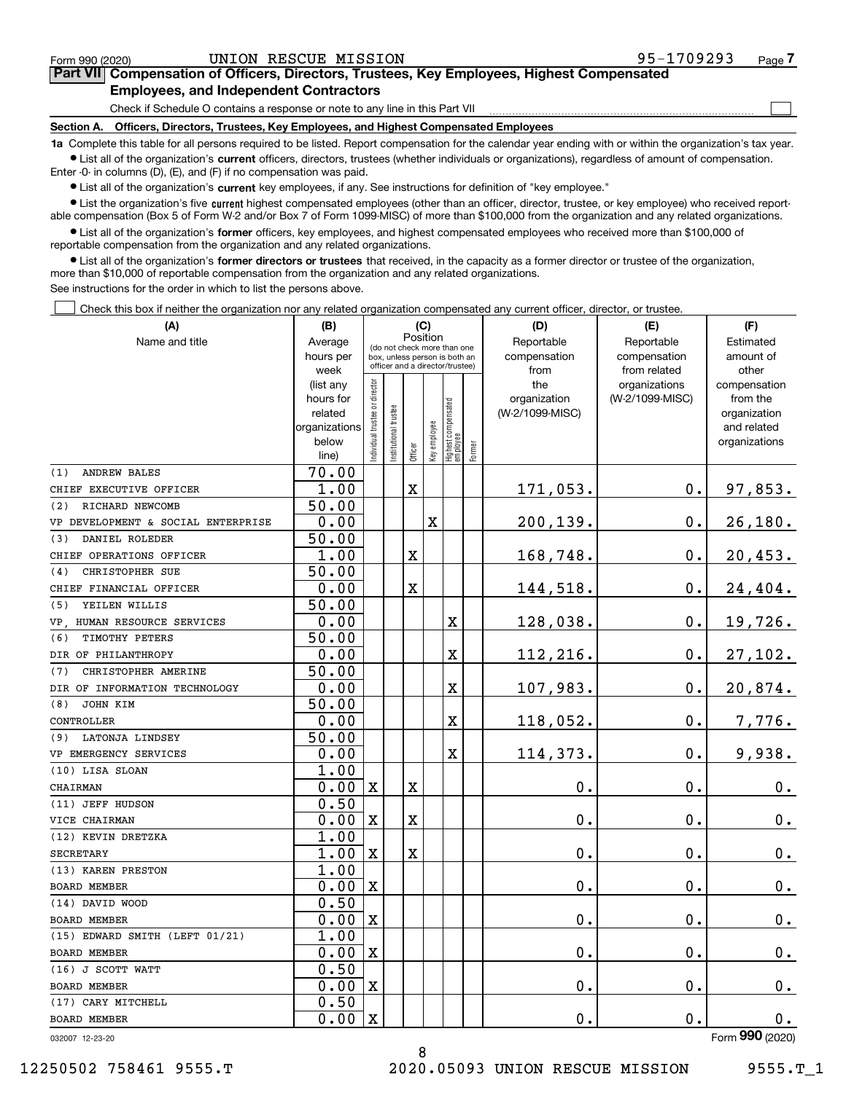$\mathcal{L}^{\text{max}}$ 

| Form 990 (2020) |                                               | UNION RESCUE MISSION | 95-1709293                                                                                 | Page <i>I</i> |
|-----------------|-----------------------------------------------|----------------------|--------------------------------------------------------------------------------------------|---------------|
|                 |                                               |                      | Part VII Compensation of Officers, Directors, Trustees, Key Employees, Highest Compensated |               |
|                 | <b>Employees, and Independent Contractors</b> |                      |                                                                                            |               |

Check if Schedule O contains a response or note to any line in this Part VII

**Section A. Officers, Directors, Trustees, Key Employees, and Highest Compensated Employees**

**1a**  Complete this table for all persons required to be listed. Report compensation for the calendar year ending with or within the organization's tax year. **•** List all of the organization's current officers, directors, trustees (whether individuals or organizations), regardless of amount of compensation.

Enter -0- in columns (D), (E), and (F) if no compensation was paid.

 $\bullet$  List all of the organization's  $\,$ current key employees, if any. See instructions for definition of "key employee."

**•** List the organization's five current highest compensated employees (other than an officer, director, trustee, or key employee) who received reportable compensation (Box 5 of Form W-2 and/or Box 7 of Form 1099-MISC) of more than \$100,000 from the organization and any related organizations.

**•** List all of the organization's former officers, key employees, and highest compensated employees who received more than \$100,000 of reportable compensation from the organization and any related organizations.

**former directors or trustees**  ¥ List all of the organization's that received, in the capacity as a former director or trustee of the organization, more than \$10,000 of reportable compensation from the organization and any related organizations.

See instructions for the order in which to list the persons above.

Check this box if neither the organization nor any related organization compensated any current officer, director, or trustee.  $\mathcal{L}^{\text{max}}$ 

| (A)                                | (B)                    | (C)                                     |                                                                  |             |              |                                  |              | (D)                 | (E)                              | (F)                      |
|------------------------------------|------------------------|-----------------------------------------|------------------------------------------------------------------|-------------|--------------|----------------------------------|--------------|---------------------|----------------------------------|--------------------------|
| Name and title                     | Average                | Position<br>(do not check more than one |                                                                  |             |              |                                  | Reportable   | Reportable          | Estimated                        |                          |
|                                    | hours per              |                                         | box, unless person is both an<br>officer and a director/trustee) |             |              |                                  | compensation | compensation        | amount of                        |                          |
|                                    | week                   |                                         |                                                                  |             |              |                                  |              | from                | from related                     | other                    |
|                                    | (list any<br>hours for |                                         |                                                                  |             |              |                                  |              | the<br>organization | organizations<br>(W-2/1099-MISC) | compensation<br>from the |
|                                    | related                |                                         |                                                                  |             |              |                                  |              | (W-2/1099-MISC)     |                                  | organization             |
|                                    | organizations          |                                         |                                                                  |             |              |                                  |              |                     |                                  | and related              |
|                                    | below                  | ndividual trustee or director           | nstitutional trustee                                             |             | Key employee | Highest compensated<br> employee |              |                     |                                  | organizations            |
|                                    | line)                  |                                         |                                                                  | Officer     |              |                                  | Former       |                     |                                  |                          |
| (1)<br><b>ANDREW BALES</b>         | 70.00                  |                                         |                                                                  |             |              |                                  |              |                     |                                  |                          |
| CHIEF EXECUTIVE OFFICER            | 1.00                   |                                         |                                                                  | $\mathbf X$ |              |                                  |              | 171,053.            | $\mathbf 0$ .                    | 97,853.                  |
| (2)<br>RICHARD NEWCOMB             | 50.00                  |                                         |                                                                  |             |              |                                  |              |                     |                                  |                          |
| VP DEVELOPMENT & SOCIAL ENTERPRISE | 0.00                   |                                         |                                                                  |             | X            |                                  |              | 200,139.            | $\mathbf 0$ .                    | 26, 180.                 |
| DANIEL ROLEDER<br>(3)              | 50.00                  |                                         |                                                                  |             |              |                                  |              |                     |                                  |                          |
| CHIEF OPERATIONS OFFICER           | 1.00                   |                                         |                                                                  | X           |              |                                  |              | 168,748.            | 0.                               | 20,453.                  |
| CHRISTOPHER SUE<br>(4)             | 50.00                  |                                         |                                                                  |             |              |                                  |              |                     |                                  |                          |
| CHIEF FINANCIAL OFFICER            | 0.00                   |                                         |                                                                  | X           |              |                                  |              | 144,518.            | $0$ .                            | 24,404.                  |
| YEILEN WILLIS<br>(5)               | 50.00                  |                                         |                                                                  |             |              |                                  |              |                     |                                  |                          |
| VP HUMAN RESOURCE SERVICES         | 0.00                   |                                         |                                                                  |             |              | X                                |              | 128,038.            | $0$ .                            | 19,726.                  |
| TIMOTHY PETERS<br>(6)              | 50.00                  |                                         |                                                                  |             |              |                                  |              |                     |                                  |                          |
| DIR OF PHILANTHROPY                | 0.00                   |                                         |                                                                  |             |              | X                                |              | 112,216.            | $\mathbf 0$ .                    | 27,102.                  |
| (7)<br>CHRISTOPHER AMERINE         | 50.00                  |                                         |                                                                  |             |              |                                  |              |                     |                                  |                          |
| DIR OF INFORMATION TECHNOLOGY      | 0.00                   |                                         |                                                                  |             |              | X                                |              | 107,983.            | $0$ .                            | 20,874.                  |
| JOHN KIM<br>(8)                    | 50.00                  |                                         |                                                                  |             |              |                                  |              |                     |                                  |                          |
| CONTROLLER                         | 0.00                   |                                         |                                                                  |             |              | X                                |              | 118,052.            | 0.                               | 7,776.                   |
| (9) LATONJA LINDSEY                | 50.00                  |                                         |                                                                  |             |              |                                  |              |                     |                                  |                          |
| VP EMERGENCY SERVICES              | 0.00                   |                                         |                                                                  |             |              | X                                |              | 114,373.            | 0.                               | 9,938.                   |
| (10) LISA SLOAN                    | 1.00                   |                                         |                                                                  |             |              |                                  |              |                     |                                  |                          |
| CHAIRMAN                           | 0.00                   | X                                       |                                                                  | X           |              |                                  |              | $0$ .               | $\mathbf{0}$ .                   | $0_{.}$                  |
| (11) JEFF HUDSON                   | 0.50                   |                                         |                                                                  |             |              |                                  |              |                     |                                  |                          |
| VICE CHAIRMAN                      | 0.00                   | $\mathbf X$                             |                                                                  | X           |              |                                  |              | 0.                  | $\mathbf 0$ .                    | 0.                       |
| (12) KEVIN DRETZKA                 | 1.00                   |                                         |                                                                  |             |              |                                  |              |                     |                                  |                          |
| <b>SECRETARY</b>                   | 1.00                   | $\mathbf x$                             |                                                                  | X           |              |                                  |              | 0.                  | $\mathbf{0}$ .                   | $\mathbf 0$ .            |
| (13) KAREN PRESTON                 | 1.00                   |                                         |                                                                  |             |              |                                  |              |                     |                                  |                          |
| <b>BOARD MEMBER</b>                | 0.00                   | X                                       |                                                                  |             |              |                                  |              | 0.                  | $\mathbf 0$ .                    | $0\cdot$                 |
| (14) DAVID WOOD                    | 0.50                   |                                         |                                                                  |             |              |                                  |              |                     |                                  |                          |
| <b>BOARD MEMBER</b>                | 0.00                   | $\mathbf x$                             |                                                                  |             |              |                                  |              | 0.                  | $\mathbf 0$ .                    | 0.                       |
| (15) EDWARD SMITH (LEFT 01/21)     | 1.00                   |                                         |                                                                  |             |              |                                  |              |                     |                                  |                          |
| <b>BOARD MEMBER</b>                | 0.00                   | $\mathbf X$                             |                                                                  |             |              |                                  |              | 0.                  | Ο.                               | 0.                       |
| (16) J SCOTT WATT                  | 0.50                   |                                         |                                                                  |             |              |                                  |              |                     |                                  |                          |
| BOARD MEMBER                       | 0.00                   | $\mathbf x$                             |                                                                  |             |              |                                  |              | 0.                  | $\mathbf 0$ .                    | 0.                       |
| (17) CARY MITCHELL                 | 0.50                   |                                         |                                                                  |             |              |                                  |              |                     |                                  |                          |
| <b>BOARD MEMBER</b>                | 0.00                   | $\mathbf X$                             |                                                                  |             |              |                                  |              | 0.                  | 0.                               | $0_{.}$                  |

8

032007 12-23-20

Form (2020) **990**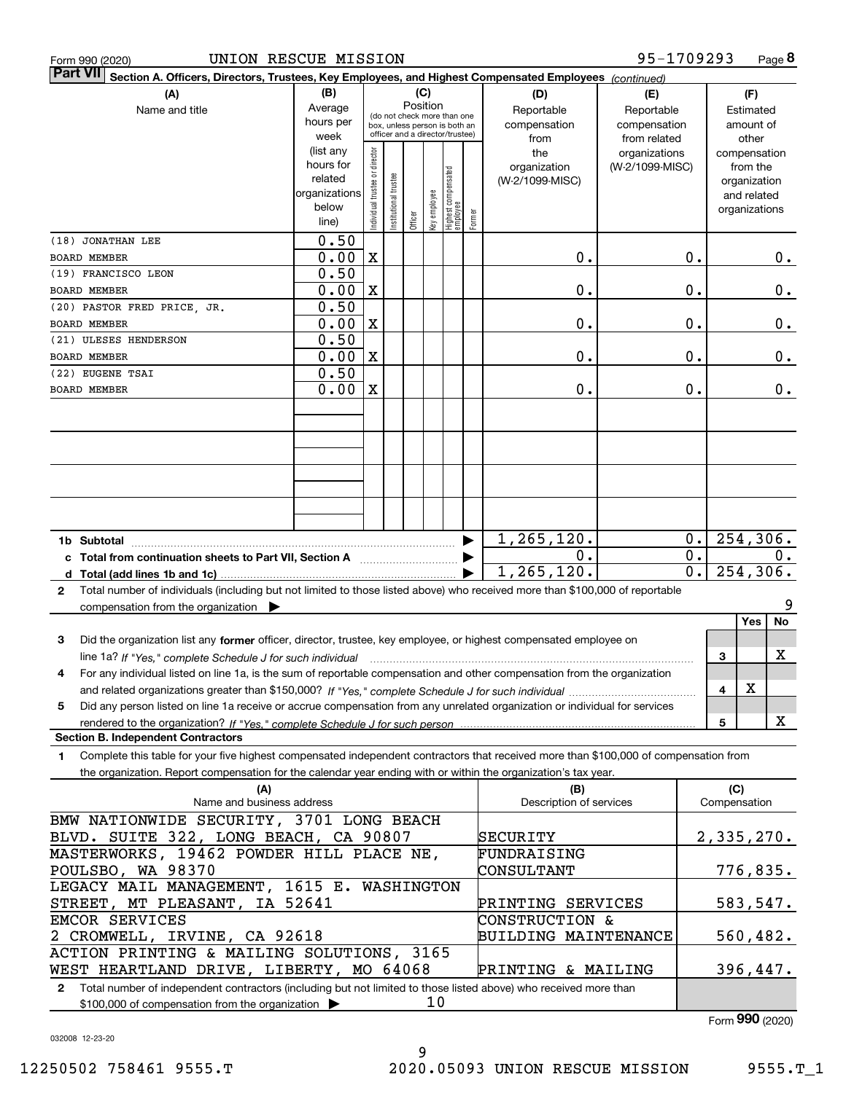|  | Form 990 (2020 |
|--|----------------|
|  |                |

| $\vert$ Part VII $\vert$ Section A. Officers, Directors, Trustees, Key Employees, and Highest Compensated Employees $\vert$ $_{\rm {Continued)}}$ |                          |                                |                                 |          |              |                                   |        |                                |                 |                  |                     |               |
|---------------------------------------------------------------------------------------------------------------------------------------------------|--------------------------|--------------------------------|---------------------------------|----------|--------------|-----------------------------------|--------|--------------------------------|-----------------|------------------|---------------------|---------------|
| (A)                                                                                                                                               | (B)                      |                                |                                 | (C)      |              |                                   |        | (D)                            | (E)             |                  |                     | (F)           |
| Name and title                                                                                                                                    | Average                  |                                | (do not check more than one     | Position |              |                                   |        | Reportable                     | Reportable      |                  |                     | Estimated     |
|                                                                                                                                                   | hours per                |                                | box, unless person is both an   |          |              |                                   |        | compensation                   | compensation    |                  |                     | amount of     |
|                                                                                                                                                   | week                     |                                | officer and a director/trustee) |          |              |                                   |        | from                           | from related    |                  |                     | other         |
|                                                                                                                                                   | (list any                |                                |                                 |          |              |                                   |        | the                            | organizations   |                  |                     | compensation  |
|                                                                                                                                                   | hours for                |                                |                                 |          |              |                                   |        | organization                   | (W-2/1099-MISC) |                  |                     | from the      |
|                                                                                                                                                   | related<br>organizations |                                |                                 |          |              |                                   |        | (W-2/1099-MISC)                |                 |                  |                     | organization  |
|                                                                                                                                                   | below                    |                                |                                 |          |              |                                   |        |                                |                 |                  |                     | and related   |
|                                                                                                                                                   | line)                    | Individual trustee or director | Institutional trustee           | Officer  | key employee | Highest compensated<br>  employee | Former |                                |                 |                  |                     | organizations |
| (18) JONATHAN LEE                                                                                                                                 | 0.50                     |                                |                                 |          |              |                                   |        |                                |                 |                  |                     |               |
| <b>BOARD MEMBER</b>                                                                                                                               | 0.00                     | $\mathbf X$                    |                                 |          |              |                                   |        | 0.                             |                 | $\mathbf 0$ .    |                     | $0$ .         |
| (19) FRANCISCO LEON                                                                                                                               | 0.50                     |                                |                                 |          |              |                                   |        |                                |                 |                  |                     |               |
|                                                                                                                                                   | 0.00                     | $\mathbf X$                    |                                 |          |              |                                   |        | 0.                             |                 | $\mathbf 0$ .    |                     | 0.            |
| <b>BOARD MEMBER</b>                                                                                                                               | 0.50                     |                                |                                 |          |              |                                   |        |                                |                 |                  |                     |               |
| (20) PASTOR FRED PRICE, JR.                                                                                                                       |                          |                                |                                 |          |              |                                   |        |                                |                 |                  |                     |               |
| BOARD MEMBER                                                                                                                                      | 0.00                     | $\mathbf X$                    |                                 |          |              |                                   |        | 0.                             |                 | $\mathbf 0$ .    |                     | 0.            |
| (21) ULESES HENDERSON                                                                                                                             | 0.50                     |                                |                                 |          |              |                                   |        |                                |                 |                  |                     |               |
| <b>BOARD MEMBER</b>                                                                                                                               | 0.00                     | $\mathbf X$                    |                                 |          |              |                                   |        | 0.                             |                 | $\mathbf 0$ .    |                     | 0.            |
| (22) EUGENE TSAI                                                                                                                                  | 0.50                     |                                |                                 |          |              |                                   |        |                                |                 |                  |                     |               |
| BOARD MEMBER                                                                                                                                      | 0.00                     | $\mathbf X$                    |                                 |          |              |                                   |        | 0.                             |                 | 0.               |                     | 0.            |
|                                                                                                                                                   |                          |                                |                                 |          |              |                                   |        |                                |                 |                  |                     |               |
|                                                                                                                                                   |                          |                                |                                 |          |              |                                   |        |                                |                 |                  |                     |               |
|                                                                                                                                                   |                          |                                |                                 |          |              |                                   |        |                                |                 |                  |                     |               |
|                                                                                                                                                   |                          |                                |                                 |          |              |                                   |        |                                |                 |                  |                     |               |
|                                                                                                                                                   |                          |                                |                                 |          |              |                                   |        |                                |                 |                  |                     |               |
|                                                                                                                                                   |                          |                                |                                 |          |              |                                   |        |                                |                 |                  |                     |               |
|                                                                                                                                                   |                          |                                |                                 |          |              |                                   |        |                                |                 |                  |                     |               |
|                                                                                                                                                   |                          |                                |                                 |          |              |                                   |        | 1, 265, 120.                   |                 |                  | 254, 306.<br>0.     |               |
|                                                                                                                                                   |                          |                                |                                 |          |              |                                   |        | О.                             |                 | $\overline{0}$ . |                     | 0.            |
|                                                                                                                                                   |                          |                                |                                 |          |              |                                   |        | 1, 265, 120.                   |                 | $\overline{0}$ . |                     | 254,306.      |
|                                                                                                                                                   |                          |                                |                                 |          |              |                                   |        |                                |                 |                  |                     |               |
| Total number of individuals (including but not limited to those listed above) who received more than \$100,000 of reportable<br>$\mathbf{2}$      |                          |                                |                                 |          |              |                                   |        |                                |                 |                  |                     | 9             |
| compensation from the organization                                                                                                                |                          |                                |                                 |          |              |                                   |        |                                |                 |                  |                     | Yes<br>No     |
|                                                                                                                                                   |                          |                                |                                 |          |              |                                   |        |                                |                 |                  |                     |               |
| Did the organization list any former officer, director, trustee, key employee, or highest compensated employee on<br>3                            |                          |                                |                                 |          |              |                                   |        |                                |                 |                  |                     | X             |
|                                                                                                                                                   |                          |                                |                                 |          |              |                                   |        |                                |                 |                  | 3                   |               |
| For any individual listed on line 1a, is the sum of reportable compensation and other compensation from the organization<br>4                     |                          |                                |                                 |          |              |                                   |        |                                |                 |                  |                     | X             |
|                                                                                                                                                   |                          |                                |                                 |          |              |                                   |        |                                |                 |                  | 4                   |               |
| Did any person listed on line 1a receive or accrue compensation from any unrelated organization or individual for services<br>5                   |                          |                                |                                 |          |              |                                   |        |                                |                 |                  |                     |               |
|                                                                                                                                                   |                          |                                |                                 |          |              |                                   |        |                                |                 |                  | 5                   | X             |
| <b>Section B. Independent Contractors</b>                                                                                                         |                          |                                |                                 |          |              |                                   |        |                                |                 |                  |                     |               |
| Complete this table for your five highest compensated independent contractors that received more than \$100,000 of compensation from<br>1         |                          |                                |                                 |          |              |                                   |        |                                |                 |                  |                     |               |
| the organization. Report compensation for the calendar year ending with or within the organization's tax year.                                    |                          |                                |                                 |          |              |                                   |        |                                |                 |                  |                     |               |
| (A)<br>Name and business address                                                                                                                  |                          |                                |                                 |          |              |                                   |        | (B)<br>Description of services |                 |                  | (C)<br>Compensation |               |
|                                                                                                                                                   |                          |                                |                                 |          |              |                                   |        |                                |                 |                  |                     |               |
| BMW NATIONWIDE SECURITY, 3701 LONG BEACH                                                                                                          |                          |                                |                                 |          |              |                                   |        |                                |                 |                  |                     |               |
| BLVD. SUITE 322, LONG BEACH, CA 90807                                                                                                             |                          |                                |                                 |          |              |                                   |        | SECURITY                       |                 |                  |                     | 2,335,270.    |
| MASTERWORKS, 19462 POWDER HILL PLACE NE,                                                                                                          |                          |                                |                                 |          |              |                                   |        | FUNDRAISING                    |                 |                  |                     |               |
| POULSBO, WA 98370                                                                                                                                 |                          |                                |                                 |          |              |                                   |        | CONSULTANT                     |                 |                  |                     | 776,835.      |
| LEGACY MAIL MANAGEMENT, 1615 E. WASHINGTON                                                                                                        |                          |                                |                                 |          |              |                                   |        |                                |                 |                  |                     |               |
| STREET, MT PLEASANT, IA 52641                                                                                                                     |                          |                                |                                 |          |              |                                   |        | PRINTING SERVICES              |                 |                  |                     | 583,547.      |
| EMCOR SERVICES                                                                                                                                    |                          |                                |                                 |          |              |                                   |        | CONSTRUCTION &                 |                 |                  |                     |               |
| 2 CROMWELL, IRVINE, CA 92618                                                                                                                      |                          |                                |                                 |          |              |                                   |        | <b>BUILDING MAINTENANCE</b>    |                 |                  |                     | 560,482.      |
| ACTION PRINTING & MAILING SOLUTIONS, 3165                                                                                                         |                          |                                |                                 |          |              |                                   |        |                                |                 |                  |                     |               |
| WEST HEARTLAND DRIVE, LIBERTY, MO 64068                                                                                                           |                          |                                |                                 |          |              |                                   |        | PRINTING & MAILING             |                 |                  |                     | 396,447.      |
| 2 Total number of independent contractors (including but not limited to those listed above) who received more than                                |                          |                                |                                 |          |              |                                   |        |                                |                 |                  |                     |               |

10

\$100,000 of compensation from the organization

Form (2020) **990**

032008 12-23-20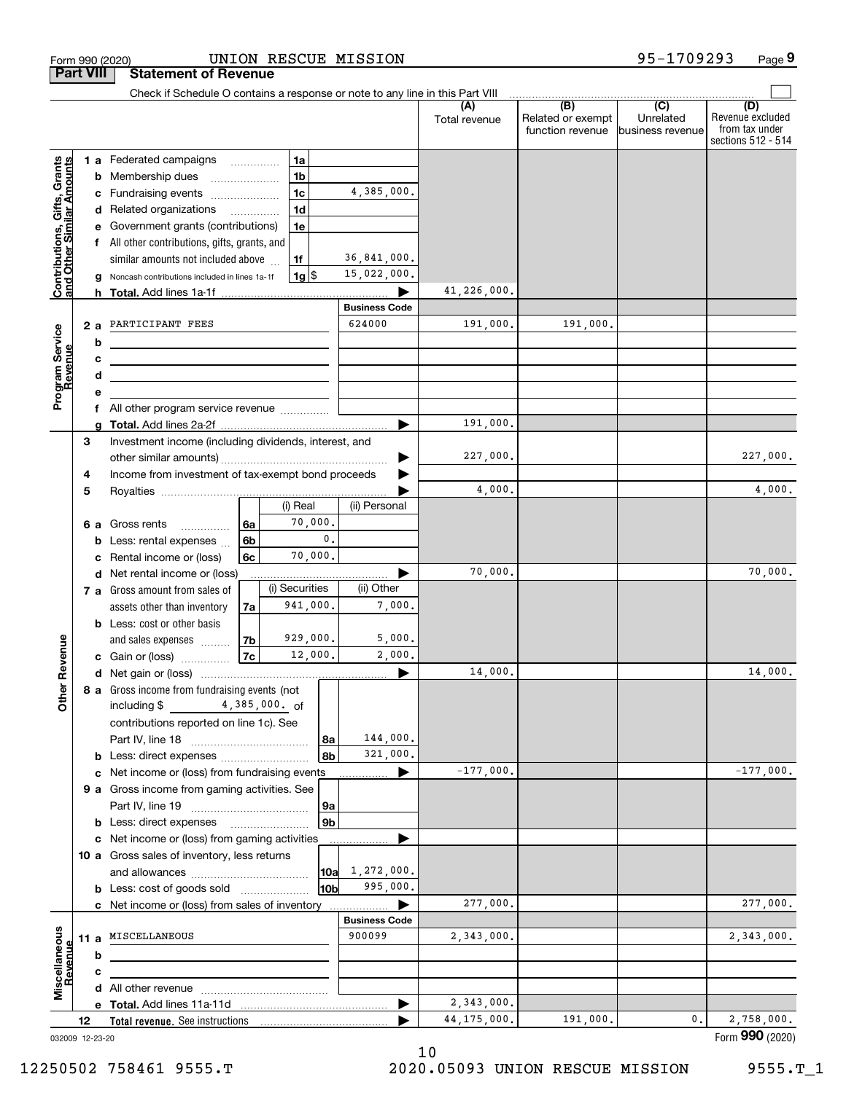| <b>Part VIII</b>                                          |    |                 | <b>Statement of Revenue</b>                                                                                           |                |                    |                |                      |               |                                       |                               |                                                          |
|-----------------------------------------------------------|----|-----------------|-----------------------------------------------------------------------------------------------------------------------|----------------|--------------------|----------------|----------------------|---------------|---------------------------------------|-------------------------------|----------------------------------------------------------|
|                                                           |    |                 | Check if Schedule O contains a response or note to any line in this Part VIII                                         |                |                    |                |                      | (A)           | (B)                                   | $\overline{C}$                | (D)                                                      |
|                                                           |    |                 |                                                                                                                       |                |                    |                |                      | Total revenue | Related or exempt<br>function revenue | Unrelated<br>business revenue | Revenue excluded<br>from tax under<br>sections 512 - 514 |
|                                                           |    |                 | 1 a Federated campaigns                                                                                               |                | 1a                 |                |                      |               |                                       |                               |                                                          |
|                                                           |    |                 | <b>b</b> Membership dues                                                                                              |                | 1 <sub>b</sub>     |                |                      |               |                                       |                               |                                                          |
| Contributions, Gifts, Grants<br>and Other Similar Amounts |    |                 | c Fundraising events                                                                                                  |                | 1c                 |                | 4,385,000.           |               |                                       |                               |                                                          |
|                                                           |    |                 | d Related organizations                                                                                               |                | 1 <sub>d</sub>     |                |                      |               |                                       |                               |                                                          |
|                                                           |    |                 | e Government grants (contributions)                                                                                   |                | 1e                 |                |                      |               |                                       |                               |                                                          |
|                                                           |    |                 | All other contributions, gifts, grants, and                                                                           |                |                    |                |                      |               |                                       |                               |                                                          |
|                                                           |    |                 | similar amounts not included above                                                                                    |                | 1f                 |                | 36,841,000.          |               |                                       |                               |                                                          |
|                                                           |    |                 | g Noncash contributions included in lines 1a-1f                                                                       |                | $1g$ $\frac{1}{3}$ |                | 15,022,000.          |               |                                       |                               |                                                          |
|                                                           |    |                 |                                                                                                                       |                |                    |                |                      | 41,226,000.   |                                       |                               |                                                          |
|                                                           |    |                 |                                                                                                                       |                |                    |                | <b>Business Code</b> |               |                                       |                               |                                                          |
|                                                           |    | 2a              | PARTICIPANT FEES                                                                                                      |                |                    |                | 624000               | 191,000.      | 191,000.                              |                               |                                                          |
|                                                           |    | b               |                                                                                                                       |                |                    |                |                      |               |                                       |                               |                                                          |
|                                                           |    | с               | <u> 1989 - Johann Stoff, Amerikaansk politiker (</u>                                                                  |                |                    |                |                      |               |                                       |                               |                                                          |
|                                                           |    | d               | <u> 1989 - Johann Barbara, martin amerikan basar dan berasal dalam basar dalam basar dalam basar dalam basar dala</u> |                |                    |                |                      |               |                                       |                               |                                                          |
| Program Service<br>Revenue                                |    | е               |                                                                                                                       |                |                    |                |                      |               |                                       |                               |                                                          |
|                                                           |    |                 | All other program service revenue                                                                                     |                |                    |                |                      |               |                                       |                               |                                                          |
|                                                           |    |                 |                                                                                                                       |                |                    |                |                      | 191,000.      |                                       |                               |                                                          |
|                                                           | 3  |                 | Investment income (including dividends, interest, and                                                                 |                |                    |                |                      |               |                                       |                               |                                                          |
|                                                           |    |                 |                                                                                                                       |                |                    |                |                      | 227,000.      |                                       |                               | 227,000.                                                 |
|                                                           | 4  |                 | Income from investment of tax-exempt bond proceeds                                                                    |                |                    |                |                      |               |                                       |                               |                                                          |
|                                                           | 5  |                 |                                                                                                                       |                |                    |                |                      | 4,000.        |                                       |                               | 4,000.                                                   |
|                                                           |    |                 |                                                                                                                       |                | (i) Real           |                | (ii) Personal        |               |                                       |                               |                                                          |
|                                                           |    | 6а              | Gross rents<br>.                                                                                                      | 6a             | 70,000.            |                |                      |               |                                       |                               |                                                          |
|                                                           |    | b               | Less: rental expenses                                                                                                 | 6 <sub>b</sub> |                    | $\mathbf{0}$ . |                      |               |                                       |                               |                                                          |
|                                                           |    |                 | Rental income or (loss)                                                                                               | 6c             | 70,000.            |                |                      |               |                                       |                               |                                                          |
|                                                           |    |                 | d Net rental income or (loss)                                                                                         |                |                    |                |                      | 70,000.       |                                       |                               | 70,000.                                                  |
|                                                           |    |                 | 7 a Gross amount from sales of                                                                                        |                | (i) Securities     |                | (ii) Other           |               |                                       |                               |                                                          |
|                                                           |    |                 | assets other than inventory                                                                                           | 7al            | 941,000.           |                | 7.000.               |               |                                       |                               |                                                          |
|                                                           |    |                 | <b>b</b> Less: cost or other basis                                                                                    |                |                    |                |                      |               |                                       |                               |                                                          |
|                                                           |    |                 | and sales expenses                                                                                                    | 7 <sub>b</sub> | 929,000.           |                | 5,000.               |               |                                       |                               |                                                          |
|                                                           |    |                 | c Gain or (loss)                                                                                                      | 7c             | 12,000.            |                | 2,000.               |               |                                       |                               |                                                          |
| Revenue                                                   |    |                 |                                                                                                                       |                |                    |                | ▶                    | 14,000.       |                                       |                               | 14,000.                                                  |
|                                                           |    |                 | 8 a Gross income from fundraising events (not                                                                         |                |                    |                |                      |               |                                       |                               |                                                          |
| <b>Othe</b>                                               |    |                 | including \$4,385,000. of                                                                                             |                |                    |                |                      |               |                                       |                               |                                                          |
|                                                           |    |                 | contributions reported on line 1c). See                                                                               |                |                    |                |                      |               |                                       |                               |                                                          |
|                                                           |    |                 |                                                                                                                       |                |                    | 8a             | 144,000.             |               |                                       |                               |                                                          |
|                                                           |    |                 | <b>b</b> Less: direct expenses <i>managered</i> b                                                                     |                |                    | 8b             | 321,000.             |               |                                       |                               |                                                          |
|                                                           |    |                 | c Net income or (loss) from fundraising events                                                                        |                |                    |                | ▶<br>.               | $-177,000.$   |                                       |                               | $-177,000.$                                              |
|                                                           |    |                 | 9 a Gross income from gaming activities. See                                                                          |                |                    |                |                      |               |                                       |                               |                                                          |
|                                                           |    |                 |                                                                                                                       |                |                    | 9a             |                      |               |                                       |                               |                                                          |
|                                                           |    |                 | <b>b</b> Less: direct expenses <b>manually</b>                                                                        |                |                    | 9 <sub>b</sub> |                      |               |                                       |                               |                                                          |
|                                                           |    |                 | c Net income or (loss) from gaming activities                                                                         |                |                    |                | .                    |               |                                       |                               |                                                          |
|                                                           |    |                 | 10 a Gross sales of inventory, less returns                                                                           |                |                    |                |                      |               |                                       |                               |                                                          |
|                                                           |    |                 |                                                                                                                       |                |                    | 10a            | 1,272,000.           |               |                                       |                               |                                                          |
|                                                           |    |                 | <b>b</b> Less: cost of goods sold                                                                                     |                |                    | 10bl           | 995,000.             |               |                                       |                               |                                                          |
|                                                           |    |                 | c Net income or (loss) from sales of inventory                                                                        |                |                    |                |                      | 277,000.      |                                       |                               | 277,000.                                                 |
|                                                           |    |                 |                                                                                                                       |                |                    |                | <b>Business Code</b> |               |                                       |                               |                                                          |
|                                                           |    |                 | 11 a MISCELLANEOUS                                                                                                    |                |                    |                | 900099               | 2,343,000.    |                                       |                               | 2,343,000.                                               |
| Miscellaneous<br>Revenue                                  |    | b               |                                                                                                                       |                |                    |                |                      |               |                                       |                               |                                                          |
|                                                           |    | с               |                                                                                                                       |                |                    |                |                      |               |                                       |                               |                                                          |
|                                                           |    |                 |                                                                                                                       |                |                    |                |                      |               |                                       |                               |                                                          |
|                                                           |    |                 |                                                                                                                       |                |                    |                | ▶                    | 2,343,000.    |                                       |                               |                                                          |
|                                                           | 12 |                 |                                                                                                                       |                |                    |                |                      | 44, 175, 000. | 191,000.                              | 0.                            | 2,758,000.                                               |
|                                                           |    | 032009 12-23-20 |                                                                                                                       |                |                    |                |                      |               |                                       |                               | Form 990 (2020)                                          |

Form 990 (2020) UNION RESCUE MISSION 9 5-I7U9 2 9 3 Page

UNION RESCUE MISSION

10

**9**

95-1709293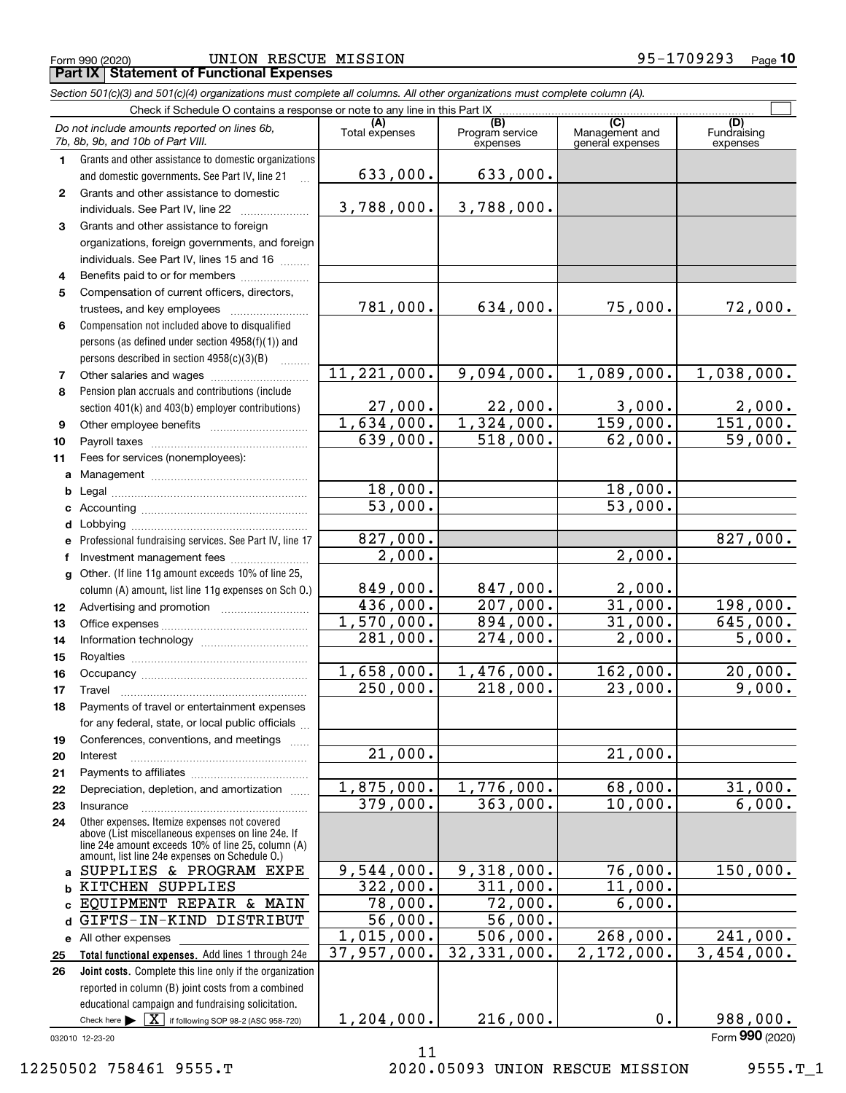*Section 501(c)(3) and 501(c)(4) organizations must complete all columns. All other organizations must complete column (A).*

|              | Check if Schedule O contains a response or note to any line in this Part IX                                                                                |                       |                                                 |                                           |                                |  |  |  |  |  |
|--------------|------------------------------------------------------------------------------------------------------------------------------------------------------------|-----------------------|-------------------------------------------------|-------------------------------------------|--------------------------------|--|--|--|--|--|
|              | Do not include amounts reported on lines 6b,<br>7b, 8b, 9b, and 10b of Part VIII.                                                                          | (A)<br>Total expenses | $\overline{(B)}$<br>Program service<br>expenses | (C)<br>Management and<br>general expenses | (D)<br>Fundraising<br>expenses |  |  |  |  |  |
| 1            | Grants and other assistance to domestic organizations                                                                                                      |                       |                                                 |                                           |                                |  |  |  |  |  |
|              | and domestic governments. See Part IV, line 21                                                                                                             | 633,000.              | 633,000.                                        |                                           |                                |  |  |  |  |  |
| $\mathbf{2}$ | Grants and other assistance to domestic                                                                                                                    |                       |                                                 |                                           |                                |  |  |  |  |  |
|              | individuals. See Part IV, line 22                                                                                                                          | 3,788,000.            | 3,788,000.                                      |                                           |                                |  |  |  |  |  |
| 3            | Grants and other assistance to foreign                                                                                                                     |                       |                                                 |                                           |                                |  |  |  |  |  |
|              | organizations, foreign governments, and foreign                                                                                                            |                       |                                                 |                                           |                                |  |  |  |  |  |
|              | individuals. See Part IV, lines 15 and 16                                                                                                                  |                       |                                                 |                                           |                                |  |  |  |  |  |
| 4            | Benefits paid to or for members                                                                                                                            |                       |                                                 |                                           |                                |  |  |  |  |  |
| 5            | Compensation of current officers, directors,                                                                                                               |                       |                                                 |                                           |                                |  |  |  |  |  |
|              | trustees, and key employees                                                                                                                                | 781,000.              | 634,000.                                        | 75,000.                                   | 72,000.                        |  |  |  |  |  |
| 6            | Compensation not included above to disqualified                                                                                                            |                       |                                                 |                                           |                                |  |  |  |  |  |
|              | persons (as defined under section 4958(f)(1)) and                                                                                                          |                       |                                                 |                                           |                                |  |  |  |  |  |
|              | persons described in section $4958(c)(3)(B)$                                                                                                               |                       |                                                 |                                           |                                |  |  |  |  |  |
| 7            |                                                                                                                                                            | 11, 221, 000.         | 9,094,000.                                      | 1,089,000.                                | 1,038,000.                     |  |  |  |  |  |
| 8            | Pension plan accruals and contributions (include                                                                                                           |                       |                                                 |                                           |                                |  |  |  |  |  |
|              | section 401(k) and 403(b) employer contributions)                                                                                                          | 27,000.               | 22,000.                                         | 3,000.                                    | $\frac{2,000}{151,000}$ .      |  |  |  |  |  |
| 9            |                                                                                                                                                            | 1,634,000.            | 1,324,000.                                      | 159,000.                                  |                                |  |  |  |  |  |
| 10           |                                                                                                                                                            | 639,000.              | 518,000.                                        | 62,000.                                   | 59,000.                        |  |  |  |  |  |
| 11           | Fees for services (nonemployees):                                                                                                                          |                       |                                                 |                                           |                                |  |  |  |  |  |
| a            |                                                                                                                                                            |                       |                                                 |                                           |                                |  |  |  |  |  |
| b            |                                                                                                                                                            | 18,000.               |                                                 | 18,000.                                   |                                |  |  |  |  |  |
|              |                                                                                                                                                            | 53,000.               |                                                 | 53,000.                                   |                                |  |  |  |  |  |
|              |                                                                                                                                                            |                       |                                                 |                                           |                                |  |  |  |  |  |
| е            | Professional fundraising services. See Part IV, line 17                                                                                                    | 827,000.              |                                                 |                                           | 827,000.                       |  |  |  |  |  |
| f            | Investment management fees                                                                                                                                 | 2,000.                |                                                 | 2,000.                                    |                                |  |  |  |  |  |
| g            | Other. (If line 11g amount exceeds 10% of line 25,                                                                                                         |                       |                                                 |                                           |                                |  |  |  |  |  |
|              | column (A) amount, list line 11g expenses on Sch 0.)                                                                                                       | 849,000.<br>436,000.  | 847,000.<br>207,000.                            | 2,000.<br>31,000.                         | 198,000.                       |  |  |  |  |  |
| 12           |                                                                                                                                                            | 1,570,000.            | 894,000.                                        | 31,000.                                   | 645,000.                       |  |  |  |  |  |
| 13           |                                                                                                                                                            | 281,000.              | $\overline{274,000}$ .                          | 2,000.                                    | 5,000.                         |  |  |  |  |  |
| 14           |                                                                                                                                                            |                       |                                                 |                                           |                                |  |  |  |  |  |
| 15           |                                                                                                                                                            | 1,658,000.            | 1,476,000.                                      | 162,000.                                  | 20,000.                        |  |  |  |  |  |
| 16<br>17     |                                                                                                                                                            | 250,000.              | 218,000.                                        | 23,000.                                   | 9,000.                         |  |  |  |  |  |
| 18           | Travel<br>Payments of travel or entertainment expenses                                                                                                     |                       |                                                 |                                           |                                |  |  |  |  |  |
|              | for any federal, state, or local public officials                                                                                                          |                       |                                                 |                                           |                                |  |  |  |  |  |
| 19           | Conferences, conventions, and meetings                                                                                                                     |                       |                                                 |                                           |                                |  |  |  |  |  |
| 20           | Interest                                                                                                                                                   | $\overline{21,000}$ . |                                                 | $\overline{21}$ ,000.                     |                                |  |  |  |  |  |
| 21           |                                                                                                                                                            |                       |                                                 |                                           |                                |  |  |  |  |  |
| 22           | Depreciation, depletion, and amortization                                                                                                                  | 1,875,000.            | 1,776,000.                                      | 68,000.                                   | 31,000.                        |  |  |  |  |  |
| 23           | Insurance                                                                                                                                                  | 379,000.              | 363,000.                                        | 10,000.                                   | 6,000.                         |  |  |  |  |  |
| 24           | Other expenses. Itemize expenses not covered                                                                                                               |                       |                                                 |                                           |                                |  |  |  |  |  |
|              | above (List miscellaneous expenses on line 24e. If<br>line 24e amount exceeds 10% of line 25, column (A)<br>amount, list line 24e expenses on Schedule O.) |                       |                                                 |                                           |                                |  |  |  |  |  |
|              | a SUPPLIES & PROGRAM EXPE                                                                                                                                  | 9,544,000.            | 9,318,000.                                      | 76,000.                                   | 150,000.                       |  |  |  |  |  |
| b            | KITCHEN SUPPLIES                                                                                                                                           | 322,000.              | 311,000.                                        | 11,000.                                   |                                |  |  |  |  |  |
| c            | EQUIPMENT REPAIR & MAIN                                                                                                                                    | 78,000.               | 72,000.                                         | 6,000.                                    |                                |  |  |  |  |  |
| d            | GIFTS-IN-KIND DISTRIBUT                                                                                                                                    | 56,000.               | 56,000.                                         |                                           |                                |  |  |  |  |  |
|              | e All other expenses                                                                                                                                       | 1,015,000.            | 506,000.                                        | 268,000.                                  | 241,000.                       |  |  |  |  |  |
| 25           | Total functional expenses. Add lines 1 through 24e                                                                                                         | 37,957,000.           | 32, 331, 000.                                   | 2,172,000.                                | $\overline{3,454,000}$ .       |  |  |  |  |  |
| 26           | Joint costs. Complete this line only if the organization                                                                                                   |                       |                                                 |                                           |                                |  |  |  |  |  |
|              | reported in column (B) joint costs from a combined                                                                                                         |                       |                                                 |                                           |                                |  |  |  |  |  |
|              | educational campaign and fundraising solicitation.                                                                                                         |                       |                                                 |                                           |                                |  |  |  |  |  |
|              | Check here $\blacktriangleright$ $\mid$ $\text{X}$   if following SOP 98-2 (ASC 958-720)                                                                   | 1,204,000.            | 216,000.                                        | 0.                                        | 988,000.                       |  |  |  |  |  |
|              | 032010 12-23-20                                                                                                                                            |                       |                                                 |                                           | Form 990 (2020)                |  |  |  |  |  |

11

12250502 758461 9555.T 2020.05093 UNION RESCUE MISSION 9555.T\_1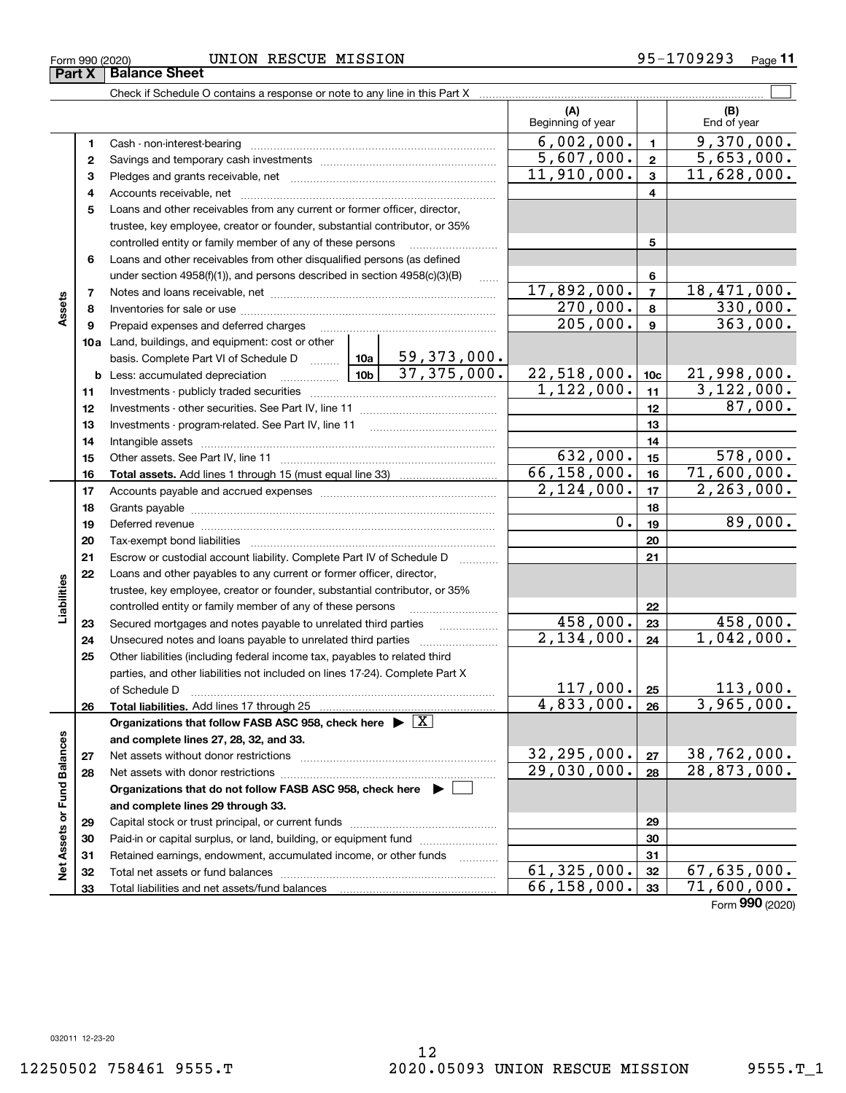### $_{\rm Form}$  990 (2020) UNION RESCUE MISSION 95-1709293  $_{\rm Page}$ **Part X Balance Sheet**

|                             |          | Check if Schedule O contains a response or note to any line in this Part X                                                                 |                                |                                     |                          |              |                    |
|-----------------------------|----------|--------------------------------------------------------------------------------------------------------------------------------------------|--------------------------------|-------------------------------------|--------------------------|--------------|--------------------|
|                             |          |                                                                                                                                            |                                |                                     | (A)<br>Beginning of year |              | (B)<br>End of year |
|                             | 1        | Cash - non-interest-bearing                                                                                                                |                                |                                     | 6,002,000.               | $\mathbf{1}$ | 9,370,000.         |
|                             | 2        |                                                                                                                                            | 5,607,000.                     | $\overline{\mathbf{2}}$             | 5,653,000.               |              |                    |
|                             | з        |                                                                                                                                            |                                |                                     | 11,910,000.              | $\mathbf{3}$ | 11,628,000.        |
|                             | 4        |                                                                                                                                            |                                | 4                                   |                          |              |                    |
|                             | 5        | Loans and other receivables from any current or former officer, director,                                                                  |                                |                                     |                          |              |                    |
|                             |          | trustee, key employee, creator or founder, substantial contributor, or 35%                                                                 |                                |                                     |                          |              |                    |
|                             |          | controlled entity or family member of any of these persons                                                                                 |                                | .                                   |                          | 5            |                    |
|                             | 6        | Loans and other receivables from other disqualified persons (as defined                                                                    |                                |                                     |                          |              |                    |
|                             |          | under section 4958(f)(1)), and persons described in section 4958(c)(3)(B)                                                                  |                                | 6                                   |                          |              |                    |
|                             | 7        |                                                                                                                                            | 17,892,000.                    | $\overline{7}$                      | 18,471,000.              |              |                    |
| Assets                      | 8        |                                                                                                                                            |                                |                                     | 270,000.                 | 8            | 330,000.           |
|                             | 9        | Prepaid expenses and deferred charges                                                                                                      |                                |                                     | 205,000.                 | $\mathbf{9}$ | 363,000.           |
|                             |          | 10a Land, buildings, and equipment: cost or other                                                                                          |                                |                                     |                          |              |                    |
|                             |          | basis. Complete Part VI of Schedule D  10a                                                                                                 | 10b                            | <u>59,373,000.</u><br>37, 375, 000. |                          |              |                    |
|                             |          | <b>b</b> Less: accumulated depreciation<br>.                                                                                               | $\frac{22,518,000}{1,122,000}$ | 10 <sub>c</sub>                     | <u>21,998,000.</u>       |              |                    |
|                             | 11       |                                                                                                                                            |                                | 11                                  | 3,122,000.               |              |                    |
|                             | 12       |                                                                                                                                            |                                | 12                                  | 87,000.                  |              |                    |
|                             | 13       | Investments - program-related. See Part IV, line 11                                                                                        |                                | 13                                  |                          |              |                    |
|                             | 14       |                                                                                                                                            |                                | 14                                  |                          |              |                    |
|                             | 15       |                                                                                                                                            | 632,000.                       | 15                                  | 578,000.                 |              |                    |
|                             | 16       |                                                                                                                                            |                                |                                     | 66, 158, 000.            | 16           | 71,600,000.        |
|                             | 17       |                                                                                                                                            | 2,124,000.                     | 17                                  | 2, 263, 000.             |              |                    |
|                             | 18       |                                                                                                                                            |                                | 18                                  |                          |              |                    |
|                             | 19       | Deferred revenue manual contracts and contracts are all the manual contracts and contracts are all the contracts of                        |                                |                                     | $0$ .                    | 19           | 89,000.            |
|                             | 20       |                                                                                                                                            |                                |                                     |                          | 20           |                    |
|                             | 21       | Escrow or custodial account liability. Complete Part IV of Schedule D                                                                      |                                | $\overline{\phantom{a}}$            |                          | 21           |                    |
|                             | 22       | Loans and other payables to any current or former officer, director,                                                                       |                                |                                     |                          |              |                    |
| Liabilities                 |          | trustee, key employee, creator or founder, substantial contributor, or 35%                                                                 |                                |                                     |                          |              |                    |
|                             |          | controlled entity or family member of any of these persons                                                                                 | 458,000.                       | 22<br>23                            | 458,000.                 |              |                    |
|                             | 23       | Secured mortgages and notes payable to unrelated third parties                                                                             | 2,134,000.                     | 24                                  | 1,042,000.               |              |                    |
|                             | 24<br>25 | Unsecured notes and loans payable to unrelated third parties<br>Other liabilities (including federal income tax, payables to related third |                                |                                     |                          |              |                    |
|                             |          | parties, and other liabilities not included on lines 17-24). Complete Part X                                                               |                                |                                     |                          |              |                    |
|                             |          | of Schedule D                                                                                                                              |                                |                                     | 117,000.                 | 25           | 113,000.           |
|                             | 26       |                                                                                                                                            |                                |                                     | 4,833,000.               | 26           | 3,965,000.         |
|                             |          | Organizations that follow FASB ASC 958, check here $\blacktriangleright \boxed{X}$                                                         |                                |                                     |                          |              |                    |
|                             |          | and complete lines 27, 28, 32, and 33.                                                                                                     |                                |                                     |                          |              |                    |
|                             | 27       | Net assets without donor restrictions                                                                                                      |                                |                                     | 32, 295, 000.            | 27           | 38,762,000.        |
|                             | 28       |                                                                                                                                            | 29,030,000.                    | 28                                  | 28, 873, 000.            |              |                    |
|                             |          | Organizations that do not follow FASB ASC 958, check here $\blacktriangleright$                                                            |                                |                                     |                          |              |                    |
|                             |          | and complete lines 29 through 33.                                                                                                          |                                |                                     |                          |              |                    |
| Net Assets or Fund Balances | 29       |                                                                                                                                            |                                |                                     |                          | 29           |                    |
|                             | 30       | Paid-in or capital surplus, or land, building, or equipment fund                                                                           |                                |                                     |                          | 30           |                    |
|                             | 31       | Retained earnings, endowment, accumulated income, or other funds                                                                           |                                |                                     |                          | 31           |                    |
|                             | 32       |                                                                                                                                            |                                |                                     | 61, 325, 000.            | 32           | 67,635,000.        |
|                             | 33       |                                                                                                                                            | 66, 158, 000.                  | 33                                  | 71,600,000.              |              |                    |

**11**

Form (2020) **990**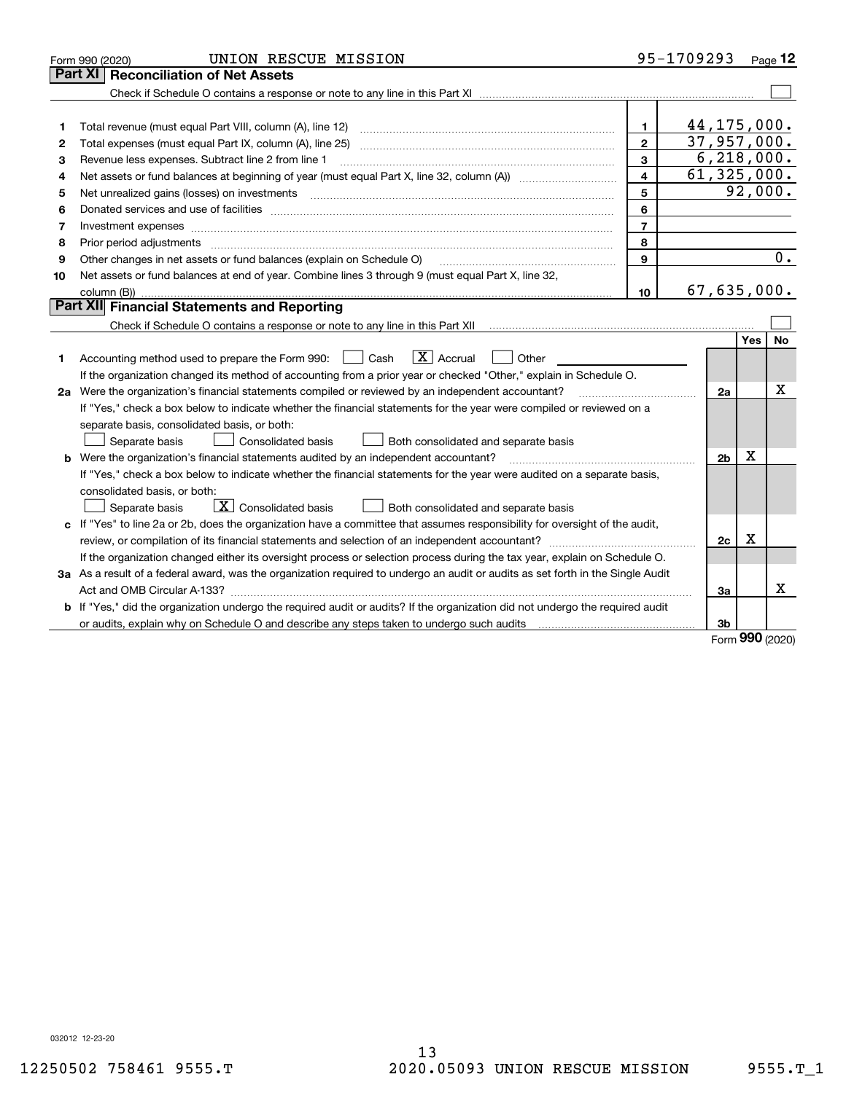|    | UNION RESCUE MISSION<br>Form 990 (2020)                                                                                         |                         | 95-1709293     |            | Page $12$ |
|----|---------------------------------------------------------------------------------------------------------------------------------|-------------------------|----------------|------------|-----------|
|    | <b>Part XI   Reconciliation of Net Assets</b>                                                                                   |                         |                |            |           |
|    |                                                                                                                                 |                         |                |            |           |
|    |                                                                                                                                 |                         |                |            |           |
| 1  |                                                                                                                                 | $\mathbf{1}$            | 44, 175, 000.  |            |           |
| 2  |                                                                                                                                 | $\overline{2}$          | 37,957,000.    |            |           |
| з  | Revenue less expenses. Subtract line 2 from line 1                                                                              | 3                       | 6, 218, 000.   |            |           |
| 4  |                                                                                                                                 | $\overline{\mathbf{4}}$ | 61, 325, 000.  |            |           |
| 5  | Net unrealized gains (losses) on investments                                                                                    | 5                       |                |            | 92,000.   |
| 6  |                                                                                                                                 | 6                       |                |            |           |
| 7  | Investment expenses www.communication.communication.com/www.communication.com/www.communication.com                             | $\overline{7}$          |                |            |           |
| 8  | Prior period adjustments www.communication.communication.communication.com/                                                     | 8                       |                |            |           |
| 9  | Other changes in net assets or fund balances (explain on Schedule O)                                                            | 9                       |                |            | 0.        |
| 10 | Net assets or fund balances at end of year. Combine lines 3 through 9 (must equal Part X, line 32,                              |                         |                |            |           |
|    |                                                                                                                                 | 10                      | 67,635,000.    |            |           |
|    | Part XII Financial Statements and Reporting                                                                                     |                         |                |            |           |
|    |                                                                                                                                 |                         |                |            |           |
|    |                                                                                                                                 |                         |                | Yes        | No        |
| 1  | $\boxed{\mathbf{X}}$ Accrual<br>Accounting method used to prepare the Form 990: <u>II</u> Cash<br>Other                         |                         |                |            |           |
|    | If the organization changed its method of accounting from a prior year or checked "Other," explain in Schedule O.               |                         |                |            |           |
|    | 2a Were the organization's financial statements compiled or reviewed by an independent accountant?                              |                         | 2a             |            | x         |
|    | If "Yes," check a box below to indicate whether the financial statements for the year were compiled or reviewed on a            |                         |                |            |           |
|    | separate basis, consolidated basis, or both:                                                                                    |                         |                |            |           |
|    | Separate basis<br><b>Consolidated basis</b><br>Both consolidated and separate basis                                             |                         |                |            |           |
|    | <b>b</b> Were the organization's financial statements audited by an independent accountant?                                     |                         | 2 <sub>b</sub> | Х          |           |
|    | If "Yes," check a box below to indicate whether the financial statements for the year were audited on a separate basis,         |                         |                |            |           |
|    | consolidated basis, or both:                                                                                                    |                         |                |            |           |
|    | $\mid$ $\rm X \mid$ Consolidated basis<br>Both consolidated and separate basis<br>Separate basis                                |                         |                |            |           |
|    | c If "Yes" to line 2a or 2b, does the organization have a committee that assumes responsibility for oversight of the audit,     |                         |                |            |           |
|    |                                                                                                                                 |                         | 2c             | х          |           |
|    | If the organization changed either its oversight process or selection process during the tax year, explain on Schedule O.       |                         |                |            |           |
|    | 3a As a result of a federal award, was the organization required to undergo an audit or audits as set forth in the Single Audit |                         |                |            |           |
|    |                                                                                                                                 |                         | Зa             |            | х         |
|    | b If "Yes," did the organization undergo the required audit or audits? If the organization did not undergo the required audit   |                         |                |            |           |
|    |                                                                                                                                 |                         | 3b             | <u>nnn</u> |           |

Form (2020) **990**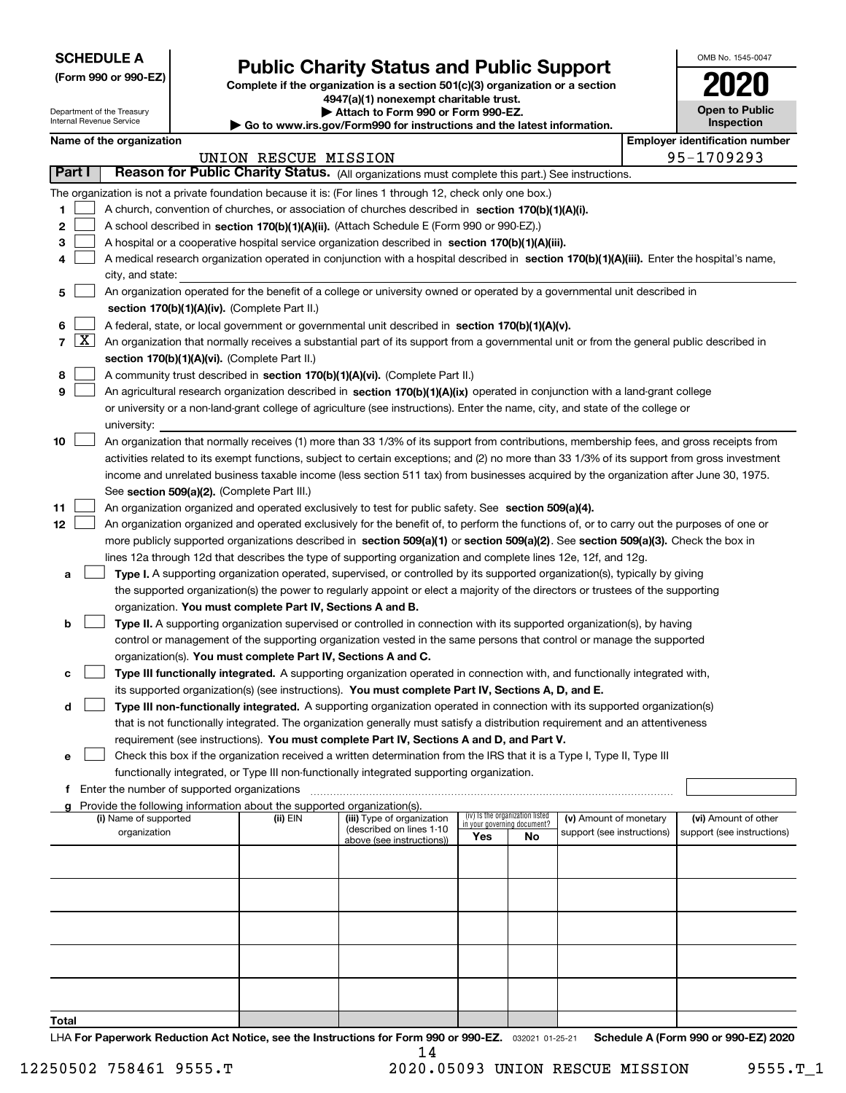| <b>SCHEDULE A</b> |
|-------------------|
|-------------------|

Department of the Treasury Internal Revenue Service

**(Form 990 or 990-EZ)**

## **Public Charity Status and Public Support**

**Complete if the organization is a section 501(c)(3) organization or a section 4947(a)(1) nonexempt charitable trust.**

**| Attach to Form 990 or Form 990-EZ.** 

**| Go to www.irs.gov/Form990 for instructions and the latest information.**

| OMB No 1545-0047                    |
|-------------------------------------|
| 020                                 |
| <b>Open to Public</b><br>Inspection |

|        |                         | Name of the organization                                                                                                                     |                      |                            |                             |                                 |                                                      | <b>Employer identification number</b>              |
|--------|-------------------------|----------------------------------------------------------------------------------------------------------------------------------------------|----------------------|----------------------------|-----------------------------|---------------------------------|------------------------------------------------------|----------------------------------------------------|
|        |                         |                                                                                                                                              | UNION RESCUE MISSION |                            |                             |                                 |                                                      | 95-1709293                                         |
| Part I |                         | Reason for Public Charity Status. (All organizations must complete this part.) See instructions.                                             |                      |                            |                             |                                 |                                                      |                                                    |
|        |                         | The organization is not a private foundation because it is: (For lines 1 through 12, check only one box.)                                    |                      |                            |                             |                                 |                                                      |                                                    |
| 1      |                         | A church, convention of churches, or association of churches described in section 170(b)(1)(A)(i).                                           |                      |                            |                             |                                 |                                                      |                                                    |
| 2      |                         | A school described in section 170(b)(1)(A)(ii). (Attach Schedule E (Form 990 or 990-EZ).)                                                    |                      |                            |                             |                                 |                                                      |                                                    |
| 3      |                         | A hospital or a cooperative hospital service organization described in section $170(b)(1)(A)(iii)$ .                                         |                      |                            |                             |                                 |                                                      |                                                    |
| 4      |                         | A medical research organization operated in conjunction with a hospital described in section 170(b)(1)(A)(iii). Enter the hospital's name,   |                      |                            |                             |                                 |                                                      |                                                    |
|        |                         | city, and state:                                                                                                                             |                      |                            |                             |                                 |                                                      |                                                    |
| 5      |                         | An organization operated for the benefit of a college or university owned or operated by a governmental unit described in                    |                      |                            |                             |                                 |                                                      |                                                    |
|        |                         | section 170(b)(1)(A)(iv). (Complete Part II.)                                                                                                |                      |                            |                             |                                 |                                                      |                                                    |
| 6      |                         | A federal, state, or local government or governmental unit described in section 170(b)(1)(A)(v).                                             |                      |                            |                             |                                 |                                                      |                                                    |
|        | 7 $\lfloor$ X $\rfloor$ | An organization that normally receives a substantial part of its support from a governmental unit or from the general public described in    |                      |                            |                             |                                 |                                                      |                                                    |
|        |                         | section 170(b)(1)(A)(vi). (Complete Part II.)                                                                                                |                      |                            |                             |                                 |                                                      |                                                    |
| 8      |                         | A community trust described in section 170(b)(1)(A)(vi). (Complete Part II.)                                                                 |                      |                            |                             |                                 |                                                      |                                                    |
| 9      |                         | An agricultural research organization described in section 170(b)(1)(A)(ix) operated in conjunction with a land-grant college                |                      |                            |                             |                                 |                                                      |                                                    |
|        |                         | or university or a non-land-grant college of agriculture (see instructions). Enter the name, city, and state of the college or               |                      |                            |                             |                                 |                                                      |                                                    |
|        |                         | university:                                                                                                                                  |                      |                            |                             |                                 |                                                      |                                                    |
| 10     |                         | An organization that normally receives (1) more than 33 1/3% of its support from contributions, membership fees, and gross receipts from     |                      |                            |                             |                                 |                                                      |                                                    |
|        |                         | activities related to its exempt functions, subject to certain exceptions; and (2) no more than 33 1/3% of its support from gross investment |                      |                            |                             |                                 |                                                      |                                                    |
|        |                         | income and unrelated business taxable income (less section 511 tax) from businesses acquired by the organization after June 30, 1975.        |                      |                            |                             |                                 |                                                      |                                                    |
|        |                         | See section 509(a)(2). (Complete Part III.)                                                                                                  |                      |                            |                             |                                 |                                                      |                                                    |
| 11     |                         | An organization organized and operated exclusively to test for public safety. See section 509(a)(4).                                         |                      |                            |                             |                                 |                                                      |                                                    |
| 12     |                         | An organization organized and operated exclusively for the benefit of, to perform the functions of, or to carry out the purposes of one or   |                      |                            |                             |                                 |                                                      |                                                    |
|        |                         | more publicly supported organizations described in section 509(a)(1) or section 509(a)(2). See section 509(a)(3). Check the box in           |                      |                            |                             |                                 |                                                      |                                                    |
|        |                         | lines 12a through 12d that describes the type of supporting organization and complete lines 12e, 12f, and 12g.                               |                      |                            |                             |                                 |                                                      |                                                    |
| а      |                         | Type I. A supporting organization operated, supervised, or controlled by its supported organization(s), typically by giving                  |                      |                            |                             |                                 |                                                      |                                                    |
|        |                         | the supported organization(s) the power to regularly appoint or elect a majority of the directors or trustees of the supporting              |                      |                            |                             |                                 |                                                      |                                                    |
|        |                         | organization. You must complete Part IV, Sections A and B.                                                                                   |                      |                            |                             |                                 |                                                      |                                                    |
| b      |                         | Type II. A supporting organization supervised or controlled in connection with its supported organization(s), by having                      |                      |                            |                             |                                 |                                                      |                                                    |
|        |                         | control or management of the supporting organization vested in the same persons that control or manage the supported                         |                      |                            |                             |                                 |                                                      |                                                    |
|        |                         | organization(s). You must complete Part IV, Sections A and C.                                                                                |                      |                            |                             |                                 |                                                      |                                                    |
| с      |                         | Type III functionally integrated. A supporting organization operated in connection with, and functionally integrated with,                   |                      |                            |                             |                                 |                                                      |                                                    |
|        |                         | its supported organization(s) (see instructions). You must complete Part IV, Sections A, D, and E.                                           |                      |                            |                             |                                 |                                                      |                                                    |
| d      |                         | Type III non-functionally integrated. A supporting organization operated in connection with its supported organization(s)                    |                      |                            |                             |                                 |                                                      |                                                    |
|        |                         | that is not functionally integrated. The organization generally must satisfy a distribution requirement and an attentiveness                 |                      |                            |                             |                                 |                                                      |                                                    |
|        |                         | requirement (see instructions). You must complete Part IV, Sections A and D, and Part V.                                                     |                      |                            |                             |                                 |                                                      |                                                    |
|        |                         | Check this box if the organization received a written determination from the IRS that it is a Type I, Type II, Type III                      |                      |                            |                             |                                 |                                                      |                                                    |
|        |                         | functionally integrated, or Type III non-functionally integrated supporting organization.                                                    |                      |                            |                             |                                 |                                                      |                                                    |
| f      |                         | Enter the number of supported organizations                                                                                                  |                      |                            |                             |                                 |                                                      |                                                    |
|        |                         | g Provide the following information about the supported organization(s).<br>(i) Name of supported                                            |                      | (iii) Type of organization |                             | (iv) Is the organization listed |                                                      |                                                    |
|        |                         | organization                                                                                                                                 | (ii) EIN             | (described on lines 1-10   | in your governing document? |                                 | (v) Amount of monetary<br>support (see instructions) | (vi) Amount of other<br>support (see instructions) |
|        |                         |                                                                                                                                              |                      | above (see instructions))  | Yes                         | No                              |                                                      |                                                    |
|        |                         |                                                                                                                                              |                      |                            |                             |                                 |                                                      |                                                    |
|        |                         |                                                                                                                                              |                      |                            |                             |                                 |                                                      |                                                    |
|        |                         |                                                                                                                                              |                      |                            |                             |                                 |                                                      |                                                    |
|        |                         |                                                                                                                                              |                      |                            |                             |                                 |                                                      |                                                    |
|        |                         |                                                                                                                                              |                      |                            |                             |                                 |                                                      |                                                    |
|        |                         |                                                                                                                                              |                      |                            |                             |                                 |                                                      |                                                    |
|        |                         |                                                                                                                                              |                      |                            |                             |                                 |                                                      |                                                    |
|        |                         |                                                                                                                                              |                      |                            |                             |                                 |                                                      |                                                    |
|        |                         |                                                                                                                                              |                      |                            |                             |                                 |                                                      |                                                    |
| Total  |                         |                                                                                                                                              |                      |                            |                             |                                 |                                                      |                                                    |

LHA For Paperwork Reduction Act Notice, see the Instructions for Form 990 or 990-EZ. <sub>032021</sub> o1-25-21 Schedule A (Form 990 or 990-EZ) 2020 14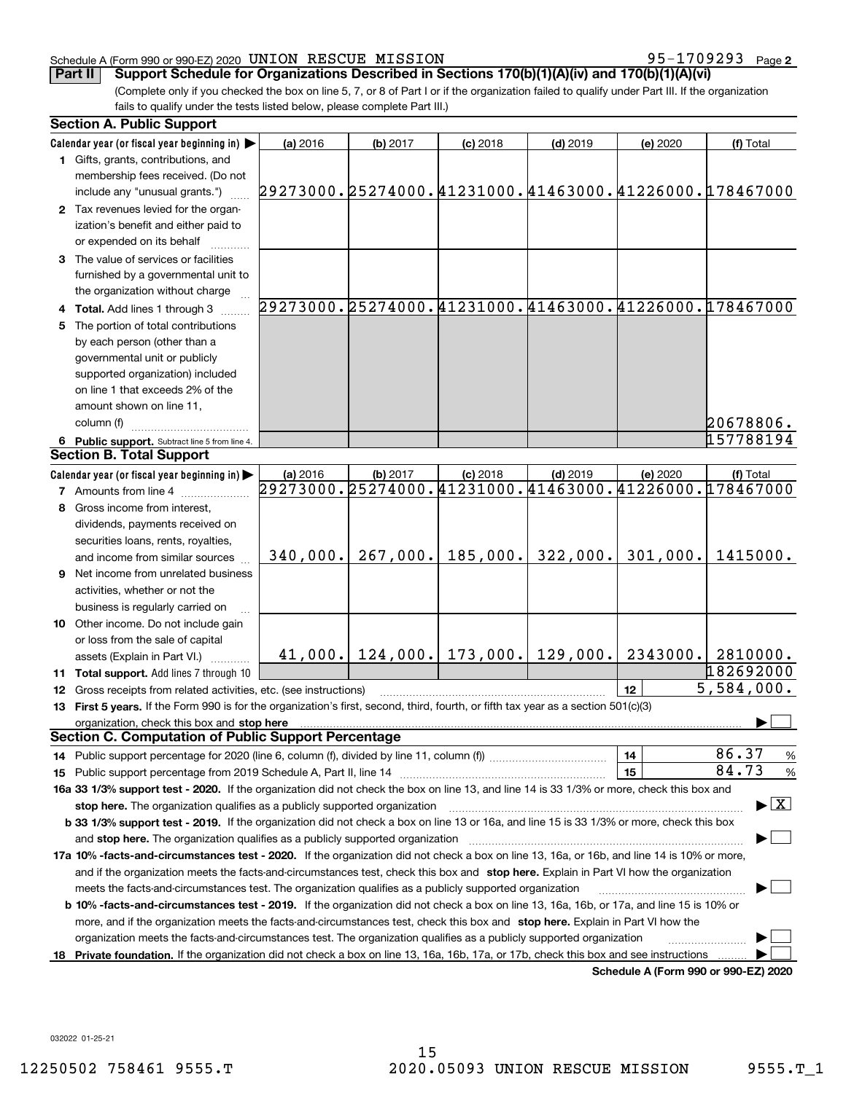### Schedule A (Form 990 or 990-EZ) 2020 Page UNION RESCUE MISSION 95-1709293

95-1709293 Page 2

(Complete only if you checked the box on line 5, 7, or 8 of Part I or if the organization failed to qualify under Part III. If the organization fails to qualify under the tests listed below, please complete Part III.) **Part II** Support Schedule for Organizations Described in Sections 170(b)(1)(A)(iv) and 170(b)(1)(A)(vi)

|   | <b>Section A. Public Support</b>                                                                                                                                                                                               |                                                                    |          |                                        |            |                                      |                                                        |
|---|--------------------------------------------------------------------------------------------------------------------------------------------------------------------------------------------------------------------------------|--------------------------------------------------------------------|----------|----------------------------------------|------------|--------------------------------------|--------------------------------------------------------|
|   | Calendar year (or fiscal year beginning in)                                                                                                                                                                                    | (a) 2016                                                           | (b) 2017 | $(c)$ 2018                             | $(d)$ 2019 | (e) 2020                             | (f) Total                                              |
|   | 1 Gifts, grants, contributions, and                                                                                                                                                                                            |                                                                    |          |                                        |            |                                      |                                                        |
|   | membership fees received. (Do not                                                                                                                                                                                              |                                                                    |          |                                        |            |                                      |                                                        |
|   | include any "unusual grants.")                                                                                                                                                                                                 | 29273000.25274000.41231000.41463000.41226000.178467000             |          |                                        |            |                                      |                                                        |
|   | 2 Tax revenues levied for the organ-                                                                                                                                                                                           |                                                                    |          |                                        |            |                                      |                                                        |
|   | ization's benefit and either paid to                                                                                                                                                                                           |                                                                    |          |                                        |            |                                      |                                                        |
|   | or expended on its behalf                                                                                                                                                                                                      |                                                                    |          |                                        |            |                                      |                                                        |
|   | 3 The value of services or facilities                                                                                                                                                                                          |                                                                    |          |                                        |            |                                      |                                                        |
|   | furnished by a governmental unit to                                                                                                                                                                                            |                                                                    |          |                                        |            |                                      |                                                        |
|   | the organization without charge                                                                                                                                                                                                |                                                                    |          |                                        |            |                                      |                                                        |
|   | 4 Total. Add lines 1 through 3                                                                                                                                                                                                 |                                                                    |          |                                        |            |                                      | 29273000.25274000.41231000.41463000.41226000.178467000 |
|   | The portion of total contributions                                                                                                                                                                                             |                                                                    |          |                                        |            |                                      |                                                        |
|   | by each person (other than a                                                                                                                                                                                                   |                                                                    |          |                                        |            |                                      |                                                        |
|   | governmental unit or publicly                                                                                                                                                                                                  |                                                                    |          |                                        |            |                                      |                                                        |
|   | supported organization) included                                                                                                                                                                                               |                                                                    |          |                                        |            |                                      |                                                        |
|   | on line 1 that exceeds 2% of the                                                                                                                                                                                               |                                                                    |          |                                        |            |                                      |                                                        |
|   | amount shown on line 11,                                                                                                                                                                                                       |                                                                    |          |                                        |            |                                      |                                                        |
|   | column (f)                                                                                                                                                                                                                     |                                                                    |          |                                        |            |                                      |                                                        |
|   |                                                                                                                                                                                                                                |                                                                    |          |                                        |            |                                      | 20678806.<br>157788194                                 |
|   | 6 Public support. Subtract line 5 from line 4.<br><b>Section B. Total Support</b>                                                                                                                                              |                                                                    |          |                                        |            |                                      |                                                        |
|   |                                                                                                                                                                                                                                |                                                                    |          |                                        |            |                                      |                                                        |
|   | Calendar year (or fiscal year beginning in)                                                                                                                                                                                    | (a) 2016<br>29273000.25274000.41231000.41463000.41226000.178467000 | (b) 2017 | $(c)$ 2018                             | $(d)$ 2019 | (e) 2020                             | (f) Total                                              |
|   | <b>7</b> Amounts from line 4                                                                                                                                                                                                   |                                                                    |          |                                        |            |                                      |                                                        |
| 8 | Gross income from interest,                                                                                                                                                                                                    |                                                                    |          |                                        |            |                                      |                                                        |
|   | dividends, payments received on                                                                                                                                                                                                |                                                                    |          |                                        |            |                                      |                                                        |
|   | securities loans, rents, royalties,                                                                                                                                                                                            |                                                                    |          |                                        |            |                                      |                                                        |
|   | and income from similar sources                                                                                                                                                                                                | 340,000.                                                           | 267,000. | 185,000.                               | 322,000.   | 301,000.                             | 1415000.                                               |
| 9 | Net income from unrelated business                                                                                                                                                                                             |                                                                    |          |                                        |            |                                      |                                                        |
|   | activities, whether or not the                                                                                                                                                                                                 |                                                                    |          |                                        |            |                                      |                                                        |
|   | business is regularly carried on                                                                                                                                                                                               |                                                                    |          |                                        |            |                                      |                                                        |
|   | <b>10</b> Other income. Do not include gain                                                                                                                                                                                    |                                                                    |          |                                        |            |                                      |                                                        |
|   | or loss from the sale of capital                                                                                                                                                                                               |                                                                    |          |                                        |            |                                      |                                                        |
|   | assets (Explain in Part VI.)                                                                                                                                                                                                   |                                                                    |          | $41,000.$ $124,000.$ 173,000. 129,000. |            | 2343000.                             | 2810000.                                               |
|   | 11 Total support. Add lines 7 through 10                                                                                                                                                                                       |                                                                    |          |                                        |            |                                      | 182692000                                              |
|   | 12 Gross receipts from related activities, etc. (see instructions)                                                                                                                                                             |                                                                    |          |                                        |            | 12                                   | 5,584,000.                                             |
|   | 13 First 5 years. If the Form 990 is for the organization's first, second, third, fourth, or fifth tax year as a section 501(c)(3)                                                                                             |                                                                    |          |                                        |            |                                      |                                                        |
|   | organization, check this box and stop here manufactured and according to the state of the state of the state of the state of the state of the state of the state of the state of the state of the state of the state of the st |                                                                    |          |                                        |            |                                      |                                                        |
|   | <b>Section C. Computation of Public Support Percentage</b>                                                                                                                                                                     |                                                                    |          |                                        |            |                                      |                                                        |
|   |                                                                                                                                                                                                                                |                                                                    |          |                                        |            | 14                                   | 86.37<br>$\frac{9}{6}$                                 |
|   |                                                                                                                                                                                                                                |                                                                    |          |                                        |            | 15                                   | 84.73<br>%                                             |
|   | 16a 33 1/3% support test - 2020. If the organization did not check the box on line 13, and line 14 is 33 1/3% or more, check this box and                                                                                      |                                                                    |          |                                        |            |                                      |                                                        |
|   | stop here. The organization qualifies as a publicly supported organization                                                                                                                                                     |                                                                    |          |                                        |            |                                      | $\blacktriangleright$ $\mid$ X                         |
|   | b 33 1/3% support test - 2019. If the organization did not check a box on line 13 or 16a, and line 15 is 33 1/3% or more, check this box                                                                                       |                                                                    |          |                                        |            |                                      |                                                        |
|   | and stop here. The organization qualifies as a publicly supported organization                                                                                                                                                 |                                                                    |          |                                        |            |                                      |                                                        |
|   | 17a 10% -facts-and-circumstances test - 2020. If the organization did not check a box on line 13, 16a, or 16b, and line 14 is 10% or more,                                                                                     |                                                                    |          |                                        |            |                                      |                                                        |
|   | and if the organization meets the facts-and-circumstances test, check this box and stop here. Explain in Part VI how the organization                                                                                          |                                                                    |          |                                        |            |                                      |                                                        |
|   | meets the facts-and-circumstances test. The organization qualifies as a publicly supported organization                                                                                                                        |                                                                    |          |                                        |            |                                      |                                                        |
|   | <b>b 10% -facts-and-circumstances test - 2019.</b> If the organization did not check a box on line 13, 16a, 16b, or 17a, and line 15 is 10% or                                                                                 |                                                                    |          |                                        |            |                                      |                                                        |
|   | more, and if the organization meets the facts-and-circumstances test, check this box and stop here. Explain in Part VI how the                                                                                                 |                                                                    |          |                                        |            |                                      |                                                        |
|   | organization meets the facts-and-circumstances test. The organization qualifies as a publicly supported organization                                                                                                           |                                                                    |          |                                        |            |                                      |                                                        |
|   | 18 Private foundation. If the organization did not check a box on line 13, 16a, 16b, 17a, or 17b, check this box and see instructions                                                                                          |                                                                    |          |                                        |            |                                      |                                                        |
|   |                                                                                                                                                                                                                                |                                                                    |          |                                        |            | Schedule A (Form 990 or 990-F7) 2020 |                                                        |

**Schedule A (Form 990 or 990-EZ) 2020**

032022 01-25-21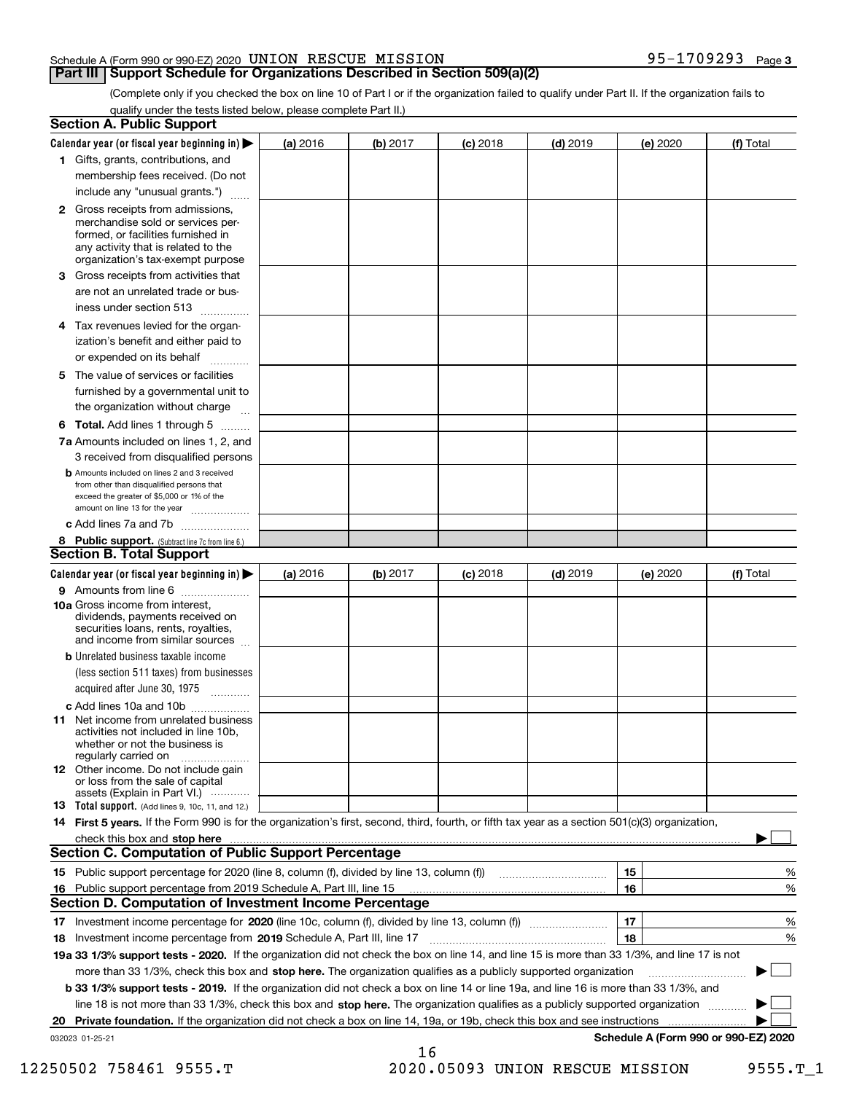### Schedule A (Form 990 or 990-EZ) 2020 Page UNION RESCUE MISSION 95-1709293

### **Part III** | Support Schedule for Organizations Described in Section 509(a)(2)

(Complete only if you checked the box on line 10 of Part I or if the organization failed to qualify under Part II. If the organization fails to qualify under the tests listed below, please complete Part II.)

| <b>Section A. Public Support</b>                                                                                                                                                                                                     |          |          |            |            |          |                                      |
|--------------------------------------------------------------------------------------------------------------------------------------------------------------------------------------------------------------------------------------|----------|----------|------------|------------|----------|--------------------------------------|
| Calendar year (or fiscal year beginning in) $\blacktriangleright$                                                                                                                                                                    | (a) 2016 | (b) 2017 | $(c)$ 2018 | $(d)$ 2019 | (e) 2020 | (f) Total                            |
| 1 Gifts, grants, contributions, and                                                                                                                                                                                                  |          |          |            |            |          |                                      |
| membership fees received. (Do not                                                                                                                                                                                                    |          |          |            |            |          |                                      |
| include any "unusual grants.")                                                                                                                                                                                                       |          |          |            |            |          |                                      |
| 2 Gross receipts from admissions,<br>merchandise sold or services per-<br>formed, or facilities furnished in<br>any activity that is related to the<br>organization's tax-exempt purpose                                             |          |          |            |            |          |                                      |
| 3 Gross receipts from activities that<br>are not an unrelated trade or bus-                                                                                                                                                          |          |          |            |            |          |                                      |
| iness under section 513                                                                                                                                                                                                              |          |          |            |            |          |                                      |
| 4 Tax revenues levied for the organ-<br>ization's benefit and either paid to<br>or expended on its behalf<br>.                                                                                                                       |          |          |            |            |          |                                      |
| 5 The value of services or facilities<br>furnished by a governmental unit to<br>the organization without charge                                                                                                                      |          |          |            |            |          |                                      |
| <b>6 Total.</b> Add lines 1 through 5                                                                                                                                                                                                |          |          |            |            |          |                                      |
| 7a Amounts included on lines 1, 2, and<br>3 received from disqualified persons                                                                                                                                                       |          |          |            |            |          |                                      |
| <b>b</b> Amounts included on lines 2 and 3 received<br>from other than disqualified persons that<br>exceed the greater of \$5,000 or 1% of the<br>amount on line 13 for the year                                                     |          |          |            |            |          |                                      |
| c Add lines 7a and 7b                                                                                                                                                                                                                |          |          |            |            |          |                                      |
| 8 Public support. (Subtract line 7c from line 6.)                                                                                                                                                                                    |          |          |            |            |          |                                      |
| <b>Section B. Total Support</b>                                                                                                                                                                                                      |          |          |            |            |          |                                      |
| Calendar year (or fiscal year beginning in) $\blacktriangleright$                                                                                                                                                                    | (a) 2016 | (b) 2017 | $(c)$ 2018 | $(d)$ 2019 | (e) 2020 | (f) Total                            |
| 9 Amounts from line 6                                                                                                                                                                                                                |          |          |            |            |          |                                      |
| 10a Gross income from interest,<br>dividends, payments received on<br>securities loans, rents, royalties,<br>and income from similar sources                                                                                         |          |          |            |            |          |                                      |
| <b>b</b> Unrelated business taxable income<br>(less section 511 taxes) from businesses<br>acquired after June 30, 1975<br>1.1.1.1.1.1.1.1.1.1                                                                                        |          |          |            |            |          |                                      |
| c Add lines 10a and 10b                                                                                                                                                                                                              |          |          |            |            |          |                                      |
| <b>11</b> Net income from unrelated business<br>activities not included in line 10b.<br>whether or not the business is<br>regularly carried on                                                                                       |          |          |            |            |          |                                      |
| <b>12</b> Other income. Do not include gain<br>or loss from the sale of capital<br>assets (Explain in Part VI.)                                                                                                                      |          |          |            |            |          |                                      |
| <b>13</b> Total support. (Add lines 9, 10c, 11, and 12.)                                                                                                                                                                             |          |          |            |            |          |                                      |
| 14 First 5 years. If the Form 990 is for the organization's first, second, third, fourth, or fifth tax year as a section 501(c)(3) organization,                                                                                     |          |          |            |            |          |                                      |
| check this box and stop here <b>contractly contractly and structure and structure of the structure of the structure of the structure of the structure of the structure of the structure of the structure of the structure of the</b> |          |          |            |            |          |                                      |
| <b>Section C. Computation of Public Support Percentage</b>                                                                                                                                                                           |          |          |            |            |          |                                      |
|                                                                                                                                                                                                                                      |          |          |            |            | 15       | %                                    |
| 16 Public support percentage from 2019 Schedule A, Part III, line 15                                                                                                                                                                 |          |          |            |            | 16       | %                                    |
| <b>Section D. Computation of Investment Income Percentage</b>                                                                                                                                                                        |          |          |            |            |          |                                      |
| 17 Investment income percentage for 2020 (line 10c, column (f), divided by line 13, column (f))                                                                                                                                      |          |          |            |            | 17       | %                                    |
| 18 Investment income percentage from 2019 Schedule A, Part III, line 17                                                                                                                                                              |          |          |            |            | 18       | %                                    |
| 19a 33 1/3% support tests - 2020. If the organization did not check the box on line 14, and line 15 is more than 33 1/3%, and line 17 is not                                                                                         |          |          |            |            |          |                                      |
| more than 33 1/3%, check this box and stop here. The organization qualifies as a publicly supported organization                                                                                                                     |          |          |            |            |          |                                      |
| b 33 1/3% support tests - 2019. If the organization did not check a box on line 14 or line 19a, and line 16 is more than 33 1/3%, and                                                                                                |          |          |            |            |          |                                      |
| line 18 is not more than 33 1/3%, check this box and stop here. The organization qualifies as a publicly supported organization                                                                                                      |          |          |            |            |          |                                      |
| 20 Private foundation. If the organization did not check a box on line 14, 19a, or 19b, check this box and see instructions                                                                                                          |          |          |            |            |          | .                                    |
| 032023 01-25-21                                                                                                                                                                                                                      |          | 16       |            |            |          | Schedule A (Form 990 or 990-EZ) 2020 |

12250502 758461 9555.T 2020.05093 UNION RESCUE MISSION 9555.T\_1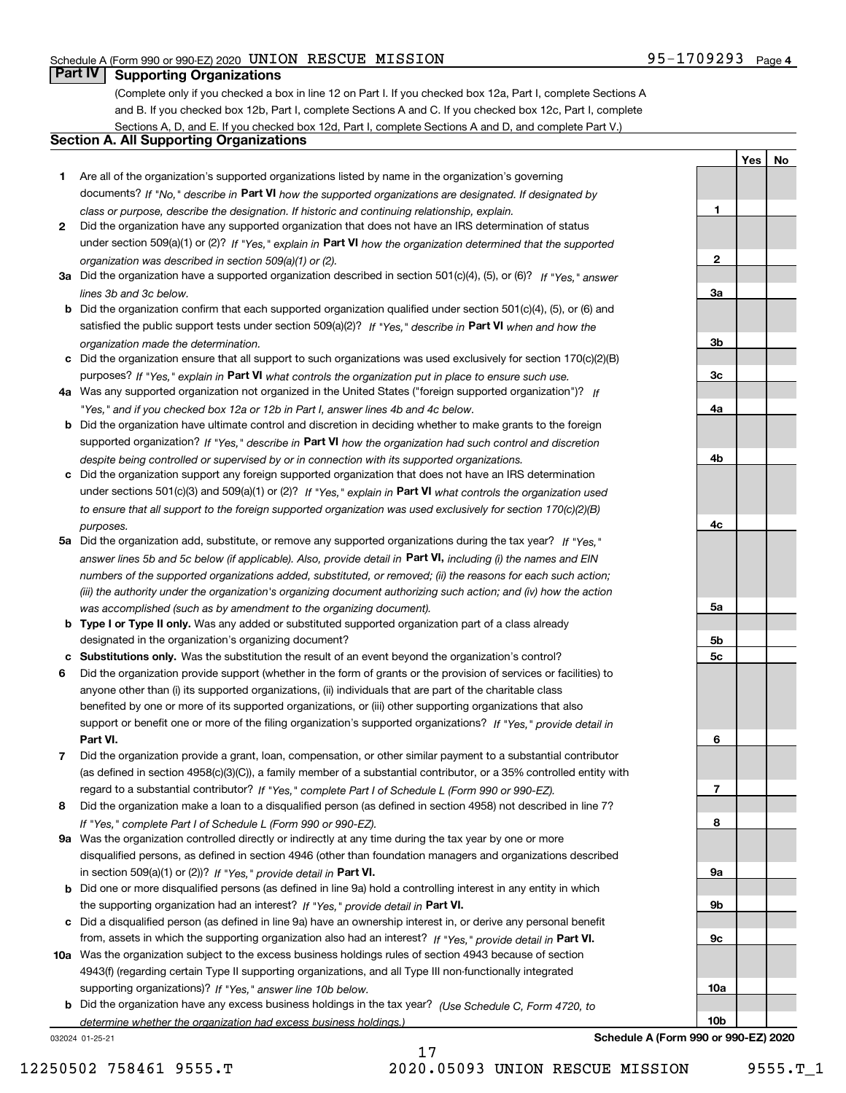**1**

**2**

**3a**

**3b**

**3c**

**4a**

**4b**

**4c**

**5a**

**5b5c** **YesNo**

## **Part IV Supporting Organizations**

(Complete only if you checked a box in line 12 on Part I. If you checked box 12a, Part I, complete Sections A and B. If you checked box 12b, Part I, complete Sections A and C. If you checked box 12c, Part I, complete Sections A, D, and E. If you checked box 12d, Part I, complete Sections A and D, and complete Part V.)

### **Section A. All Supporting Organizations**

- **1** Are all of the organization's supported organizations listed by name in the organization's governing documents? If "No," describe in **Part VI** how the supported organizations are designated. If designated by *class or purpose, describe the designation. If historic and continuing relationship, explain.*
- **2** Did the organization have any supported organization that does not have an IRS determination of status under section 509(a)(1) or (2)? If "Yes," explain in Part VI how the organization determined that the supported *organization was described in section 509(a)(1) or (2).*
- **3a** Did the organization have a supported organization described in section 501(c)(4), (5), or (6)? If "Yes," answer *lines 3b and 3c below.*
- **b** Did the organization confirm that each supported organization qualified under section 501(c)(4), (5), or (6) and satisfied the public support tests under section 509(a)(2)? If "Yes," describe in **Part VI** when and how the *organization made the determination.*
- **c**Did the organization ensure that all support to such organizations was used exclusively for section 170(c)(2)(B) purposes? If "Yes," explain in **Part VI** what controls the organization put in place to ensure such use.
- **4a***If* Was any supported organization not organized in the United States ("foreign supported organization")? *"Yes," and if you checked box 12a or 12b in Part I, answer lines 4b and 4c below.*
- **b** Did the organization have ultimate control and discretion in deciding whether to make grants to the foreign supported organization? If "Yes," describe in **Part VI** how the organization had such control and discretion *despite being controlled or supervised by or in connection with its supported organizations.*
- **c** Did the organization support any foreign supported organization that does not have an IRS determination under sections 501(c)(3) and 509(a)(1) or (2)? If "Yes," explain in **Part VI** what controls the organization used *to ensure that all support to the foreign supported organization was used exclusively for section 170(c)(2)(B) purposes.*
- **5a** Did the organization add, substitute, or remove any supported organizations during the tax year? If "Yes," answer lines 5b and 5c below (if applicable). Also, provide detail in **Part VI,** including (i) the names and EIN *numbers of the supported organizations added, substituted, or removed; (ii) the reasons for each such action; (iii) the authority under the organization's organizing document authorizing such action; and (iv) how the action was accomplished (such as by amendment to the organizing document).*
- **b** Type I or Type II only. Was any added or substituted supported organization part of a class already designated in the organization's organizing document?
- **cSubstitutions only.**  Was the substitution the result of an event beyond the organization's control?
- **6** Did the organization provide support (whether in the form of grants or the provision of services or facilities) to **Part VI.** *If "Yes," provide detail in* support or benefit one or more of the filing organization's supported organizations? anyone other than (i) its supported organizations, (ii) individuals that are part of the charitable class benefited by one or more of its supported organizations, or (iii) other supporting organizations that also
- **7**Did the organization provide a grant, loan, compensation, or other similar payment to a substantial contributor *If "Yes," complete Part I of Schedule L (Form 990 or 990-EZ).* regard to a substantial contributor? (as defined in section 4958(c)(3)(C)), a family member of a substantial contributor, or a 35% controlled entity with
- **8** Did the organization make a loan to a disqualified person (as defined in section 4958) not described in line 7? *If "Yes," complete Part I of Schedule L (Form 990 or 990-EZ).*
- **9a** Was the organization controlled directly or indirectly at any time during the tax year by one or more in section 509(a)(1) or (2))? If "Yes," *provide detail in* <code>Part VI.</code> disqualified persons, as defined in section 4946 (other than foundation managers and organizations described
- **b** Did one or more disqualified persons (as defined in line 9a) hold a controlling interest in any entity in which the supporting organization had an interest? If "Yes," provide detail in P**art VI**.
- **c**Did a disqualified person (as defined in line 9a) have an ownership interest in, or derive any personal benefit from, assets in which the supporting organization also had an interest? If "Yes," provide detail in P**art VI.**
- **10a** Was the organization subject to the excess business holdings rules of section 4943 because of section supporting organizations)? If "Yes," answer line 10b below. 4943(f) (regarding certain Type II supporting organizations, and all Type III non-functionally integrated
- **b** Did the organization have any excess business holdings in the tax year? (Use Schedule C, Form 4720, to *determine whether the organization had excess business holdings.)*

032024 01-25-21



**Schedule A (Form 990 or 990-EZ) 2020**

17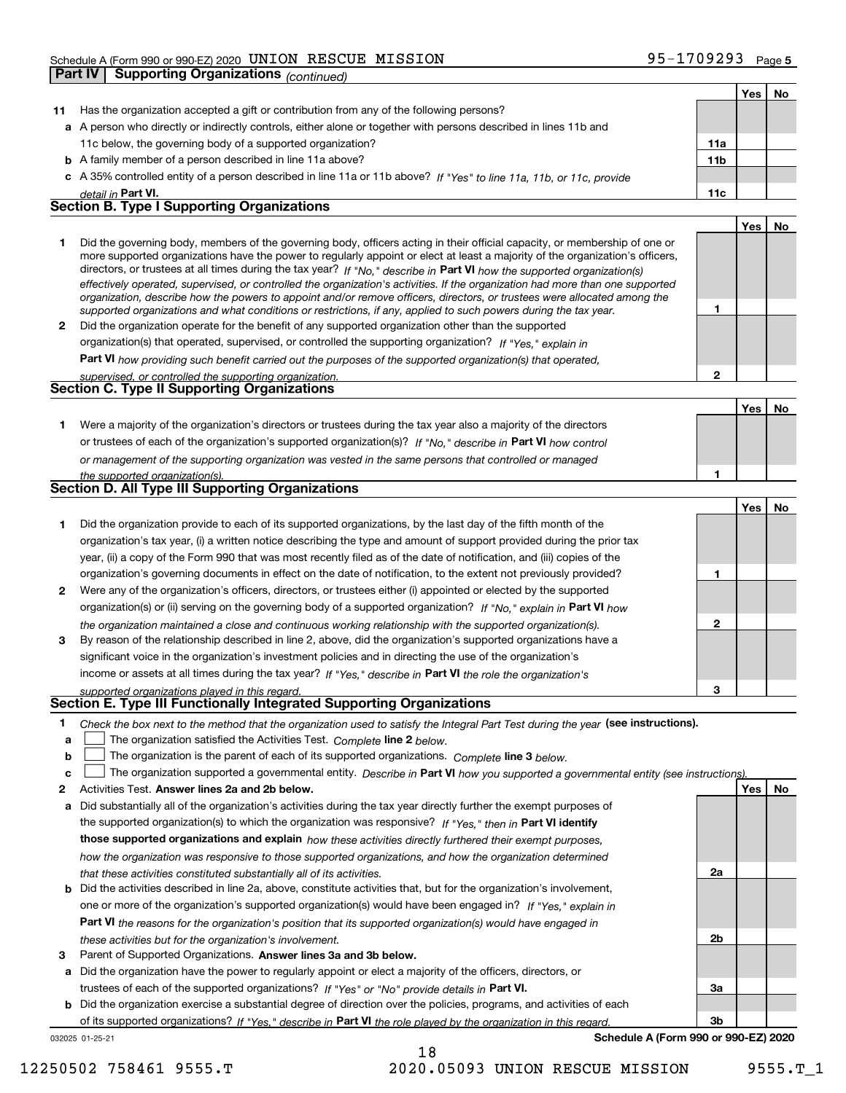|              | <b>Part IV</b> | Cheddie A (I onn 990 or 990 LE) 2020<br><b>Supporting Organizations (continued)</b>                                                                                                                                                                        |                 |     |    |
|--------------|----------------|------------------------------------------------------------------------------------------------------------------------------------------------------------------------------------------------------------------------------------------------------------|-----------------|-----|----|
|              |                |                                                                                                                                                                                                                                                            |                 | Yes | No |
| 11           |                | Has the organization accepted a gift or contribution from any of the following persons?                                                                                                                                                                    |                 |     |    |
|              |                | a A person who directly or indirectly controls, either alone or together with persons described in lines 11b and                                                                                                                                           |                 |     |    |
|              |                | 11c below, the governing body of a supported organization?                                                                                                                                                                                                 | 11a             |     |    |
|              |                | <b>b</b> A family member of a person described in line 11a above?                                                                                                                                                                                          | 11 <sub>b</sub> |     |    |
| c            |                | A 35% controlled entity of a person described in line 11a or 11b above? If "Yes" to line 11a, 11b, or 11c, provide                                                                                                                                         |                 |     |    |
|              |                | detail in Part VI.                                                                                                                                                                                                                                         | 11c             |     |    |
|              |                | <b>Section B. Type I Supporting Organizations</b>                                                                                                                                                                                                          |                 |     |    |
|              |                |                                                                                                                                                                                                                                                            |                 | Yes | No |
| 1            |                | Did the governing body, members of the governing body, officers acting in their official capacity, or membership of one or                                                                                                                                 |                 |     |    |
|              |                | more supported organizations have the power to regularly appoint or elect at least a majority of the organization's officers,<br>directors, or trustees at all times during the tax year? If "No," describe in Part VI how the supported organization(s)   |                 |     |    |
|              |                | effectively operated, supervised, or controlled the organization's activities. If the organization had more than one supported<br>organization, describe how the powers to appoint and/or remove officers, directors, or trustees were allocated among the |                 |     |    |
|              |                | supported organizations and what conditions or restrictions, if any, applied to such powers during the tax year.                                                                                                                                           | 1               |     |    |
| $\mathbf{2}$ |                | Did the organization operate for the benefit of any supported organization other than the supported                                                                                                                                                        |                 |     |    |
|              |                | organization(s) that operated, supervised, or controlled the supporting organization? If "Yes," explain in                                                                                                                                                 |                 |     |    |
|              |                | <b>Part VI</b> how providing such benefit carried out the purposes of the supported organization(s) that operated,                                                                                                                                         | $\mathbf{2}$    |     |    |
|              |                | supervised, or controlled the supporting organization.<br>Section C. Type II Supporting Organizations                                                                                                                                                      |                 |     |    |
|              |                |                                                                                                                                                                                                                                                            |                 |     | No |
|              |                |                                                                                                                                                                                                                                                            |                 | Yes |    |
| 1.           |                | Were a majority of the organization's directors or trustees during the tax year also a majority of the directors<br>or trustees of each of the organization's supported organization(s)? If "No." describe in Part VI how control                          |                 |     |    |
|              |                |                                                                                                                                                                                                                                                            |                 |     |    |
|              |                | or management of the supporting organization was vested in the same persons that controlled or managed                                                                                                                                                     | 1               |     |    |
|              |                | the supported organization(s).<br>Section D. All Type III Supporting Organizations                                                                                                                                                                         |                 |     |    |
|              |                |                                                                                                                                                                                                                                                            |                 | Yes | No |
|              |                |                                                                                                                                                                                                                                                            |                 |     |    |
| 1.           |                | Did the organization provide to each of its supported organizations, by the last day of the fifth month of the                                                                                                                                             |                 |     |    |
|              |                | organization's tax year, (i) a written notice describing the type and amount of support provided during the prior tax                                                                                                                                      |                 |     |    |
|              |                | year, (ii) a copy of the Form 990 that was most recently filed as of the date of notification, and (iii) copies of the                                                                                                                                     |                 |     |    |
|              |                | organization's governing documents in effect on the date of notification, to the extent not previously provided?                                                                                                                                           | 1               |     |    |
| 2            |                | Were any of the organization's officers, directors, or trustees either (i) appointed or elected by the supported<br>organization(s) or (ii) serving on the governing body of a supported organization? If "No," explain in Part VI how                     |                 |     |    |
|              |                | the organization maintained a close and continuous working relationship with the supported organization(s).                                                                                                                                                | $\mathbf{2}$    |     |    |
| 3            |                | By reason of the relationship described in line 2, above, did the organization's supported organizations have a                                                                                                                                            |                 |     |    |
|              |                | significant voice in the organization's investment policies and in directing the use of the organization's                                                                                                                                                 |                 |     |    |
|              |                | income or assets at all times during the tax year? If "Yes," describe in Part VI the role the organization's                                                                                                                                               |                 |     |    |
|              |                | supported organizations played in this regard.                                                                                                                                                                                                             | 3               |     |    |
|              |                | Section E. Type III Functionally Integrated Supporting Organizations                                                                                                                                                                                       |                 |     |    |
| 1            |                | Check the box next to the method that the organization used to satisfy the Integral Part Test during the year (see instructions).                                                                                                                          |                 |     |    |
| a            |                | The organization satisfied the Activities Test. Complete line 2 below.                                                                                                                                                                                     |                 |     |    |
| b            |                | The organization is the parent of each of its supported organizations. Complete line 3 below.                                                                                                                                                              |                 |     |    |
| c            |                | The organization supported a governmental entity. Describe in Part VI how you supported a governmental entity (see instructions).                                                                                                                          |                 |     |    |
| 2            |                | Activities Test. Answer lines 2a and 2b below.                                                                                                                                                                                                             |                 | Yes | No |
| a            |                | Did substantially all of the organization's activities during the tax year directly further the exempt purposes of                                                                                                                                         |                 |     |    |

**b** Did the activities described in line 2a, above, constitute activities that, but for the organization's involvement, the supported organization(s) to which the organization was responsive? If "Yes," then in **Part VI identify those supported organizations and explain**  *how these activities directly furthered their exempt purposes,* **Part VI**  *the reasons for the organization's position that its supported organization(s) would have engaged in how the organization was responsive to those supported organizations, and how the organization determined that these activities constituted substantially all of its activities.* one or more of the organization's supported organization(s) would have been engaged in? If "Yes," e*xplain in* 

**b** Did the organization exercise a substantial degree of direction over the policies, programs, and activities of each

of its supported organizations? If "Yes," describe in Part VI the role played by the organization in this regard.

**a** Did the organization have the power to regularly appoint or elect a majority of the officers, directors, or

trustees of each of the supported organizations? If "Yes" or "No" provide details in **Part VI.** 

**3** Parent of Supported Organizations. Answer lines 3a and 3b below.

*these activities but for the organization's involvement.*



032025 01-25-21

**Schedule A (Form 990 or 990-EZ) 2020**

18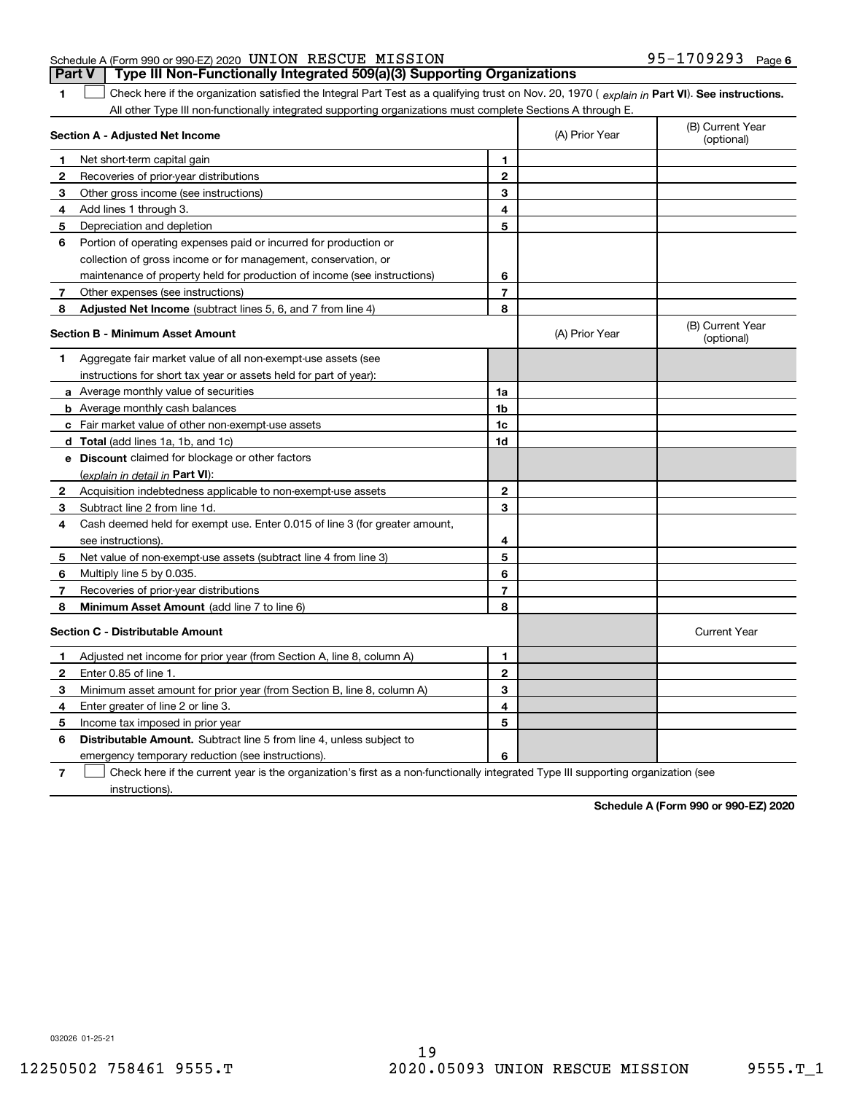|                                                           |  | <b>Part V</b> Type III Non-Functionally Integrated 509(a)(3) Supporting Organizations |                   |  |
|-----------------------------------------------------------|--|---------------------------------------------------------------------------------------|-------------------|--|
| Schedule A (Form 990 or 990-EZ) 2020 UNION RESCUE MISSION |  |                                                                                       | 95-1709293 Page 6 |  |

**1**

1 Check here if the organization satisfied the Integral Part Test as a qualifying trust on Nov. 20, 1970 (explain in Part VI). See instructions. All other Type III non-functionally integrated supporting organizations must complete Sections A through E.

|    | Section A - Adjusted Net Income                                             |                | (A) Prior Year | (B) Current Year<br>(optional) |
|----|-----------------------------------------------------------------------------|----------------|----------------|--------------------------------|
| 1. | Net short-term capital gain                                                 | 1              |                |                                |
| 2  | Recoveries of prior-year distributions                                      | $\overline{2}$ |                |                                |
| 3  | Other gross income (see instructions)                                       | 3              |                |                                |
| 4  | Add lines 1 through 3.                                                      | 4              |                |                                |
| 5  | Depreciation and depletion                                                  | 5              |                |                                |
| 6  | Portion of operating expenses paid or incurred for production or            |                |                |                                |
|    | collection of gross income or for management, conservation, or              |                |                |                                |
|    | maintenance of property held for production of income (see instructions)    | 6              |                |                                |
| 7  | Other expenses (see instructions)                                           | $\overline{7}$ |                |                                |
| 8  | Adjusted Net Income (subtract lines 5, 6, and 7 from line 4)                | 8              |                |                                |
|    | <b>Section B - Minimum Asset Amount</b>                                     |                | (A) Prior Year | (B) Current Year<br>(optional) |
| 1  | Aggregate fair market value of all non-exempt-use assets (see               |                |                |                                |
|    | instructions for short tax year or assets held for part of year):           |                |                |                                |
|    | a Average monthly value of securities                                       | 1a             |                |                                |
|    | <b>b</b> Average monthly cash balances                                      | 1b             |                |                                |
|    | c Fair market value of other non-exempt-use assets                          | 1c             |                |                                |
|    | d Total (add lines 1a, 1b, and 1c)                                          | 1d             |                |                                |
|    | <b>e</b> Discount claimed for blockage or other factors                     |                |                |                                |
|    | (explain in detail in Part VI):                                             |                |                |                                |
| 2  | Acquisition indebtedness applicable to non-exempt-use assets                | $\mathbf{2}$   |                |                                |
| 3  | Subtract line 2 from line 1d.                                               | 3              |                |                                |
| 4  | Cash deemed held for exempt use. Enter 0.015 of line 3 (for greater amount, |                |                |                                |
|    | see instructions).                                                          | 4              |                |                                |
| 5  | Net value of non-exempt-use assets (subtract line 4 from line 3)            | 5              |                |                                |
| 6  | Multiply line 5 by 0.035.                                                   | 6              |                |                                |
| 7  | Recoveries of prior-year distributions                                      | $\overline{7}$ |                |                                |
| 8  | Minimum Asset Amount (add line 7 to line 6)                                 | 8              |                |                                |
|    | <b>Section C - Distributable Amount</b>                                     |                |                | <b>Current Year</b>            |
| 1  | Adjusted net income for prior year (from Section A, line 8, column A)       | 1              |                |                                |
| 2  | Enter 0.85 of line 1.                                                       | $\overline{2}$ |                |                                |
| 3  | Minimum asset amount for prior year (from Section B, line 8, column A)      | 3              |                |                                |
| 4  | Enter greater of line 2 or line 3.                                          | 4              |                |                                |
| 5  | Income tax imposed in prior year                                            | 5              |                |                                |
| 6  | <b>Distributable Amount.</b> Subtract line 5 from line 4, unless subject to |                |                |                                |
|    | emergency temporary reduction (see instructions).                           | 6              |                |                                |
|    |                                                                             |                |                |                                |

**7**Check here if the current year is the organization's first as a non-functionally integrated Type III supporting organization (see instructions).

**Schedule A (Form 990 or 990-EZ) 2020**

032026 01-25-21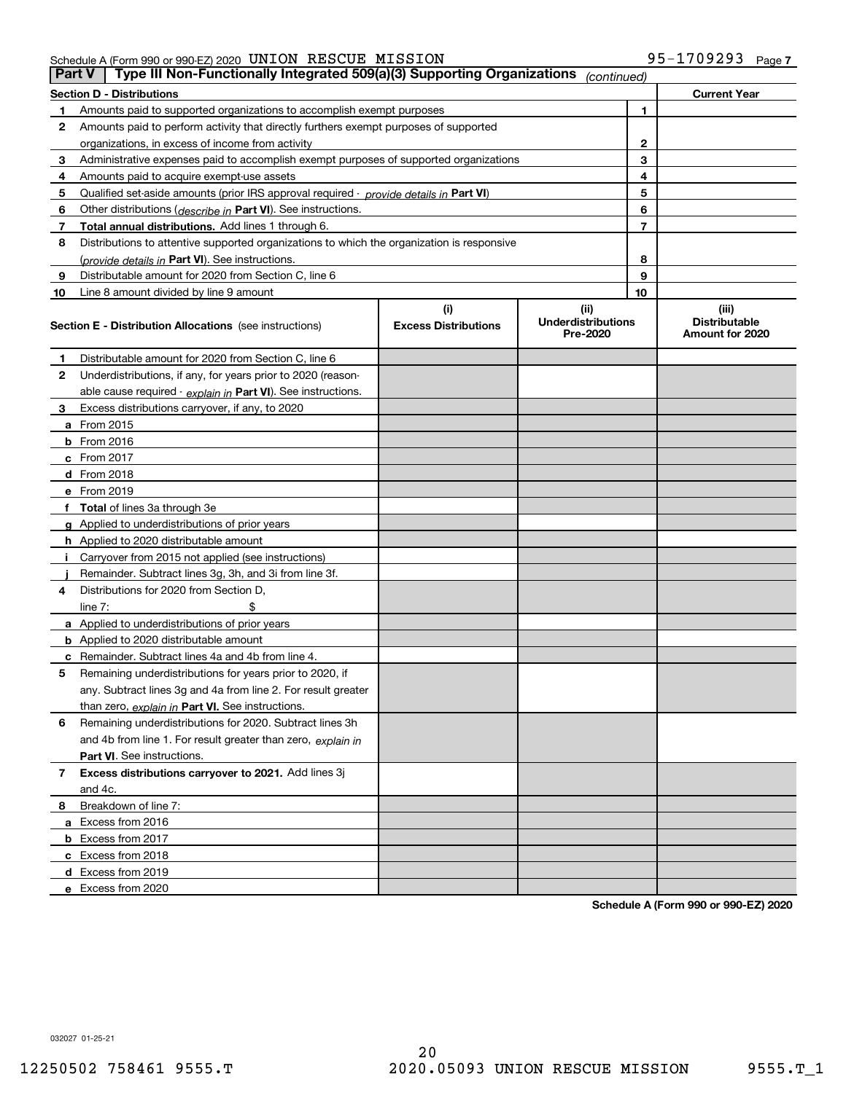### Schedule A (Form 990 or 990-EZ) 2020 Page UNION RESCUE MISSION 95-1709293

|    | Type III Non-Functionally Integrated 509(a)(3) Supporting Organizations<br>Part V<br>(continued) |                                    |                                               |                                                  |  |  |  |
|----|--------------------------------------------------------------------------------------------------|------------------------------------|-----------------------------------------------|--------------------------------------------------|--|--|--|
|    | <b>Section D - Distributions</b>                                                                 |                                    |                                               | <b>Current Year</b>                              |  |  |  |
|    | Amounts paid to supported organizations to accomplish exempt purposes                            |                                    | 1                                             |                                                  |  |  |  |
| 2  | Amounts paid to perform activity that directly furthers exempt purposes of supported             |                                    |                                               |                                                  |  |  |  |
|    | organizations, in excess of income from activity                                                 | 2                                  |                                               |                                                  |  |  |  |
| 3  | Administrative expenses paid to accomplish exempt purposes of supported organizations            | 3                                  |                                               |                                                  |  |  |  |
| 4  | Amounts paid to acquire exempt-use assets                                                        | 4                                  |                                               |                                                  |  |  |  |
| 5  | Qualified set aside amounts (prior IRS approval required - provide details in Part VI)           | 5                                  |                                               |                                                  |  |  |  |
| 6  | Other distributions (describe in Part VI). See instructions.                                     | 6                                  |                                               |                                                  |  |  |  |
| 7  | Total annual distributions. Add lines 1 through 6.                                               |                                    | 7                                             |                                                  |  |  |  |
| 8  | Distributions to attentive supported organizations to which the organization is responsive       |                                    |                                               |                                                  |  |  |  |
|    | (provide details in Part VI). See instructions.                                                  | 8                                  |                                               |                                                  |  |  |  |
| 9  | Distributable amount for 2020 from Section C, line 6                                             | 9                                  |                                               |                                                  |  |  |  |
| 10 | Line 8 amount divided by line 9 amount                                                           |                                    | 10                                            |                                                  |  |  |  |
|    | <b>Section E - Distribution Allocations</b> (see instructions)                                   | (i)<br><b>Excess Distributions</b> | (ii)<br><b>Underdistributions</b><br>Pre-2020 | (iii)<br><b>Distributable</b><br>Amount for 2020 |  |  |  |
| 1  | Distributable amount for 2020 from Section C, line 6                                             |                                    |                                               |                                                  |  |  |  |
| 2  | Underdistributions, if any, for years prior to 2020 (reason-                                     |                                    |                                               |                                                  |  |  |  |
|    | able cause required - explain in Part VI). See instructions.                                     |                                    |                                               |                                                  |  |  |  |
| 3  | Excess distributions carryover, if any, to 2020                                                  |                                    |                                               |                                                  |  |  |  |
|    | a From 2015                                                                                      |                                    |                                               |                                                  |  |  |  |
|    | $b$ From 2016                                                                                    |                                    |                                               |                                                  |  |  |  |
|    | $c$ From 2017                                                                                    |                                    |                                               |                                                  |  |  |  |
|    | <b>d</b> From 2018                                                                               |                                    |                                               |                                                  |  |  |  |
|    | e From 2019                                                                                      |                                    |                                               |                                                  |  |  |  |
|    | f Total of lines 3a through 3e                                                                   |                                    |                                               |                                                  |  |  |  |
|    | g Applied to underdistributions of prior years                                                   |                                    |                                               |                                                  |  |  |  |
|    | <b>h</b> Applied to 2020 distributable amount                                                    |                                    |                                               |                                                  |  |  |  |
|    | Carryover from 2015 not applied (see instructions)                                               |                                    |                                               |                                                  |  |  |  |
|    | Remainder. Subtract lines 3g, 3h, and 3i from line 3f.                                           |                                    |                                               |                                                  |  |  |  |
| 4  | Distributions for 2020 from Section D.                                                           |                                    |                                               |                                                  |  |  |  |
|    | line $7:$                                                                                        |                                    |                                               |                                                  |  |  |  |
|    | a Applied to underdistributions of prior years                                                   |                                    |                                               |                                                  |  |  |  |
|    | <b>b</b> Applied to 2020 distributable amount                                                    |                                    |                                               |                                                  |  |  |  |
|    | <b>c</b> Remainder. Subtract lines 4a and 4b from line 4.                                        |                                    |                                               |                                                  |  |  |  |
| 5  | Remaining underdistributions for years prior to 2020, if                                         |                                    |                                               |                                                  |  |  |  |
|    | any. Subtract lines 3g and 4a from line 2. For result greater                                    |                                    |                                               |                                                  |  |  |  |
|    | than zero, explain in Part VI. See instructions.                                                 |                                    |                                               |                                                  |  |  |  |
| 6  | Remaining underdistributions for 2020. Subtract lines 3h                                         |                                    |                                               |                                                  |  |  |  |
|    | and 4b from line 1. For result greater than zero, explain in                                     |                                    |                                               |                                                  |  |  |  |
|    | <b>Part VI.</b> See instructions.                                                                |                                    |                                               |                                                  |  |  |  |
| 7  | Excess distributions carryover to 2021. Add lines 3j                                             |                                    |                                               |                                                  |  |  |  |
|    | and 4c.                                                                                          |                                    |                                               |                                                  |  |  |  |
| 8  | Breakdown of line 7:                                                                             |                                    |                                               |                                                  |  |  |  |
|    | a Excess from 2016                                                                               |                                    |                                               |                                                  |  |  |  |
|    | <b>b</b> Excess from 2017                                                                        |                                    |                                               |                                                  |  |  |  |
|    | c Excess from 2018                                                                               |                                    |                                               |                                                  |  |  |  |
|    | d Excess from 2019                                                                               |                                    |                                               |                                                  |  |  |  |
|    | e Excess from 2020                                                                               |                                    |                                               |                                                  |  |  |  |

**Schedule A (Form 990 or 990-EZ) 2020**

032027 01-25-21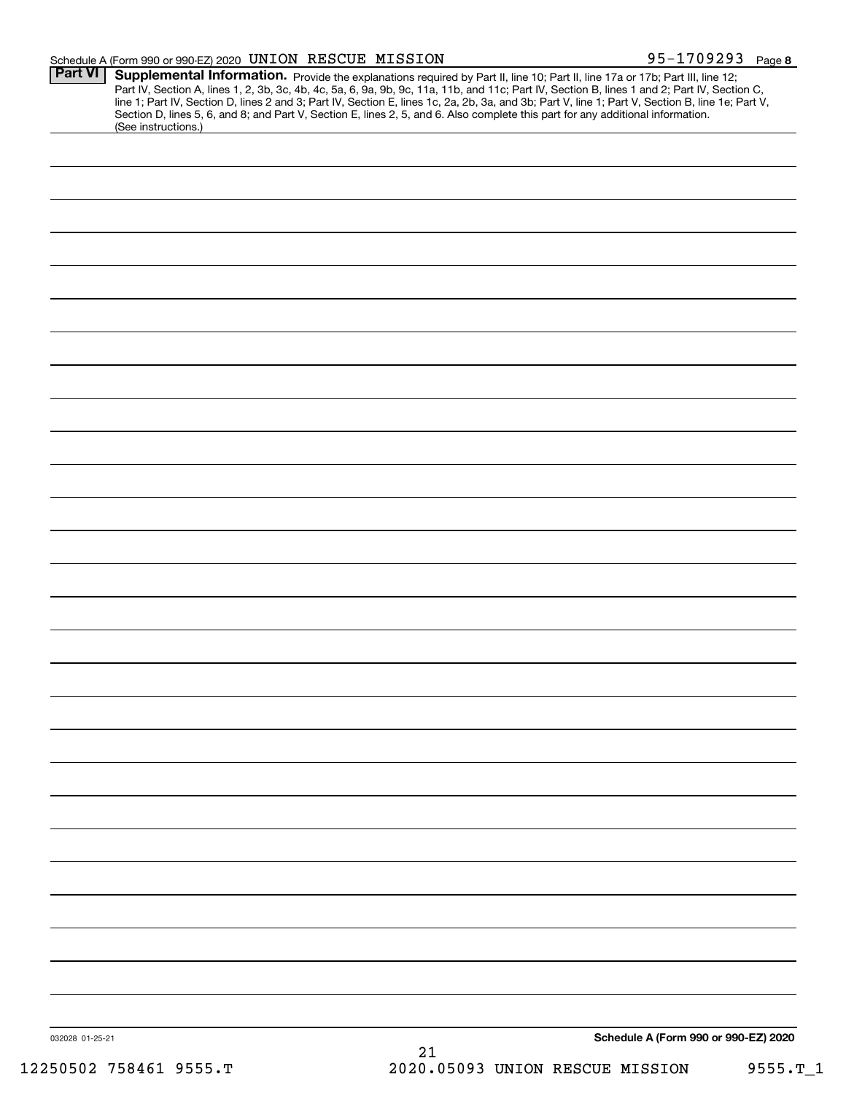### Schedule A (Form 990 or 990-EZ) 2020 Page UNION RESCUE MISSION 95-1709293

| Part VI         | Supplemental Information. Provide the explanations required by Part II, line 10; Part II, line 17a or 17b; Part III, line 12;<br>Part IV, Section A, lines 1, 2, 3b, 3c, 4b, 4c, 5a, 6, 9a, 9b, 9c, 11a, 11b, and 11c; Part IV, Section B, lines 1 and 2; Part IV, Section C,<br>line 1; Part IV, Section D, lines 2 and 3; Part IV, Section E, lines 1c, 2a, 2b, 3a, and 3b; Part V, line 1; Part V, Section B, line 1e; Part V,<br>Section D, lines 5, 6, and 8; and Part V, Section E, lines 2, 5, and 6. Also complete this part for any additional information.<br>(See instructions.) |
|-----------------|---------------------------------------------------------------------------------------------------------------------------------------------------------------------------------------------------------------------------------------------------------------------------------------------------------------------------------------------------------------------------------------------------------------------------------------------------------------------------------------------------------------------------------------------------------------------------------------------|
|                 |                                                                                                                                                                                                                                                                                                                                                                                                                                                                                                                                                                                             |
|                 |                                                                                                                                                                                                                                                                                                                                                                                                                                                                                                                                                                                             |
|                 |                                                                                                                                                                                                                                                                                                                                                                                                                                                                                                                                                                                             |
|                 |                                                                                                                                                                                                                                                                                                                                                                                                                                                                                                                                                                                             |
|                 |                                                                                                                                                                                                                                                                                                                                                                                                                                                                                                                                                                                             |
|                 |                                                                                                                                                                                                                                                                                                                                                                                                                                                                                                                                                                                             |
|                 |                                                                                                                                                                                                                                                                                                                                                                                                                                                                                                                                                                                             |
|                 |                                                                                                                                                                                                                                                                                                                                                                                                                                                                                                                                                                                             |
|                 |                                                                                                                                                                                                                                                                                                                                                                                                                                                                                                                                                                                             |
|                 |                                                                                                                                                                                                                                                                                                                                                                                                                                                                                                                                                                                             |
|                 |                                                                                                                                                                                                                                                                                                                                                                                                                                                                                                                                                                                             |
|                 |                                                                                                                                                                                                                                                                                                                                                                                                                                                                                                                                                                                             |
|                 |                                                                                                                                                                                                                                                                                                                                                                                                                                                                                                                                                                                             |
|                 |                                                                                                                                                                                                                                                                                                                                                                                                                                                                                                                                                                                             |
|                 |                                                                                                                                                                                                                                                                                                                                                                                                                                                                                                                                                                                             |
|                 |                                                                                                                                                                                                                                                                                                                                                                                                                                                                                                                                                                                             |
|                 |                                                                                                                                                                                                                                                                                                                                                                                                                                                                                                                                                                                             |
|                 |                                                                                                                                                                                                                                                                                                                                                                                                                                                                                                                                                                                             |
|                 |                                                                                                                                                                                                                                                                                                                                                                                                                                                                                                                                                                                             |
|                 |                                                                                                                                                                                                                                                                                                                                                                                                                                                                                                                                                                                             |
|                 |                                                                                                                                                                                                                                                                                                                                                                                                                                                                                                                                                                                             |
|                 |                                                                                                                                                                                                                                                                                                                                                                                                                                                                                                                                                                                             |
|                 |                                                                                                                                                                                                                                                                                                                                                                                                                                                                                                                                                                                             |
|                 |                                                                                                                                                                                                                                                                                                                                                                                                                                                                                                                                                                                             |
|                 |                                                                                                                                                                                                                                                                                                                                                                                                                                                                                                                                                                                             |
|                 |                                                                                                                                                                                                                                                                                                                                                                                                                                                                                                                                                                                             |
|                 |                                                                                                                                                                                                                                                                                                                                                                                                                                                                                                                                                                                             |
|                 |                                                                                                                                                                                                                                                                                                                                                                                                                                                                                                                                                                                             |
|                 |                                                                                                                                                                                                                                                                                                                                                                                                                                                                                                                                                                                             |
|                 |                                                                                                                                                                                                                                                                                                                                                                                                                                                                                                                                                                                             |
|                 |                                                                                                                                                                                                                                                                                                                                                                                                                                                                                                                                                                                             |
|                 |                                                                                                                                                                                                                                                                                                                                                                                                                                                                                                                                                                                             |
|                 |                                                                                                                                                                                                                                                                                                                                                                                                                                                                                                                                                                                             |
|                 |                                                                                                                                                                                                                                                                                                                                                                                                                                                                                                                                                                                             |
| 032028 01-25-21 | Schedule A (Form 990 or 990-EZ) 2020                                                                                                                                                                                                                                                                                                                                                                                                                                                                                                                                                        |
|                 | 21                                                                                                                                                                                                                                                                                                                                                                                                                                                                                                                                                                                          |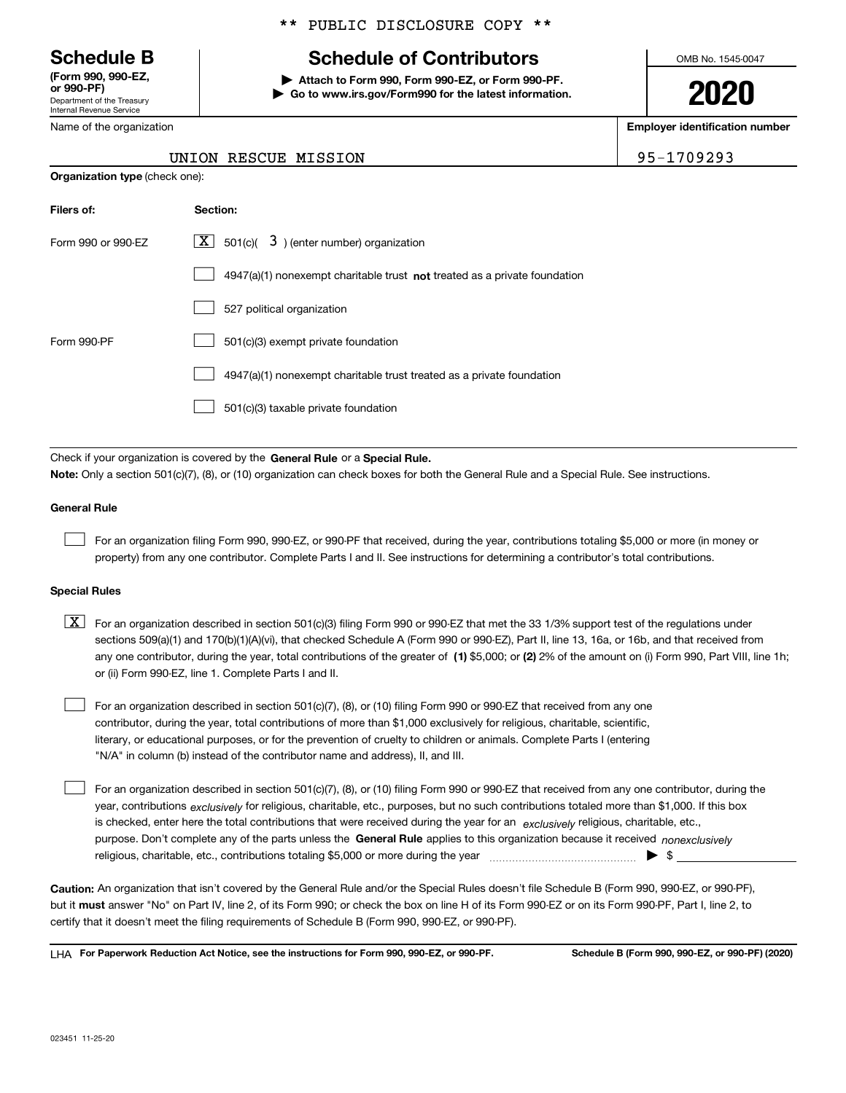Department of the Treasury Internal Revenue Service **(Form 990, 990-EZ, or 990-PF)**

Name of the organization

### \*\* PUBLIC DISCLOSURE COPY \*\*

# **Schedule B Schedule of Contributors**

**| Attach to Form 990, Form 990-EZ, or Form 990-PF. | Go to www.irs.gov/Form990 for the latest information.** OMB No. 1545-0047

**2020**

**Employer identification number**

UNION RESCUE MISSION 95-1709293

| <b>Organization type (check one):</b> |          |                                           |  |
|---------------------------------------|----------|-------------------------------------------|--|
| Filers of:                            | Section: |                                           |  |
| Form 990 or 990-EZ                    | $X \mid$ | 501(c)( $3$ ) (enter number) organization |  |

|             | $4947(a)(1)$ nonexempt charitable trust not treated as a private foundation |
|-------------|-----------------------------------------------------------------------------|
|             | 527 political organization                                                  |
| Form 990-PF | 501(c)(3) exempt private foundation                                         |
|             | 4947(a)(1) nonexempt charitable trust treated as a private foundation       |
|             | 501(c)(3) taxable private foundation                                        |

Check if your organization is covered by the **General Rule** or a **Special Rule. Note:**  Only a section 501(c)(7), (8), or (10) organization can check boxes for both the General Rule and a Special Rule. See instructions.

### **General Rule**

 $\mathcal{L}^{\text{max}}$ 

For an organization filing Form 990, 990-EZ, or 990-PF that received, during the year, contributions totaling \$5,000 or more (in money or property) from any one contributor. Complete Parts I and II. See instructions for determining a contributor's total contributions.

### **Special Rules**

any one contributor, during the year, total contributions of the greater of  $\,$  (1) \$5,000; or **(2)** 2% of the amount on (i) Form 990, Part VIII, line 1h;  $\boxed{\textbf{X}}$  For an organization described in section 501(c)(3) filing Form 990 or 990-EZ that met the 33 1/3% support test of the regulations under sections 509(a)(1) and 170(b)(1)(A)(vi), that checked Schedule A (Form 990 or 990-EZ), Part II, line 13, 16a, or 16b, and that received from or (ii) Form 990-EZ, line 1. Complete Parts I and II.

For an organization described in section 501(c)(7), (8), or (10) filing Form 990 or 990-EZ that received from any one contributor, during the year, total contributions of more than \$1,000 exclusively for religious, charitable, scientific, literary, or educational purposes, or for the prevention of cruelty to children or animals. Complete Parts I (entering "N/A" in column (b) instead of the contributor name and address), II, and III.  $\mathcal{L}^{\text{max}}$ 

purpose. Don't complete any of the parts unless the **General Rule** applies to this organization because it received *nonexclusively* year, contributions <sub>exclusively</sub> for religious, charitable, etc., purposes, but no such contributions totaled more than \$1,000. If this box is checked, enter here the total contributions that were received during the year for an  $\;$ exclusively religious, charitable, etc., For an organization described in section 501(c)(7), (8), or (10) filing Form 990 or 990-EZ that received from any one contributor, during the religious, charitable, etc., contributions totaling \$5,000 or more during the year  $\Box$ — $\Box$   $\Box$  $\mathcal{L}^{\text{max}}$ 

**Caution:**  An organization that isn't covered by the General Rule and/or the Special Rules doesn't file Schedule B (Form 990, 990-EZ, or 990-PF),  **must** but it answer "No" on Part IV, line 2, of its Form 990; or check the box on line H of its Form 990-EZ or on its Form 990-PF, Part I, line 2, to certify that it doesn't meet the filing requirements of Schedule B (Form 990, 990-EZ, or 990-PF).

**For Paperwork Reduction Act Notice, see the instructions for Form 990, 990-EZ, or 990-PF. Schedule B (Form 990, 990-EZ, or 990-PF) (2020)** LHA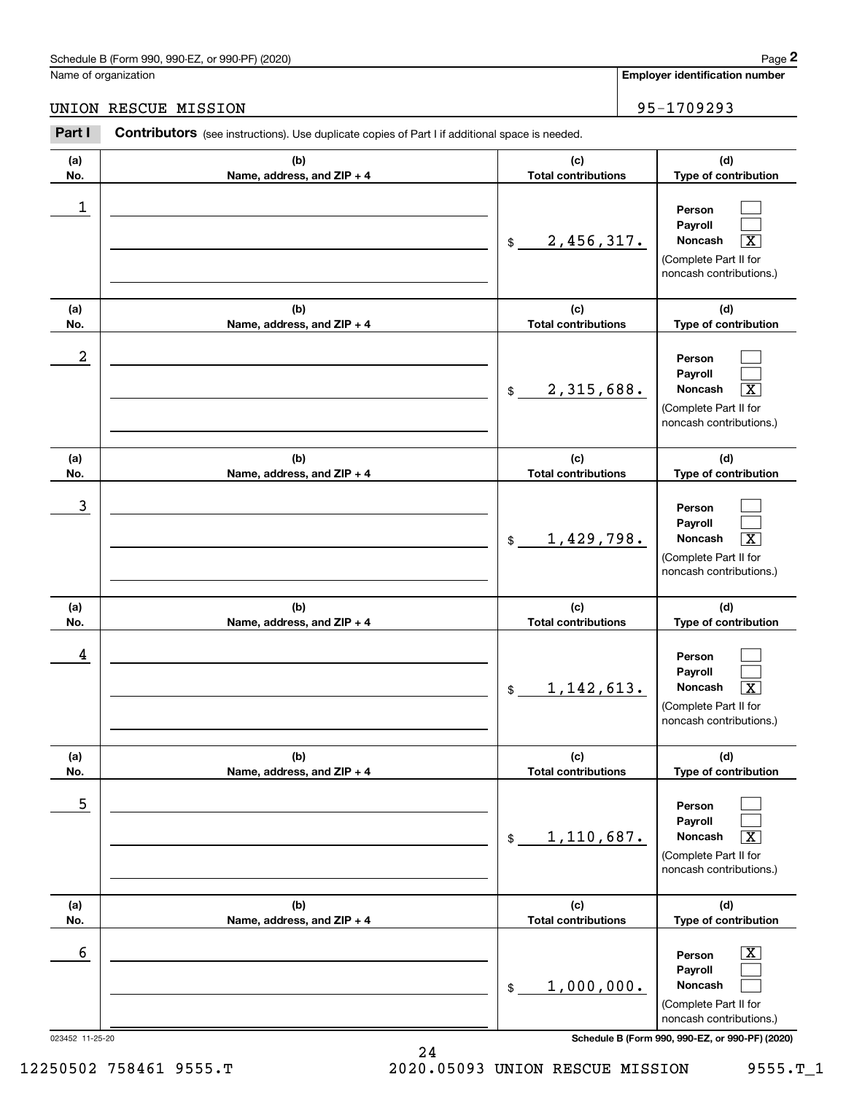|                      | Schedule B (Form 990, 990-EZ, or 990-PF) (2020)                                                |                                   | Page 2                                                                                                           |
|----------------------|------------------------------------------------------------------------------------------------|-----------------------------------|------------------------------------------------------------------------------------------------------------------|
| Name of organization |                                                                                                |                                   | <b>Employer identification number</b>                                                                            |
|                      | UNION RESCUE MISSION                                                                           |                                   | 95-1709293                                                                                                       |
| Part I               | Contributors (see instructions). Use duplicate copies of Part I if additional space is needed. |                                   |                                                                                                                  |
| (a)<br>No.           | (b)<br>Name, address, and ZIP + 4                                                              | (c)<br><b>Total contributions</b> | (d)<br>Type of contribution                                                                                      |
| 1                    |                                                                                                | 2,456,317.<br>\$                  | Person<br>Payroll<br>$\overline{\text{X}}$<br><b>Noncash</b><br>(Complete Part II for<br>noncash contributions.) |
| (a)<br>No.           | (b)<br>Name, address, and ZIP + 4                                                              | (c)<br><b>Total contributions</b> | (d)<br>Type of contribution                                                                                      |
| $\boldsymbol{2}$     |                                                                                                | 2,315,688.<br>\$                  | Person<br>Payroll<br>$\overline{\text{X}}$<br>Noncash<br>(Complete Part II for<br>noncash contributions.)        |
| (a)<br>No.           | (b)<br>Name, address, and ZIP + 4                                                              | (c)<br><b>Total contributions</b> | (d)<br>Type of contribution                                                                                      |
| 3                    |                                                                                                | 1,429,798.<br>\$                  | Person<br>Payroll<br>$\overline{\text{X}}$<br>Noncash<br>(Complete Part II for<br>noncash contributions.)        |
| (a)<br>No.           | (b)<br>Name, address, and ZIP + 4                                                              | (c)<br><b>Total contributions</b> | (d)<br>Type of contribution                                                                                      |
| 4                    |                                                                                                | 1, 142, 613.<br>\$                | Person<br>Payroll<br>$\boxed{\text{X}}$<br>Noncash<br>(Complete Part II for<br>noncash contributions.)           |
| (a)<br>No.           | (b)<br>Name, address, and ZIP + 4                                                              | (c)<br><b>Total contributions</b> | (d)<br>Type of contribution                                                                                      |
| 5                    |                                                                                                | 1,110,687.<br>\$                  | Person<br>Payroll<br>Noncash<br>$\overline{\text{X}}$<br>(Complete Part II for<br>noncash contributions.)        |
| (a)<br>No.           | (b)<br>Name, address, and ZIP + 4                                                              | (c)<br><b>Total contributions</b> | (d)<br>Type of contribution                                                                                      |
| 6                    |                                                                                                | 1,000,000.<br>$\$$                | $\overline{\mathbf{X}}$<br>Person<br>Payroll<br>Noncash<br>(Complete Part II for<br>noncash contributions.)      |
| 023452 11-25-20      |                                                                                                |                                   | Schedule B (Form 990, 990-EZ, or 990-PF) (2020)                                                                  |

12250502 758461 9555.T 2020.05093 UNION RESCUE MISSION 9555.T\_1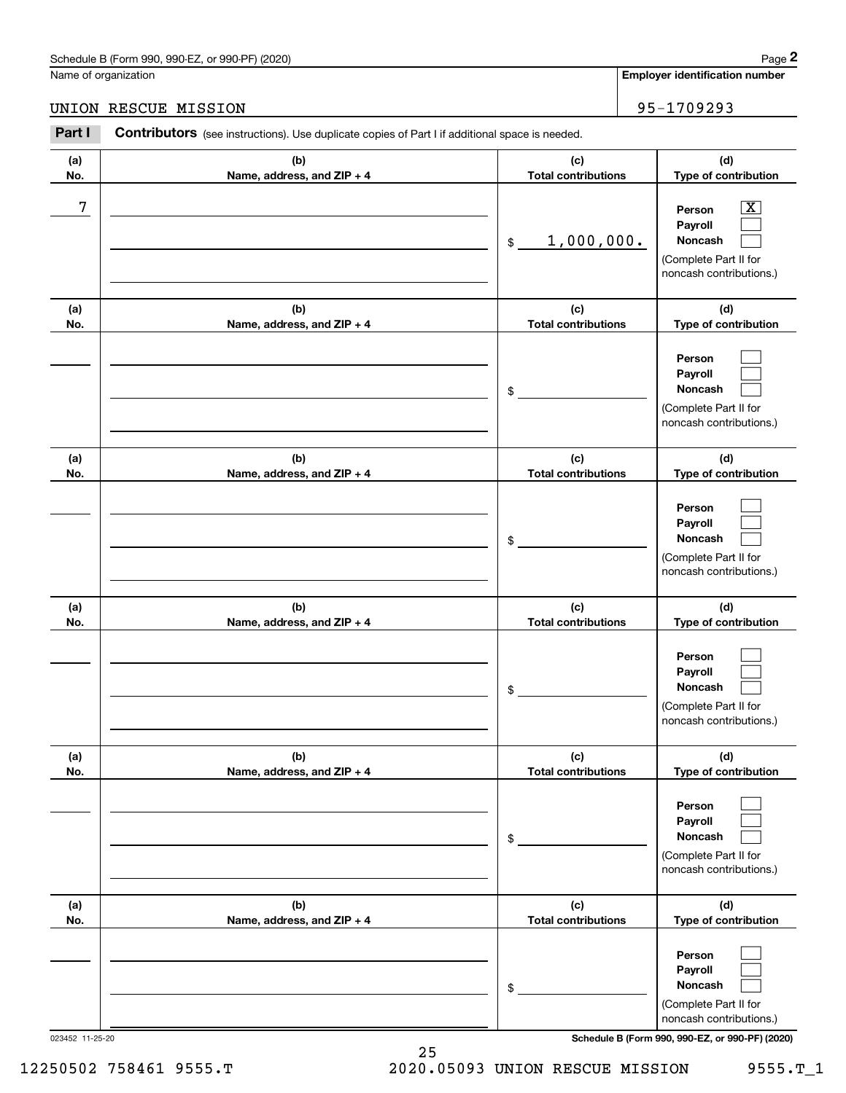## UNION RESCUE MISSION 95-1709293

| (a)<br>No. | (b)<br>Name, address, and ZIP + 4 | (c)<br><b>Total contributions</b> | (d)<br>Type of contribution                                                             |
|------------|-----------------------------------|-----------------------------------|-----------------------------------------------------------------------------------------|
| 7          |                                   | 1,000,000.<br>$$\mathbb{S}$$      | x<br>Person<br>Payroll<br>Noncash<br>(Complete Part II for<br>noncash contributions.)   |
| (a)<br>No. | (b)<br>Name, address, and ZIP + 4 | (c)<br><b>Total contributions</b> | (d)<br>Type of contribution                                                             |
|            |                                   | \$                                | Person<br>Payroll<br>Noncash<br>(Complete Part II for<br>noncash contributions.)        |
| (a)<br>No. | (b)<br>Name, address, and ZIP + 4 | (c)<br><b>Total contributions</b> | (d)<br>Type of contribution                                                             |
|            |                                   | \$                                | Person<br>Payroll<br>Noncash<br>(Complete Part II for<br>noncash contributions.)        |
| (a)<br>No. | (b)<br>Name, address, and ZIP + 4 | (c)<br><b>Total contributions</b> | (d)<br>Type of contribution                                                             |
|            |                                   | \$                                | Person<br>Payroll<br><b>Noncash</b><br>(Complete Part II for<br>noncash contributions.) |
| (a)<br>No. | (b)<br>Name, address, and ZIP + 4 | (c)<br><b>Total contributions</b> | (d)<br>Type of contribution                                                             |
|            |                                   | \$                                | Person<br>Payroll<br>Noncash<br>(Complete Part II for<br>noncash contributions.)        |
| (a)<br>No. | (b)<br>Name, address, and ZIP + 4 | (c)<br><b>Total contributions</b> | (d)<br>Type of contribution                                                             |
|            |                                   | \$                                | Person<br>Payroll<br>Noncash<br>(Complete Part II for<br>noncash contributions.)        |

023452 11-25-20 **Schedule B (Form 990, 990-EZ, or 990-PF) (2020)**

25 12250502 758461 9555.T 2020.05093 UNION RESCUE MISSION 9555.T\_1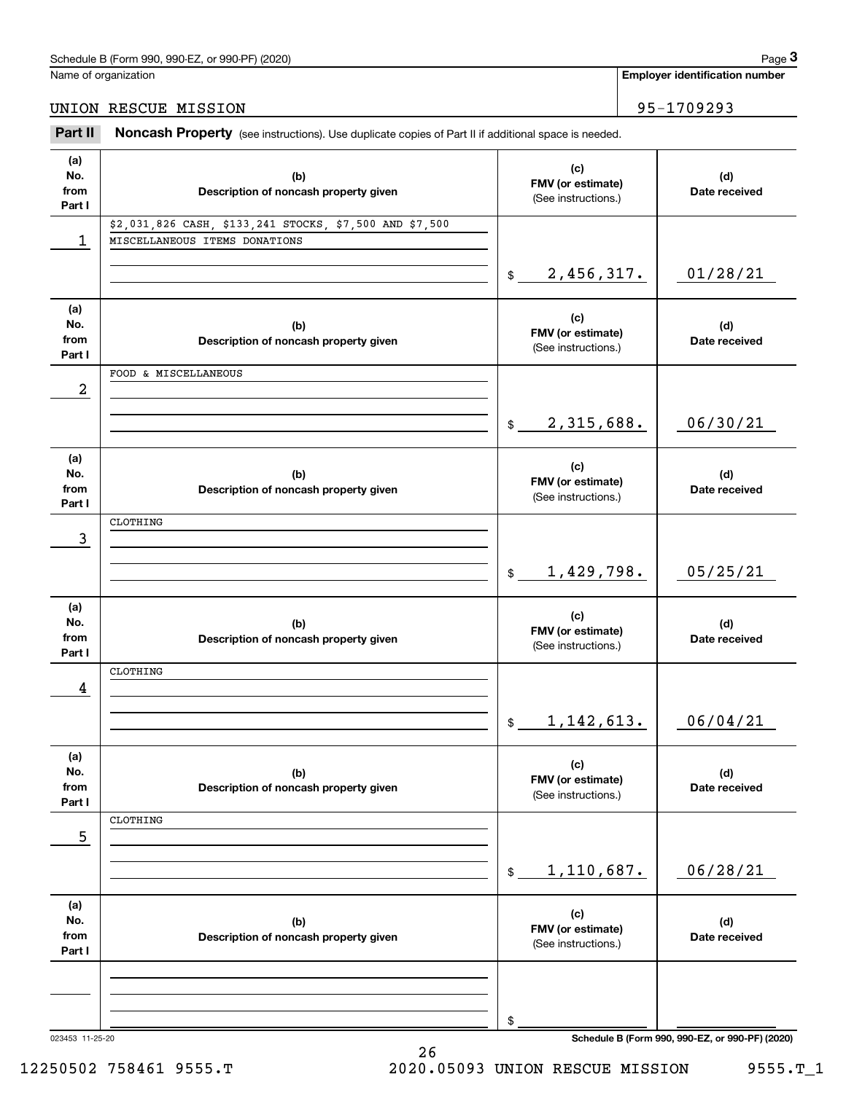Name of organization

## UNION RESCUE MISSION 95-1709293

Chedule B (Form 990, 990-EZ, or 990-PF) (2020)<br> **29 Iame of organization**<br> **3Part II if additional space is needed.**<br> **295–1709293**<br> **295–1709293** 

| (a)    |                                                         |                              |                                                 |
|--------|---------------------------------------------------------|------------------------------|-------------------------------------------------|
| No.    | (b)                                                     | (c)                          | (d)                                             |
| from   | Description of noncash property given                   | FMV (or estimate)            | Date received                                   |
| Part I |                                                         | (See instructions.)          |                                                 |
|        |                                                         |                              |                                                 |
|        | \$2,031,826 CASH, \$133,241 STOCKS, \$7,500 AND \$7,500 |                              |                                                 |
| 1      | MISCELLANEOUS ITEMS DONATIONS                           |                              |                                                 |
|        |                                                         |                              |                                                 |
|        |                                                         |                              |                                                 |
|        |                                                         | \$2,456,317.                 | 01/28/21                                        |
|        |                                                         |                              |                                                 |
| (a)    |                                                         |                              |                                                 |
| No.    |                                                         | (c)                          |                                                 |
|        | (b)                                                     | FMV (or estimate)            | (d)                                             |
| from   | Description of noncash property given                   | (See instructions.)          | Date received                                   |
| Part I |                                                         |                              |                                                 |
|        | FOOD & MISCELLANEOUS                                    |                              |                                                 |
| 2      |                                                         |                              |                                                 |
|        |                                                         |                              |                                                 |
|        |                                                         |                              |                                                 |
|        |                                                         | 2,315,688.<br>$\frac{1}{2}$  | 06/30/21                                        |
|        |                                                         |                              |                                                 |
|        |                                                         |                              |                                                 |
| (a)    |                                                         | (c)                          |                                                 |
| No.    | (b)                                                     | FMV (or estimate)            | (d)                                             |
| from   | Description of noncash property given                   |                              | Date received                                   |
| Part I |                                                         | (See instructions.)          |                                                 |
|        | CLOTHING                                                |                              |                                                 |
|        |                                                         |                              |                                                 |
| 3      |                                                         |                              |                                                 |
|        |                                                         |                              |                                                 |
|        |                                                         | 1,429,798.<br>\$             | 05/25/21                                        |
|        |                                                         |                              |                                                 |
|        |                                                         |                              |                                                 |
| (a)    |                                                         | (c)                          |                                                 |
| No.    | (b)                                                     | FMV (or estimate)            | (d)                                             |
| from   | Description of noncash property given                   |                              | Date received                                   |
| Part I |                                                         | (See instructions.)          |                                                 |
|        | CLOTHING                                                |                              |                                                 |
|        |                                                         |                              |                                                 |
| 4      |                                                         |                              |                                                 |
|        |                                                         |                              |                                                 |
|        |                                                         | \$1,142,613.                 | 06/04/21                                        |
|        |                                                         |                              |                                                 |
|        |                                                         |                              |                                                 |
| (a)    |                                                         | (c)                          |                                                 |
| No.    | (b)                                                     | FMV (or estimate)            | (d)                                             |
| from   |                                                         |                              |                                                 |
|        |                                                         |                              | Date received                                   |
| Part I | Description of noncash property given                   | (See instructions.)          |                                                 |
|        |                                                         |                              |                                                 |
|        | CLOTHING                                                |                              |                                                 |
| 5      |                                                         |                              |                                                 |
|        |                                                         |                              |                                                 |
|        |                                                         |                              |                                                 |
|        |                                                         | 1,110,687.<br>$$\mathbb{S}$$ | 06/28/21                                        |
|        |                                                         |                              |                                                 |
| (a)    |                                                         |                              |                                                 |
| No.    |                                                         | (c)                          |                                                 |
|        | (b)                                                     | FMV (or estimate)            | (d)                                             |
| from   | Description of noncash property given                   | (See instructions.)          | Date received                                   |
| Part I |                                                         |                              |                                                 |
|        |                                                         |                              |                                                 |
|        |                                                         |                              |                                                 |
|        |                                                         |                              |                                                 |
|        |                                                         |                              |                                                 |
|        |                                                         | \$                           | Schedule B (Form 990, 990-EZ, or 990-PF) (2020) |

26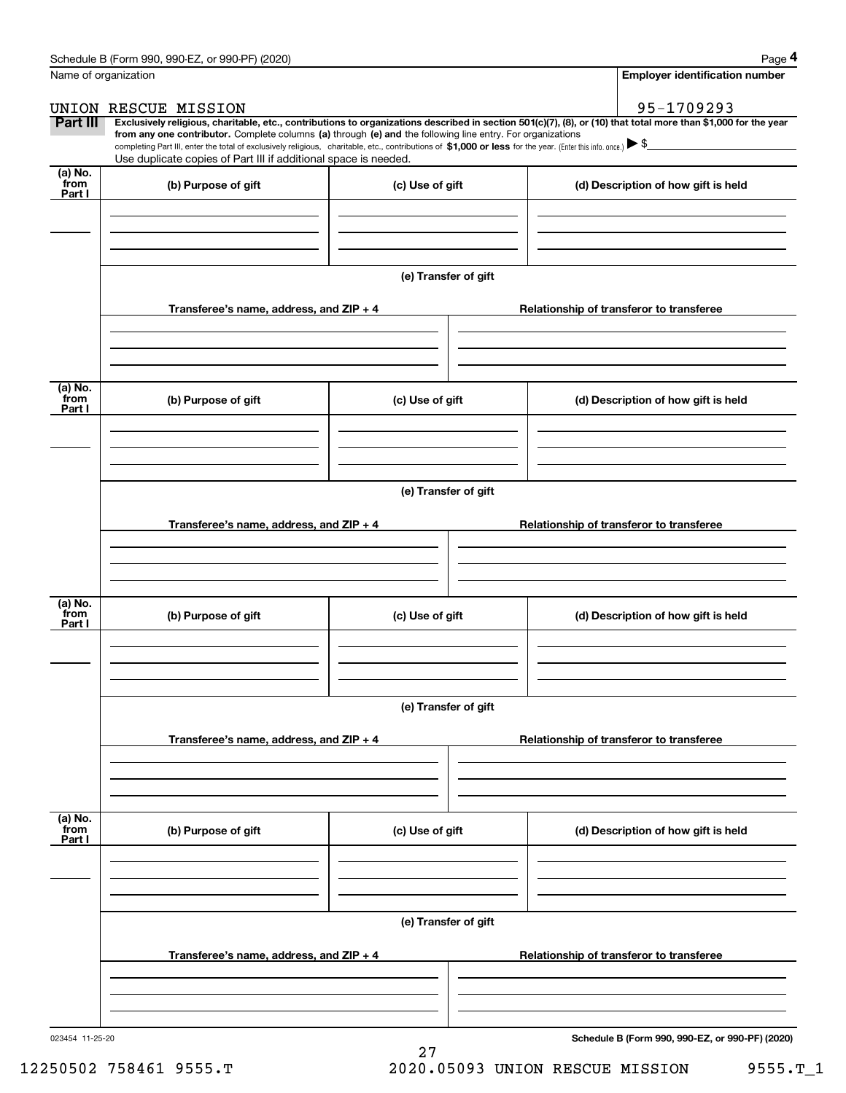|                           | Schedule B (Form 990, 990-EZ, or 990-PF) (2020)                                                                                                                                                                                                                              |                      |                                          | Page 4                                          |  |  |
|---------------------------|------------------------------------------------------------------------------------------------------------------------------------------------------------------------------------------------------------------------------------------------------------------------------|----------------------|------------------------------------------|-------------------------------------------------|--|--|
| Name of organization      |                                                                                                                                                                                                                                                                              |                      |                                          | <b>Employer identification number</b>           |  |  |
|                           | UNION RESCUE MISSION                                                                                                                                                                                                                                                         |                      |                                          | 95-1709293                                      |  |  |
| Part III                  | Exclusively religious, charitable, etc., contributions to organizations described in section 501(c)(7), (8), or (10) that total more than \$1,000 for the year<br>from any one contributor. Complete columns (a) through (e) and the following line entry. For organizations |                      |                                          |                                                 |  |  |
|                           | completing Part III, enter the total of exclusively religious, charitable, etc., contributions of \$1,000 or less for the year. (Enter this info. once.) \\$                                                                                                                 |                      |                                          |                                                 |  |  |
| $(a)$ No.                 | Use duplicate copies of Part III if additional space is needed.                                                                                                                                                                                                              |                      |                                          |                                                 |  |  |
| from<br>Part I            | (b) Purpose of gift                                                                                                                                                                                                                                                          | (c) Use of gift      |                                          | (d) Description of how gift is held             |  |  |
|                           |                                                                                                                                                                                                                                                                              |                      |                                          |                                                 |  |  |
|                           |                                                                                                                                                                                                                                                                              | (e) Transfer of gift |                                          |                                                 |  |  |
|                           | Transferee's name, address, and ZIP + 4                                                                                                                                                                                                                                      |                      |                                          | Relationship of transferor to transferee        |  |  |
| (a) No.                   |                                                                                                                                                                                                                                                                              |                      |                                          |                                                 |  |  |
| from<br>Part I            | (b) Purpose of gift                                                                                                                                                                                                                                                          | (c) Use of gift      |                                          | (d) Description of how gift is held             |  |  |
|                           |                                                                                                                                                                                                                                                                              | (e) Transfer of gift |                                          |                                                 |  |  |
|                           | Transferee's name, address, and ZIP + 4                                                                                                                                                                                                                                      |                      |                                          | Relationship of transferor to transferee        |  |  |
|                           |                                                                                                                                                                                                                                                                              |                      |                                          |                                                 |  |  |
| (a) No.<br>from<br>Part I | (b) Purpose of gift                                                                                                                                                                                                                                                          | (c) Use of gift      |                                          | (d) Description of how gift is held             |  |  |
|                           |                                                                                                                                                                                                                                                                              |                      |                                          |                                                 |  |  |
|                           | Transferee's name, address, and ZIP + 4                                                                                                                                                                                                                                      | (e) Transfer of gift | Relationship of transferor to transferee |                                                 |  |  |
|                           |                                                                                                                                                                                                                                                                              |                      |                                          |                                                 |  |  |
|                           |                                                                                                                                                                                                                                                                              |                      |                                          |                                                 |  |  |
| (a) No.<br>from<br>Part I | (b) Purpose of gift                                                                                                                                                                                                                                                          | (c) Use of gift      |                                          | (d) Description of how gift is held             |  |  |
|                           |                                                                                                                                                                                                                                                                              |                      |                                          |                                                 |  |  |
|                           |                                                                                                                                                                                                                                                                              | (e) Transfer of gift |                                          |                                                 |  |  |
|                           | Transferee's name, address, and ZIP + 4                                                                                                                                                                                                                                      |                      |                                          | Relationship of transferor to transferee        |  |  |
|                           |                                                                                                                                                                                                                                                                              |                      |                                          |                                                 |  |  |
| 023454 11-25-20           |                                                                                                                                                                                                                                                                              |                      |                                          | Schedule B (Form 990, 990-EZ, or 990-PF) (2020) |  |  |

27

12250502 758461 9555.T 2020.05093 UNION RESCUE MISSION 9555.T\_1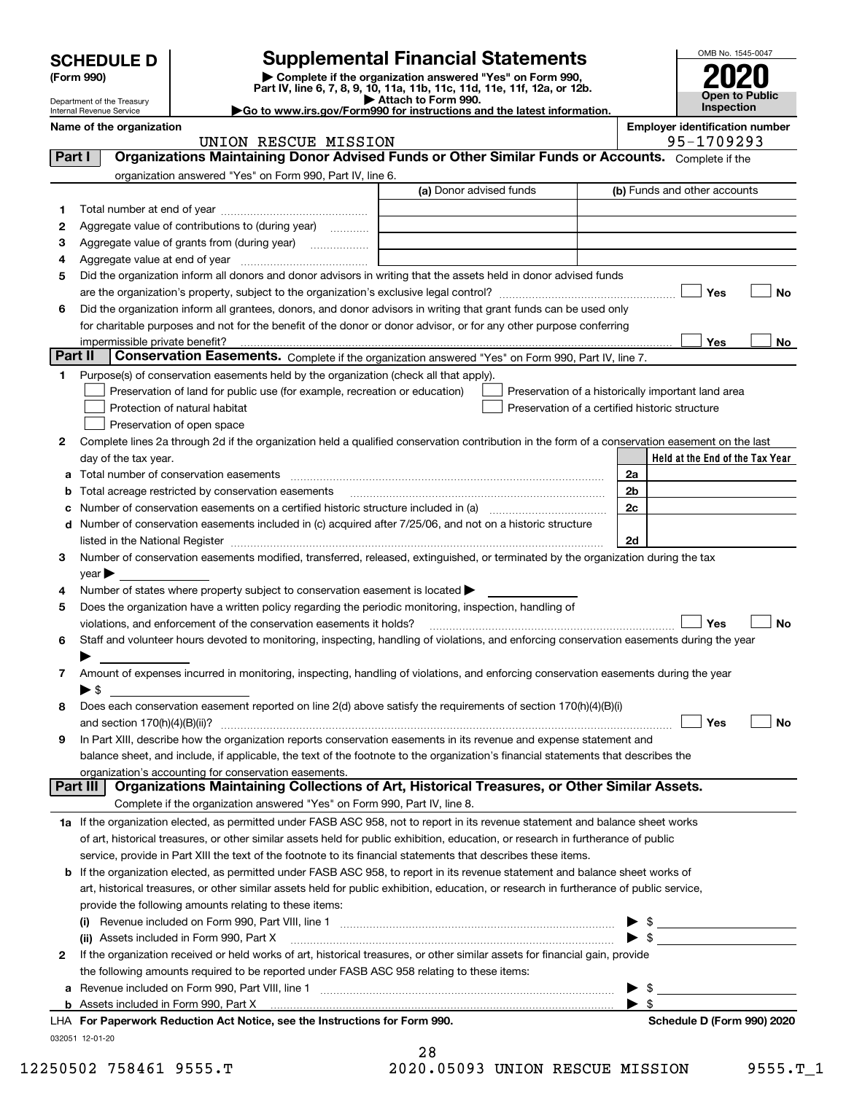|         | <b>SCHEDULE D</b>                                      |                                                                                                                                                                              | <b>Supplemental Financial Statements</b>                                                                                             |  |    |                   | OMB No. 1545-0047            |                                 |
|---------|--------------------------------------------------------|------------------------------------------------------------------------------------------------------------------------------------------------------------------------------|--------------------------------------------------------------------------------------------------------------------------------------|--|----|-------------------|------------------------------|---------------------------------|
|         | (Form 990)                                             |                                                                                                                                                                              | Complete if the organization answered "Yes" on Form 990,<br>Part IV, line 6, 7, 8, 9, 10, 11a, 11b, 11c, 11d, 11e, 11f, 12a, or 12b. |  |    |                   |                              | Open to Public                  |
|         | Department of the Treasury<br>Internal Revenue Service |                                                                                                                                                                              | Attach to Form 990.<br>Go to www.irs.gov/Form990 for instructions and the latest information.                                        |  |    | <b>Inspection</b> |                              |                                 |
|         | Name of the organization                               | UNION RESCUE MISSION                                                                                                                                                         | <b>Employer identification number</b><br>95-1709293                                                                                  |  |    |                   |                              |                                 |
| Part I  |                                                        | Organizations Maintaining Donor Advised Funds or Other Similar Funds or Accounts. Complete if the                                                                            |                                                                                                                                      |  |    |                   |                              |                                 |
|         |                                                        | organization answered "Yes" on Form 990, Part IV, line 6.                                                                                                                    |                                                                                                                                      |  |    |                   |                              |                                 |
|         |                                                        |                                                                                                                                                                              | (a) Donor advised funds                                                                                                              |  |    |                   | (b) Funds and other accounts |                                 |
| 1       |                                                        |                                                                                                                                                                              |                                                                                                                                      |  |    |                   |                              |                                 |
| 2       |                                                        | Aggregate value of contributions to (during year)                                                                                                                            |                                                                                                                                      |  |    |                   |                              |                                 |
| з       |                                                        | Aggregate value of grants from (during year)                                                                                                                                 |                                                                                                                                      |  |    |                   |                              |                                 |
| 4       |                                                        |                                                                                                                                                                              |                                                                                                                                      |  |    |                   |                              |                                 |
| 5       |                                                        | Did the organization inform all donors and donor advisors in writing that the assets held in donor advised funds                                                             |                                                                                                                                      |  |    |                   |                              |                                 |
|         |                                                        |                                                                                                                                                                              |                                                                                                                                      |  |    |                   | Yes                          | No                              |
| 6       |                                                        | Did the organization inform all grantees, donors, and donor advisors in writing that grant funds can be used only                                                            |                                                                                                                                      |  |    |                   |                              |                                 |
|         |                                                        | for charitable purposes and not for the benefit of the donor or donor advisor, or for any other purpose conferring                                                           |                                                                                                                                      |  |    |                   |                              |                                 |
| Part II | impermissible private benefit?                         |                                                                                                                                                                              |                                                                                                                                      |  |    |                   | Yes                          | No                              |
|         |                                                        | Conservation Easements. Complete if the organization answered "Yes" on Form 990, Part IV, line 7.                                                                            |                                                                                                                                      |  |    |                   |                              |                                 |
| 1.      |                                                        | Purpose(s) of conservation easements held by the organization (check all that apply).                                                                                        |                                                                                                                                      |  |    |                   |                              |                                 |
|         |                                                        | Preservation of land for public use (for example, recreation or education)<br>Protection of natural habitat                                                                  | Preservation of a historically important land area                                                                                   |  |    |                   |                              |                                 |
|         |                                                        |                                                                                                                                                                              | Preservation of a certified historic structure                                                                                       |  |    |                   |                              |                                 |
| 2       |                                                        | Preservation of open space<br>Complete lines 2a through 2d if the organization held a qualified conservation contribution in the form of a conservation easement on the last |                                                                                                                                      |  |    |                   |                              |                                 |
|         | day of the tax year.                                   |                                                                                                                                                                              |                                                                                                                                      |  |    |                   |                              | Held at the End of the Tax Year |
| а       |                                                        | Total number of conservation easements                                                                                                                                       |                                                                                                                                      |  | 2a |                   |                              |                                 |
| b       |                                                        | Total acreage restricted by conservation easements                                                                                                                           |                                                                                                                                      |  | 2b |                   |                              |                                 |
| с       |                                                        | Number of conservation easements on a certified historic structure included in (a) manufacture of conservation                                                               |                                                                                                                                      |  | 2c |                   |                              |                                 |
| d       |                                                        | Number of conservation easements included in (c) acquired after 7/25/06, and not on a historic structure                                                                     |                                                                                                                                      |  |    |                   |                              |                                 |
|         |                                                        |                                                                                                                                                                              |                                                                                                                                      |  | 2d |                   |                              |                                 |
| 3       |                                                        | Number of conservation easements modified, transferred, released, extinguished, or terminated by the organization during the tax                                             |                                                                                                                                      |  |    |                   |                              |                                 |
|         | $year \blacktriangleright$                             |                                                                                                                                                                              |                                                                                                                                      |  |    |                   |                              |                                 |
| 4       |                                                        | Number of states where property subject to conservation easement is located >                                                                                                |                                                                                                                                      |  |    |                   |                              |                                 |
| 5       |                                                        | Does the organization have a written policy regarding the periodic monitoring, inspection, handling of                                                                       |                                                                                                                                      |  |    |                   |                              |                                 |
|         |                                                        | violations, and enforcement of the conservation easements it holds?                                                                                                          |                                                                                                                                      |  |    |                   | Yes                          | No                              |
| 6       |                                                        | Staff and volunteer hours devoted to monitoring, inspecting, handling of violations, and enforcing conservation easements during the year                                    |                                                                                                                                      |  |    |                   |                              |                                 |
|         |                                                        |                                                                                                                                                                              |                                                                                                                                      |  |    |                   |                              |                                 |
| 7       |                                                        | Amount of expenses incurred in monitoring, inspecting, handling of violations, and enforcing conservation easements during the year                                          |                                                                                                                                      |  |    |                   |                              |                                 |
|         | $\blacktriangleright$ \$                               |                                                                                                                                                                              |                                                                                                                                      |  |    |                   |                              |                                 |
| 8       |                                                        | Does each conservation easement reported on line 2(d) above satisfy the requirements of section 170(h)(4)(B)(i)                                                              |                                                                                                                                      |  |    |                   |                              |                                 |
|         |                                                        |                                                                                                                                                                              |                                                                                                                                      |  |    |                   | Yes                          | No                              |
| 9       |                                                        | In Part XIII, describe how the organization reports conservation easements in its revenue and expense statement and                                                          |                                                                                                                                      |  |    |                   |                              |                                 |
|         |                                                        | balance sheet, and include, if applicable, the text of the footnote to the organization's financial statements that describes the                                            |                                                                                                                                      |  |    |                   |                              |                                 |
|         | Part III                                               | organization's accounting for conservation easements.<br>Organizations Maintaining Collections of Art, Historical Treasures, or Other Similar Assets.                        |                                                                                                                                      |  |    |                   |                              |                                 |
|         |                                                        | Complete if the organization answered "Yes" on Form 990, Part IV, line 8.                                                                                                    |                                                                                                                                      |  |    |                   |                              |                                 |
|         |                                                        | 1a If the organization elected, as permitted under FASB ASC 958, not to report in its revenue statement and balance sheet works                                              |                                                                                                                                      |  |    |                   |                              |                                 |
|         |                                                        | of art, historical treasures, or other similar assets held for public exhibition, education, or research in furtherance of public                                            |                                                                                                                                      |  |    |                   |                              |                                 |
|         |                                                        | service, provide in Part XIII the text of the footnote to its financial statements that describes these items.                                                               |                                                                                                                                      |  |    |                   |                              |                                 |
| b       |                                                        | If the organization elected, as permitted under FASB ASC 958, to report in its revenue statement and balance sheet works of                                                  |                                                                                                                                      |  |    |                   |                              |                                 |
|         |                                                        | art, historical treasures, or other similar assets held for public exhibition, education, or research in furtherance of public service,                                      |                                                                                                                                      |  |    |                   |                              |                                 |
|         |                                                        | provide the following amounts relating to these items:                                                                                                                       |                                                                                                                                      |  |    |                   |                              |                                 |
|         |                                                        | Revenue included on Form 990, Part VIII, line 1 [2000] [2000] [2000] [3000] [3000] [3000] [3000] [3000] [3000                                                                |                                                                                                                                      |  |    |                   |                              |                                 |
|         |                                                        | (ii) Assets included in Form 990, Part X [11] [2000] [2010] [2010] Assets included in Form 990, Part X [11] [1                                                               |                                                                                                                                      |  |    |                   |                              |                                 |

| 2 If the organization received or held works of art, historical treasures, or other similar assets for financial gain, provide |      |  |
|--------------------------------------------------------------------------------------------------------------------------------|------|--|
| the following amounts required to be reported under FASB ASC 958 relating to these items:                                      |      |  |
| a Revenue included on Form 990, Part VIII, line 1                                                                              | ► \$ |  |
|                                                                                                                                | ► \$ |  |
| LHA For Paperwork Reduction Act Notice, see the Instructions for Form 990.                                                     |      |  |
| 032051 12-01-20                                                                                                                |      |  |

28 12250502 758461 9555.T 2020.05093 UNION RESCUE MISSION 9555.T\_1

**Schedule D (Form 990) 2020**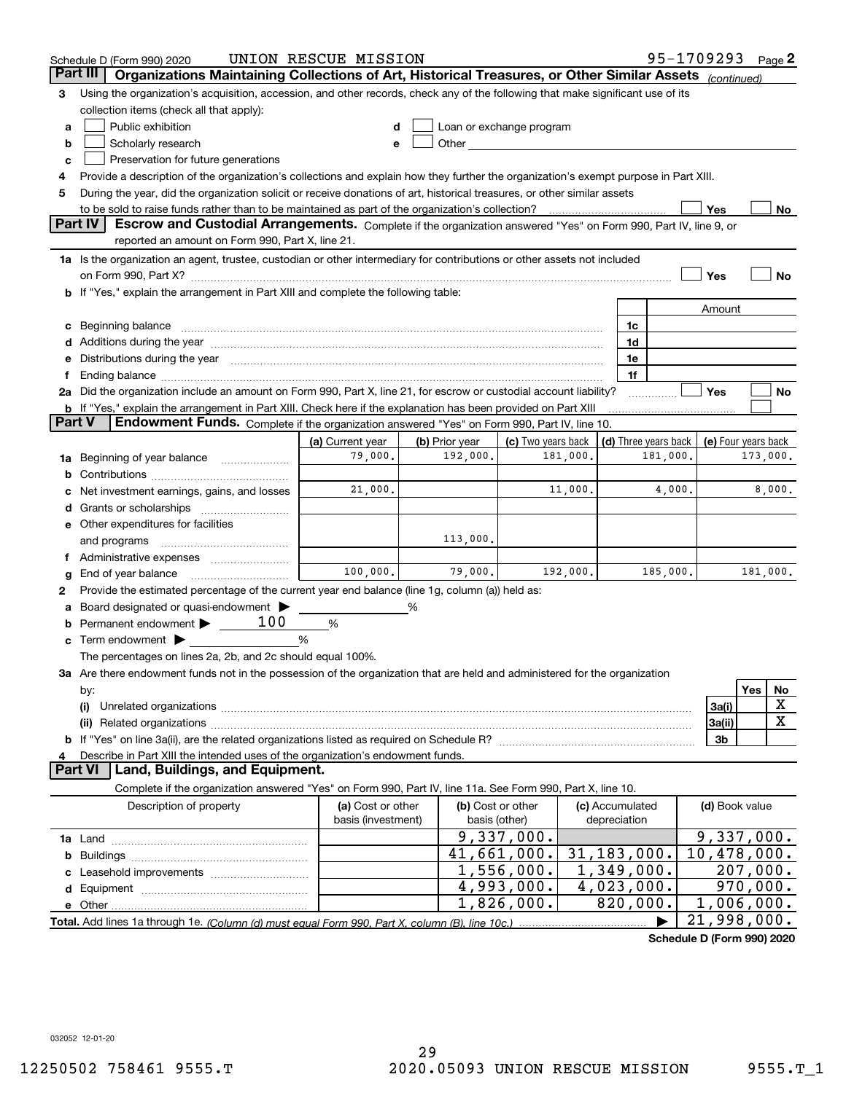|        | Schedule D (Form 990) 2020                                                                                                                                                                                                    | UNION RESCUE MISSION                    |                |                                                                                                                                                                                                                               |         |                                 |          | 95-1709293 Page 2                          |                        |             |
|--------|-------------------------------------------------------------------------------------------------------------------------------------------------------------------------------------------------------------------------------|-----------------------------------------|----------------|-------------------------------------------------------------------------------------------------------------------------------------------------------------------------------------------------------------------------------|---------|---------------------------------|----------|--------------------------------------------|------------------------|-------------|
|        | Organizations Maintaining Collections of Art, Historical Treasures, or Other Similar Assets (continued)<br>Part III                                                                                                           |                                         |                |                                                                                                                                                                                                                               |         |                                 |          |                                            |                        |             |
| З      | Using the organization's acquisition, accession, and other records, check any of the following that make significant use of its                                                                                               |                                         |                |                                                                                                                                                                                                                               |         |                                 |          |                                            |                        |             |
|        | collection items (check all that apply):                                                                                                                                                                                      |                                         |                |                                                                                                                                                                                                                               |         |                                 |          |                                            |                        |             |
| a      | Public exhibition                                                                                                                                                                                                             |                                         |                | Loan or exchange program                                                                                                                                                                                                      |         |                                 |          |                                            |                        |             |
| b      | Scholarly research                                                                                                                                                                                                            |                                         |                | Other and the contract of the contract of the contract of the contract of the contract of the contract of the contract of the contract of the contract of the contract of the contract of the contract of the contract of the |         |                                 |          |                                            |                        |             |
| c      | Preservation for future generations                                                                                                                                                                                           |                                         |                |                                                                                                                                                                                                                               |         |                                 |          |                                            |                        |             |
| 4      | Provide a description of the organization's collections and explain how they further the organization's exempt purpose in Part XIII.                                                                                          |                                         |                |                                                                                                                                                                                                                               |         |                                 |          |                                            |                        |             |
| 5      | During the year, did the organization solicit or receive donations of art, historical treasures, or other similar assets                                                                                                      |                                         |                |                                                                                                                                                                                                                               |         |                                 |          |                                            |                        |             |
|        | to be sold to raise funds rather than to be maintained as part of the organization's collection?                                                                                                                              |                                         |                |                                                                                                                                                                                                                               |         |                                 |          | Yes                                        |                        | No.         |
|        | <b>Part IV</b><br>Escrow and Custodial Arrangements. Complete if the organization answered "Yes" on Form 990, Part IV, line 9, or                                                                                             |                                         |                |                                                                                                                                                                                                                               |         |                                 |          |                                            |                        |             |
|        | reported an amount on Form 990, Part X, line 21.                                                                                                                                                                              |                                         |                |                                                                                                                                                                                                                               |         |                                 |          |                                            |                        |             |
|        | 1a Is the organization an agent, trustee, custodian or other intermediary for contributions or other assets not included                                                                                                      |                                         |                |                                                                                                                                                                                                                               |         |                                 |          |                                            |                        |             |
|        |                                                                                                                                                                                                                               |                                         |                |                                                                                                                                                                                                                               |         |                                 |          | Yes                                        |                        | No          |
|        | <b>b</b> If "Yes," explain the arrangement in Part XIII and complete the following table:                                                                                                                                     |                                         |                |                                                                                                                                                                                                                               |         |                                 |          |                                            |                        |             |
|        |                                                                                                                                                                                                                               |                                         |                |                                                                                                                                                                                                                               |         |                                 |          | Amount                                     |                        |             |
|        |                                                                                                                                                                                                                               |                                         |                |                                                                                                                                                                                                                               |         | 1c                              |          |                                            |                        |             |
|        | Additions during the year manufactured and an anti-manufactured and the year manufactured and all the year manufactured and all the year manufactured and all the year manufactured and all the year manufactured and all the |                                         |                |                                                                                                                                                                                                                               |         | 1d                              |          |                                            |                        |             |
|        | Distributions during the year manufactured and continuum and contained and the year manufactured and contained                                                                                                                |                                         |                |                                                                                                                                                                                                                               |         | 1e                              |          |                                            |                        |             |
|        |                                                                                                                                                                                                                               |                                         |                |                                                                                                                                                                                                                               |         | 1f                              |          |                                            |                        |             |
|        | 2a Did the organization include an amount on Form 990, Part X, line 21, for escrow or custodial account liability?                                                                                                            |                                         |                |                                                                                                                                                                                                                               |         |                                 |          | Yes                                        |                        | No          |
| Part V | <b>b</b> If "Yes," explain the arrangement in Part XIII. Check here if the explanation has been provided on Part XIII<br>Endowment Funds. Complete if the organization answered "Yes" on Form 990, Part IV, line 10.          |                                         |                |                                                                                                                                                                                                                               |         |                                 |          |                                            |                        |             |
|        |                                                                                                                                                                                                                               | (a) Current year                        | (b) Prior year | (c) Two years back                                                                                                                                                                                                            |         |                                 |          | (d) Three years back   (e) Four years back |                        |             |
| 1a     | Beginning of year balance                                                                                                                                                                                                     | 79,000.                                 | 192,000.       | 181,000.                                                                                                                                                                                                                      |         |                                 | 181,000. |                                            | 173,000.               |             |
| b      |                                                                                                                                                                                                                               |                                         |                |                                                                                                                                                                                                                               |         |                                 |          |                                            |                        |             |
|        | Net investment earnings, gains, and losses                                                                                                                                                                                    | 21,000.                                 |                |                                                                                                                                                                                                                               | 11,000. |                                 | 4,000.   |                                            |                        | 8,000.      |
|        |                                                                                                                                                                                                                               |                                         |                |                                                                                                                                                                                                                               |         |                                 |          |                                            |                        |             |
|        | e Other expenditures for facilities                                                                                                                                                                                           |                                         |                |                                                                                                                                                                                                                               |         |                                 |          |                                            |                        |             |
|        | and programs                                                                                                                                                                                                                  |                                         | 113,000.       |                                                                                                                                                                                                                               |         |                                 |          |                                            |                        |             |
|        |                                                                                                                                                                                                                               |                                         |                |                                                                                                                                                                                                                               |         |                                 |          |                                            |                        |             |
| g      | End of year balance                                                                                                                                                                                                           | 100,000.                                | 79,000.        | 192,000.                                                                                                                                                                                                                      |         |                                 | 185,000. |                                            | 181,000.               |             |
| 2      | Provide the estimated percentage of the current year end balance (line 1g, column (a)) held as:                                                                                                                               |                                         |                |                                                                                                                                                                                                                               |         |                                 |          |                                            |                        |             |
|        | Board designated or quasi-endowment                                                                                                                                                                                           |                                         | %              |                                                                                                                                                                                                                               |         |                                 |          |                                            |                        |             |
| b      | 100<br>Permanent endowment >                                                                                                                                                                                                  | %                                       |                |                                                                                                                                                                                                                               |         |                                 |          |                                            |                        |             |
| c      | Term endowment $\blacktriangleright$                                                                                                                                                                                          | %                                       |                |                                                                                                                                                                                                                               |         |                                 |          |                                            |                        |             |
|        | The percentages on lines 2a, 2b, and 2c should equal 100%.                                                                                                                                                                    |                                         |                |                                                                                                                                                                                                                               |         |                                 |          |                                            |                        |             |
|        | 3a Are there endowment funds not in the possession of the organization that are held and administered for the organization                                                                                                    |                                         |                |                                                                                                                                                                                                                               |         |                                 |          |                                            |                        |             |
|        | by:                                                                                                                                                                                                                           |                                         |                |                                                                                                                                                                                                                               |         |                                 |          |                                            | Yes                    | No          |
|        | (i)                                                                                                                                                                                                                           |                                         |                |                                                                                                                                                                                                                               |         |                                 |          | 3a(i)                                      |                        | X           |
|        |                                                                                                                                                                                                                               |                                         |                |                                                                                                                                                                                                                               |         |                                 |          | 3a(ii)                                     |                        | $\mathbf X$ |
|        |                                                                                                                                                                                                                               |                                         |                |                                                                                                                                                                                                                               |         |                                 |          | 3b                                         |                        |             |
|        | Describe in Part XIII the intended uses of the organization's endowment funds.                                                                                                                                                |                                         |                |                                                                                                                                                                                                                               |         |                                 |          |                                            |                        |             |
|        | Land, Buildings, and Equipment.<br>Part VI                                                                                                                                                                                    |                                         |                |                                                                                                                                                                                                                               |         |                                 |          |                                            |                        |             |
|        | Complete if the organization answered "Yes" on Form 990, Part IV, line 11a. See Form 990, Part X, line 10.                                                                                                                    |                                         |                |                                                                                                                                                                                                                               |         |                                 |          |                                            |                        |             |
|        | Description of property                                                                                                                                                                                                       | (a) Cost or other<br>basis (investment) | basis (other)  | (b) Cost or other                                                                                                                                                                                                             |         | (c) Accumulated<br>depreciation |          | (d) Book value                             |                        |             |
|        |                                                                                                                                                                                                                               |                                         |                | 9,337,000.                                                                                                                                                                                                                    |         |                                 |          | 9,337,000.                                 |                        |             |
| b      |                                                                                                                                                                                                                               |                                         |                | 41,661,000.                                                                                                                                                                                                                   |         | 31, 183, 000.                   |          | 10,478,000.                                |                        |             |
|        |                                                                                                                                                                                                                               |                                         |                | $\overline{1}$ , 556, 000.                                                                                                                                                                                                    |         | 1,349,000.                      |          |                                            | 207,000.               |             |
| d      |                                                                                                                                                                                                                               |                                         |                | $\overline{4}$ , 993, 000.                                                                                                                                                                                                    |         | $\overline{4,023}$ , 000.       |          |                                            | $\overline{970,000}$ . |             |
|        |                                                                                                                                                                                                                               |                                         |                | 1,826,000.                                                                                                                                                                                                                    |         | 820,000.                        |          | 1,006,000.                                 |                        |             |
|        |                                                                                                                                                                                                                               |                                         |                |                                                                                                                                                                                                                               |         |                                 |          | 21,998,000.                                |                        |             |
|        |                                                                                                                                                                                                                               |                                         |                |                                                                                                                                                                                                                               |         |                                 |          |                                            |                        |             |

**Schedule D (Form 990) 2020**

032052 12-01-20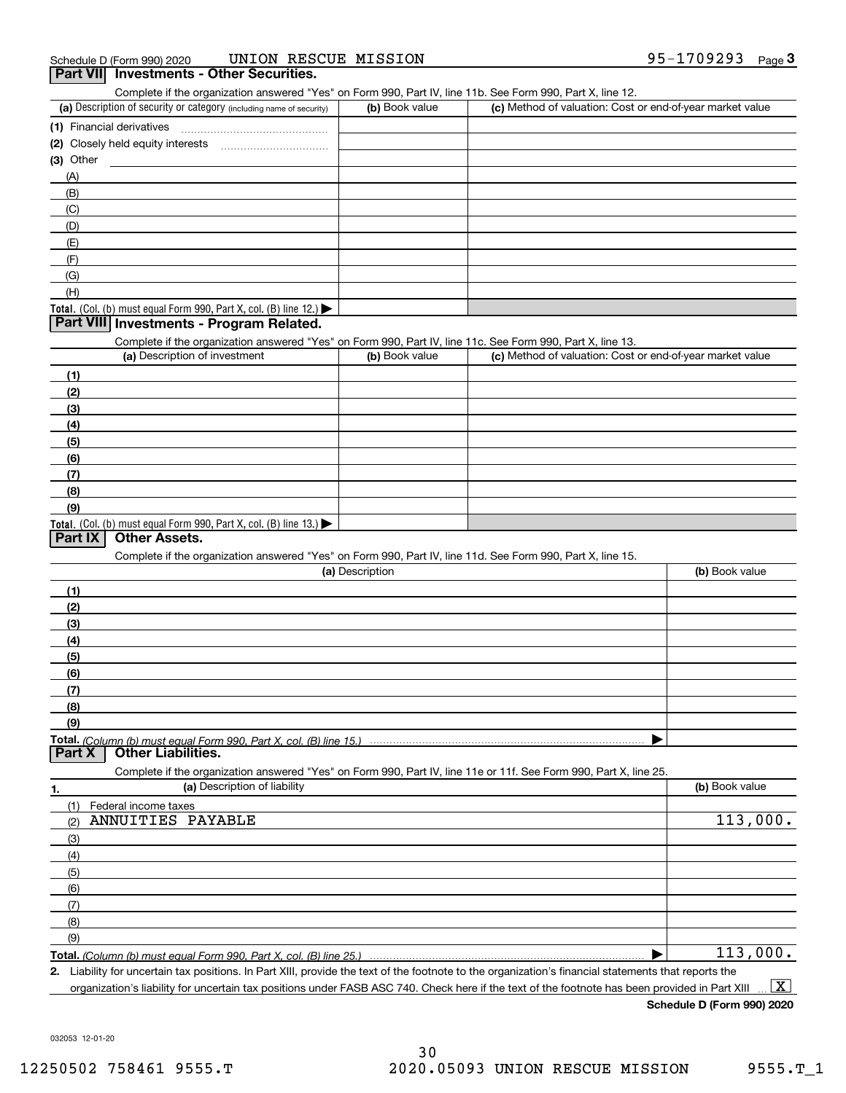Complete if the organization answered "Yes" on Form 990, Part IV, line 11b. See Form 990, Part X, line 12.

| (a) Description of security or category (including name of security)       | (b) Book value | (c) Method of valuation: Cost or end-of-year market value |
|----------------------------------------------------------------------------|----------------|-----------------------------------------------------------|
| (1) Financial derivatives                                                  |                |                                                           |
| (2) Closely held equity interests                                          |                |                                                           |
| $(3)$ Other                                                                |                |                                                           |
| (A)                                                                        |                |                                                           |
| (B)                                                                        |                |                                                           |
| (C)                                                                        |                |                                                           |
| (D)                                                                        |                |                                                           |
| (E)                                                                        |                |                                                           |
| (F)                                                                        |                |                                                           |
| (G)                                                                        |                |                                                           |
| (H)                                                                        |                |                                                           |
| <b>Total.</b> (Col. (b) must equal Form 990, Part X, col. (B) line $12$ .) |                |                                                           |

### **Part VIII Investments - Program Related.**

Complete if the organization answered "Yes" on Form 990, Part IV, line 11c. See Form 990, Part X, line 13.

| (a) Description of investment                                       | (b) Book value | (c) Method of valuation: Cost or end-of-year market value |
|---------------------------------------------------------------------|----------------|-----------------------------------------------------------|
| (1)                                                                 |                |                                                           |
| (2)                                                                 |                |                                                           |
| $\frac{1}{2}$                                                       |                |                                                           |
| (4)                                                                 |                |                                                           |
| $\left(5\right)$                                                    |                |                                                           |
| (6)                                                                 |                |                                                           |
| (7)                                                                 |                |                                                           |
| (8)                                                                 |                |                                                           |
| (9)                                                                 |                |                                                           |
| Total. (Col. (b) must equal Form 990, Part X, col. (B) line $13.$ ) |                |                                                           |

### **Part IX Other Assets.**

Complete if the organization answered "Yes" on Form 990, Part IV, line 11d. See Form 990, Part X, line 15.

| (a) Description | (b) Book value |
|-----------------|----------------|
| 11              |                |
| (2)             |                |
| (3)             |                |
| (4)             |                |
| (5)             |                |
| (6)             |                |
|                 |                |
| (8)             |                |
| (9)             |                |
|                 |                |
|                 |                |

|               | Complete if the organization answered "Yes" on Form 990, Part IV, line 11e or 11f. See Form 990, Part X, line 25. |                |
|---------------|-------------------------------------------------------------------------------------------------------------------|----------------|
| 1.            | (a) Description of liability                                                                                      | (b) Book value |
| (1)           | Federal income taxes                                                                                              |                |
| (2)           | ANNUITIES PAYABLE                                                                                                 | 113,000.       |
| (3)           |                                                                                                                   |                |
| (4)           |                                                                                                                   |                |
| $\frac{1}{2}$ |                                                                                                                   |                |
| (6)           |                                                                                                                   |                |
| (7)           |                                                                                                                   |                |
| (8)           |                                                                                                                   |                |
| (9)           |                                                                                                                   |                |
|               |                                                                                                                   | 113,000.       |

**2.**Liability for uncertain tax positions. In Part XIII, provide the text of the footnote to the organization's financial statements that reports the

organization's liability for uncertain tax positions under FASB ASC 740. Check here if the text of the footnote has been provided in Part XIII  $\boxed{\text{X}}$ 

**Schedule D (Form 990) 2020**

032053 12-01-20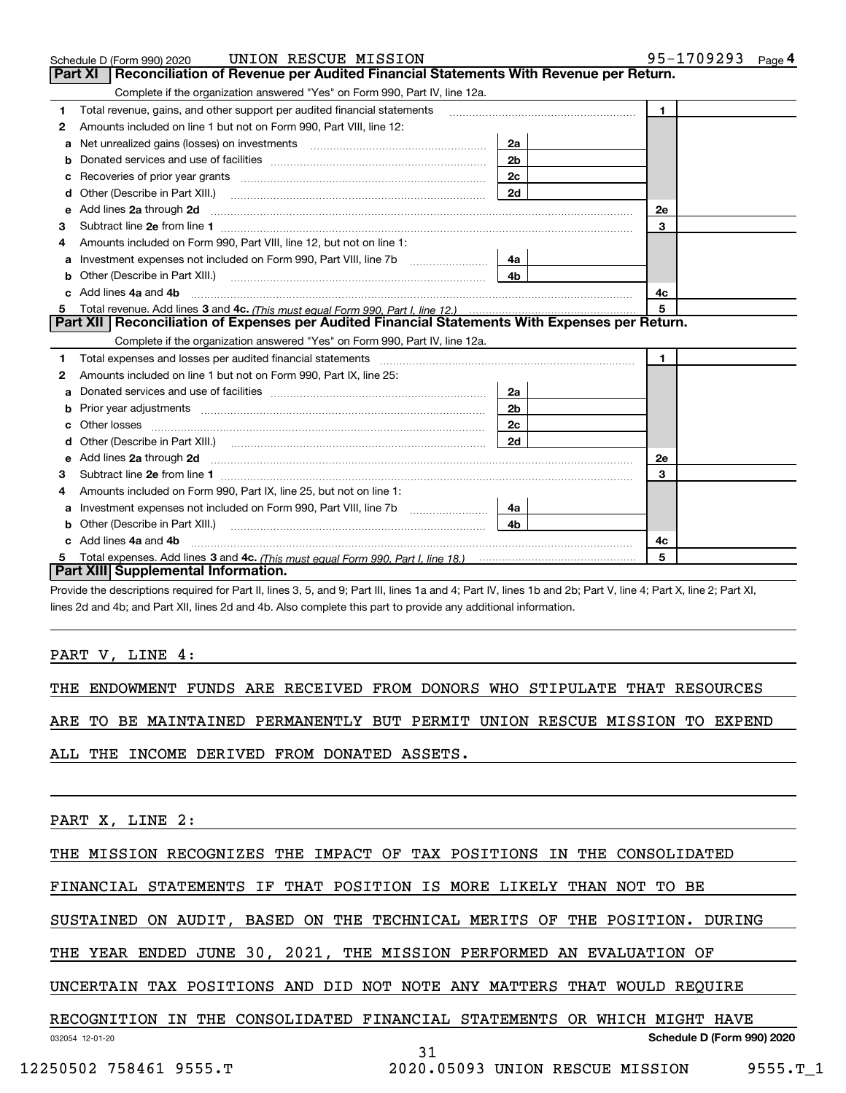|    | UNION RESCUE MISSION<br>Schedule D (Form 990) 2020                                                                                                                                                                             |                | 95-1709293<br>Page $4$ |
|----|--------------------------------------------------------------------------------------------------------------------------------------------------------------------------------------------------------------------------------|----------------|------------------------|
|    | Reconciliation of Revenue per Audited Financial Statements With Revenue per Return.<br>Part XI                                                                                                                                 |                |                        |
|    | Complete if the organization answered "Yes" on Form 990, Part IV, line 12a.                                                                                                                                                    |                |                        |
| 1  | Total revenue, gains, and other support per audited financial statements                                                                                                                                                       |                | $\blacksquare$         |
| 2  | Amounts included on line 1 but not on Form 990, Part VIII, line 12:                                                                                                                                                            |                |                        |
| a  |                                                                                                                                                                                                                                | 2a             |                        |
|    |                                                                                                                                                                                                                                | 2 <sub>b</sub> |                        |
| с  | Recoveries of prior year grants [111] matter contracts and prior year grants [11] matter contracts and prior year grants and an intervention and an intervention and an intervention and an intervention and an intervention a | 2 <sub>c</sub> |                        |
| d  | Other (Describe in Part XIII.) <b>Construction Contract Construction</b> Construction Construction Construction Const                                                                                                          | 2d             |                        |
| е  | Add lines 2a through 2d                                                                                                                                                                                                        |                | <b>2e</b>              |
| 3  |                                                                                                                                                                                                                                |                | 3                      |
| 4  | Amounts included on Form 990, Part VIII, line 12, but not on line 1:                                                                                                                                                           |                |                        |
| а  |                                                                                                                                                                                                                                | 4a             |                        |
| b  | Other (Describe in Part XIII.) <b>Construction Contract Construction</b> Chemistry Chemistry Chemistry Chemistry Chemistry                                                                                                     | 4 <sub>b</sub> |                        |
| c. | Add lines 4a and 4b                                                                                                                                                                                                            |                | 4c                     |
|    |                                                                                                                                                                                                                                | 5              |                        |
|    | Part XII   Reconciliation of Expenses per Audited Financial Statements With Expenses per Return.                                                                                                                               |                |                        |
|    | Complete if the organization answered "Yes" on Form 990, Part IV, line 12a.                                                                                                                                                    |                |                        |
| 1  | Total expenses and losses per audited financial statements [11] [12] manuscription control expenses and losses per audited financial statements [12] manuscription of the statements [12] manuscription of the statements [12] |                | $\mathbf{1}$           |
| 2  | Amounts included on line 1 but not on Form 990, Part IX, line 25:                                                                                                                                                              |                |                        |
| a  |                                                                                                                                                                                                                                | 2a             |                        |
|    |                                                                                                                                                                                                                                | 2 <sub>b</sub> |                        |
| с  |                                                                                                                                                                                                                                | 2c             |                        |
| d  |                                                                                                                                                                                                                                | 2d             |                        |
| е  |                                                                                                                                                                                                                                |                | <b>2e</b>              |
| 3  |                                                                                                                                                                                                                                |                | 3                      |
| 4  | Amounts included on Form 990, Part IX, line 25, but not on line 1:                                                                                                                                                             |                |                        |
| а  |                                                                                                                                                                                                                                | 4a             |                        |
| b  |                                                                                                                                                                                                                                | 4b             |                        |
|    | Add lines 4a and 4b                                                                                                                                                                                                            |                | 4с                     |
|    |                                                                                                                                                                                                                                |                | 5                      |
|    | Part XIII Supplemental Information.                                                                                                                                                                                            |                |                        |

Provide the descriptions required for Part II, lines 3, 5, and 9; Part III, lines 1a and 4; Part IV, lines 1b and 2b; Part V, line 4; Part X, line 2; Part XI, lines 2d and 4b; and Part XII, lines 2d and 4b. Also complete this part to provide any additional information.

### PART V, LINE 4:

THE ENDOWMENT FUNDS ARE RECEIVED FROM DONORS WHO STIPULATE THAT RESOURCES

ARE TO BE MAINTAINED PERMANENTLY BUT PERMIT UNION RESCUE MISSION TO EXPEND

ALL THE INCOME DERIVED FROM DONATED ASSETS.

PART X, LINE 2:

THE MISSION RECOGNIZES THE IMPACT OF TAX POSITIONS IN THE CONSOLIDATED

FINANCIAL STATEMENTS IF THAT POSITION IS MORE LIKELY THAN NOT TO BE

SUSTAINED ON AUDIT, BASED ON THE TECHNICAL MERITS OF THE POSITION. DURING

THE YEAR ENDED JUNE 30, 2021, THE MISSION PERFORMED AN EVALUATION OF

UNCERTAIN TAX POSITIONS AND DID NOT NOTE ANY MATTERS THAT WOULD REQUIRE

### 032054 12-01-20 **Schedule D (Form 990) 2020** RECOGNITION IN THE CONSOLIDATED FINANCIAL STATEMENTS OR WHICH MIGHT HAVE

31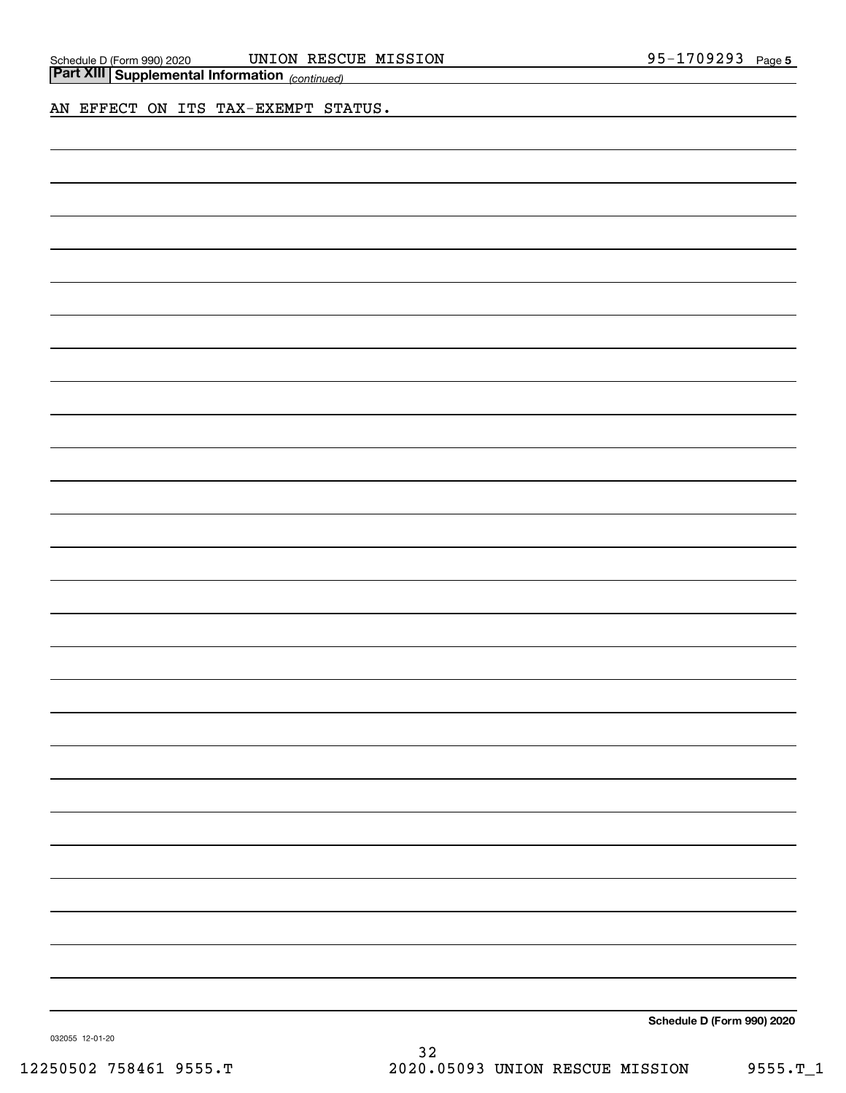| <b>Part XIII</b> Supplemental Information <sub>(continued)</sub> |  |
|------------------------------------------------------------------|--|
|                                                                  |  |

AN EFFECT ON ITS TAX-EXEMPT STATUS.

**Schedule D (Form 990) 2020**

032055 12-01-20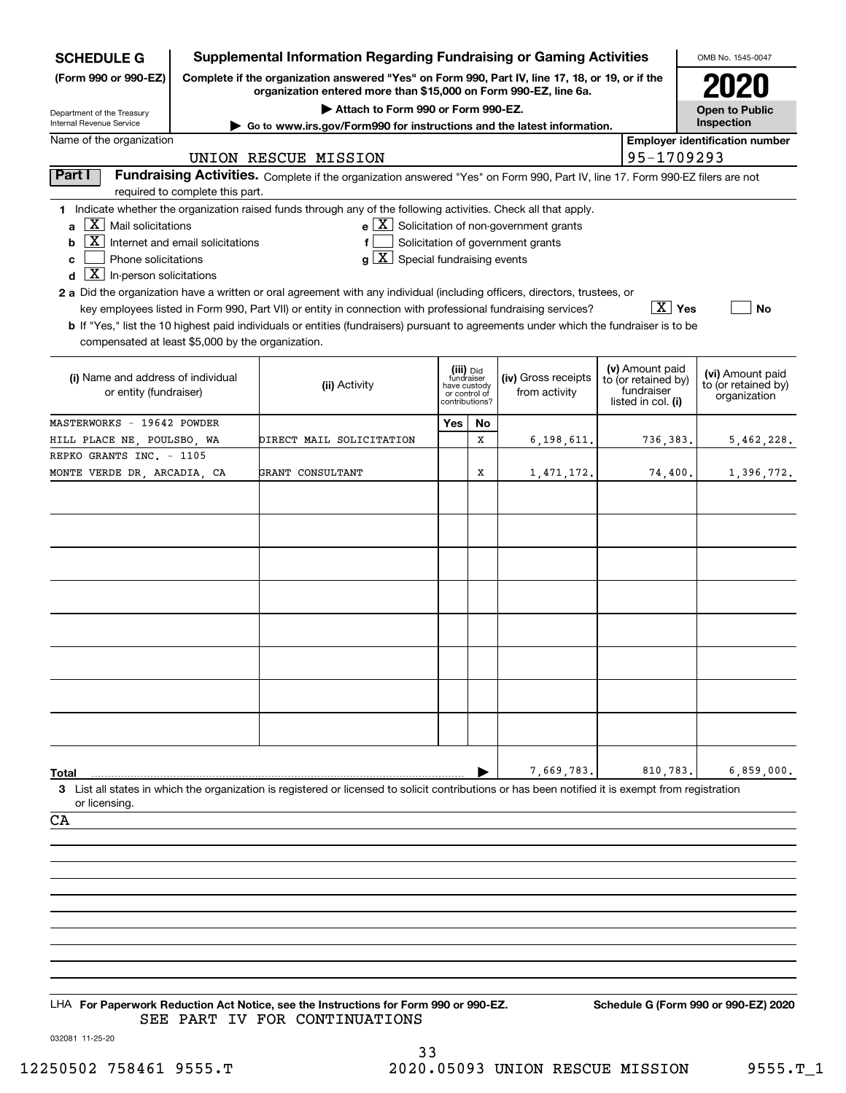| <b>SCHEDULE G</b>                                                                                                                                                                           |                                                                                                                | <b>Supplemental Information Regarding Fundraising or Gaming Activities</b>                                                                                                                                                                                                                                                                                                                                                                                                                                                                           |                                                               |           |                                                                                                              |  |                                                                            | OMB No. 1545-0047                                       |  |
|---------------------------------------------------------------------------------------------------------------------------------------------------------------------------------------------|----------------------------------------------------------------------------------------------------------------|------------------------------------------------------------------------------------------------------------------------------------------------------------------------------------------------------------------------------------------------------------------------------------------------------------------------------------------------------------------------------------------------------------------------------------------------------------------------------------------------------------------------------------------------------|---------------------------------------------------------------|-----------|--------------------------------------------------------------------------------------------------------------|--|----------------------------------------------------------------------------|---------------------------------------------------------|--|
| (Form 990 or 990-EZ)<br>Complete if the organization answered "Yes" on Form 990, Part IV, line 17, 18, or 19, or if the<br>organization entered more than \$15,000 on Form 990-EZ, line 6a. |                                                                                                                |                                                                                                                                                                                                                                                                                                                                                                                                                                                                                                                                                      |                                                               |           |                                                                                                              |  |                                                                            |                                                         |  |
| Department of the Treasury<br>Internal Revenue Service                                                                                                                                      | Attach to Form 990 or Form 990-EZ.<br>► Go to www.irs.gov/Form990 for instructions and the latest information. |                                                                                                                                                                                                                                                                                                                                                                                                                                                                                                                                                      |                                                               |           |                                                                                                              |  |                                                                            | <b>Open to Public</b><br>Inspection                     |  |
| Name of the organization<br>UNION RESCUE MISSION                                                                                                                                            |                                                                                                                |                                                                                                                                                                                                                                                                                                                                                                                                                                                                                                                                                      |                                                               |           |                                                                                                              |  | 95-1709293                                                                 | <b>Employer identification number</b>                   |  |
| Part I<br>Fundraising Activities. Complete if the organization answered "Yes" on Form 990, Part IV, line 17. Form 990-EZ filers are not                                                     |                                                                                                                |                                                                                                                                                                                                                                                                                                                                                                                                                                                                                                                                                      |                                                               |           |                                                                                                              |  |                                                                            |                                                         |  |
|                                                                                                                                                                                             | required to complete this part.                                                                                |                                                                                                                                                                                                                                                                                                                                                                                                                                                                                                                                                      |                                                               |           |                                                                                                              |  |                                                                            |                                                         |  |
| $\vert X \vert$ Mail solicitations<br>a<br>  X  <br>b<br>Phone solicitations<br>c<br>$\boxed{\textbf{X}}$ In-person solicitations<br>d                                                      | Internet and email solicitations                                                                               | 1 Indicate whether the organization raised funds through any of the following activities. Check all that apply.<br>$g\mid X$ Special fundraising events<br>2 a Did the organization have a written or oral agreement with any individual (including officers, directors, trustees, or<br>key employees listed in Form 990, Part VII) or entity in connection with professional fundraising services?<br><b>b</b> If "Yes," list the 10 highest paid individuals or entities (fundraisers) pursuant to agreements under which the fundraiser is to be |                                                               |           | $\mathbf{e}$ $\boxed{\mathbf{X}}$ Solicitation of non-government grants<br>Solicitation of government grants |  | $\boxed{\text{X}}$ Yes                                                     | No                                                      |  |
| compensated at least \$5,000 by the organization.                                                                                                                                           |                                                                                                                |                                                                                                                                                                                                                                                                                                                                                                                                                                                                                                                                                      |                                                               |           |                                                                                                              |  |                                                                            |                                                         |  |
| (i) Name and address of individual<br>or entity (fundraiser)                                                                                                                                |                                                                                                                | (ii) Activity                                                                                                                                                                                                                                                                                                                                                                                                                                                                                                                                        | fundraiser<br>have custody<br>or control of<br>contributions? | (iii) Did | (iv) Gross receipts<br>from activity                                                                         |  | (v) Amount paid<br>to (or retained by)<br>fundraiser<br>listed in col. (i) | (vi) Amount paid<br>to (or retained by)<br>organization |  |
| MASTERWORKS - 19642 POWDER                                                                                                                                                                  |                                                                                                                |                                                                                                                                                                                                                                                                                                                                                                                                                                                                                                                                                      | Yes                                                           | No        |                                                                                                              |  |                                                                            |                                                         |  |
| HILL PLACE NE, POULSBO, WA                                                                                                                                                                  |                                                                                                                | DIRECT MAIL SOLICITATION                                                                                                                                                                                                                                                                                                                                                                                                                                                                                                                             |                                                               | X         | 6,198,611.                                                                                                   |  | 736,383.                                                                   | 5,462,228.                                              |  |
| REPKO GRANTS INC. - 1105<br>MONTE VERDE DR, ARCADIA, CA                                                                                                                                     |                                                                                                                | GRANT CONSULTANT                                                                                                                                                                                                                                                                                                                                                                                                                                                                                                                                     |                                                               | х         | 1,471,172.                                                                                                   |  | 74,400.                                                                    | 1,396,772.                                              |  |
|                                                                                                                                                                                             |                                                                                                                |                                                                                                                                                                                                                                                                                                                                                                                                                                                                                                                                                      |                                                               |           |                                                                                                              |  |                                                                            |                                                         |  |
|                                                                                                                                                                                             |                                                                                                                |                                                                                                                                                                                                                                                                                                                                                                                                                                                                                                                                                      |                                                               |           |                                                                                                              |  |                                                                            |                                                         |  |
|                                                                                                                                                                                             |                                                                                                                |                                                                                                                                                                                                                                                                                                                                                                                                                                                                                                                                                      |                                                               |           |                                                                                                              |  |                                                                            |                                                         |  |
| Total                                                                                                                                                                                       |                                                                                                                |                                                                                                                                                                                                                                                                                                                                                                                                                                                                                                                                                      |                                                               |           | 7,669,783.                                                                                                   |  | 810,783.                                                                   | 6,859,000.                                              |  |
|                                                                                                                                                                                             |                                                                                                                | 3 List all states in which the organization is registered or licensed to solicit contributions or has been notified it is exempt from registration                                                                                                                                                                                                                                                                                                                                                                                                   |                                                               |           |                                                                                                              |  |                                                                            |                                                         |  |
| or licensing.<br>CA                                                                                                                                                                         |                                                                                                                |                                                                                                                                                                                                                                                                                                                                                                                                                                                                                                                                                      |                                                               |           |                                                                                                              |  |                                                                            |                                                         |  |
|                                                                                                                                                                                             |                                                                                                                |                                                                                                                                                                                                                                                                                                                                                                                                                                                                                                                                                      |                                                               |           |                                                                                                              |  |                                                                            |                                                         |  |
|                                                                                                                                                                                             |                                                                                                                |                                                                                                                                                                                                                                                                                                                                                                                                                                                                                                                                                      |                                                               |           |                                                                                                              |  |                                                                            |                                                         |  |
|                                                                                                                                                                                             |                                                                                                                |                                                                                                                                                                                                                                                                                                                                                                                                                                                                                                                                                      |                                                               |           |                                                                                                              |  |                                                                            |                                                         |  |
|                                                                                                                                                                                             |                                                                                                                |                                                                                                                                                                                                                                                                                                                                                                                                                                                                                                                                                      |                                                               |           |                                                                                                              |  |                                                                            |                                                         |  |
|                                                                                                                                                                                             |                                                                                                                |                                                                                                                                                                                                                                                                                                                                                                                                                                                                                                                                                      |                                                               |           |                                                                                                              |  |                                                                            |                                                         |  |
|                                                                                                                                                                                             |                                                                                                                |                                                                                                                                                                                                                                                                                                                                                                                                                                                                                                                                                      |                                                               |           |                                                                                                              |  |                                                                            |                                                         |  |
|                                                                                                                                                                                             |                                                                                                                |                                                                                                                                                                                                                                                                                                                                                                                                                                                                                                                                                      |                                                               |           |                                                                                                              |  |                                                                            |                                                         |  |
|                                                                                                                                                                                             |                                                                                                                |                                                                                                                                                                                                                                                                                                                                                                                                                                                                                                                                                      |                                                               |           |                                                                                                              |  |                                                                            |                                                         |  |
| 032081 11-25-20                                                                                                                                                                             |                                                                                                                | LHA For Paperwork Reduction Act Notice, see the Instructions for Form 990 or 990-EZ.<br>SEE PART IV FOR CONTINUATIONS                                                                                                                                                                                                                                                                                                                                                                                                                                |                                                               |           |                                                                                                              |  |                                                                            | Schedule G (Form 990 or 990-EZ) 2020                    |  |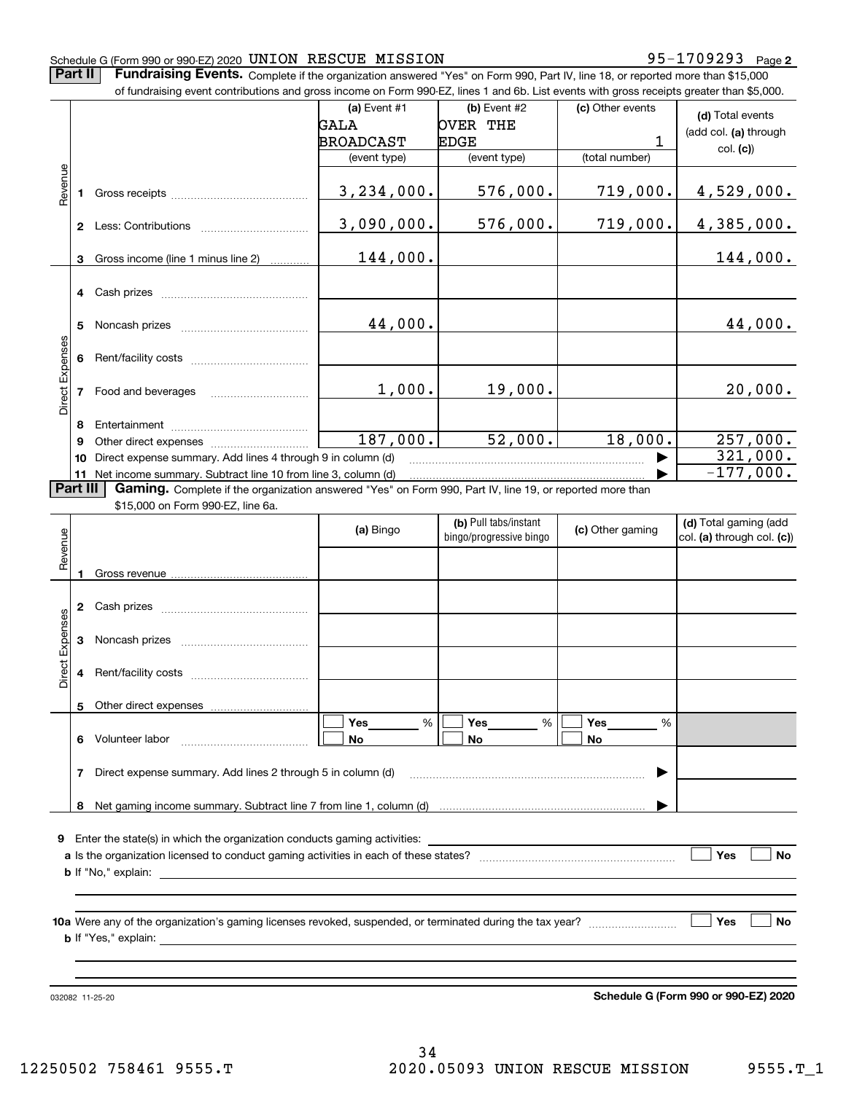### Schedule G (Form 990 or 990-EZ) 2020 Page UNION RESCUE MISSION 95-1709293

**Part II** | Fundraising Events. Complete if the organization answered "Yes" on Form 990, Part IV, line 18, or reported more than \$15,000

|                 |              | of fundraising event contributions and gross income on Form 990-EZ, lines 1 and 6b. List events with gross receipts greater than \$5,000. |                  |                         |                  |                                      |  |  |  |  |  |  |
|-----------------|--------------|-------------------------------------------------------------------------------------------------------------------------------------------|------------------|-------------------------|------------------|--------------------------------------|--|--|--|--|--|--|
|                 |              |                                                                                                                                           | (a) Event #1     | (b) Event #2            | (c) Other events | (d) Total events                     |  |  |  |  |  |  |
|                 |              |                                                                                                                                           | GALA             | OVER THE                |                  | (add col. (a) through                |  |  |  |  |  |  |
|                 |              |                                                                                                                                           | <b>BROADCAST</b> | <b>EDGE</b>             | 1                | col. (c))                            |  |  |  |  |  |  |
|                 |              |                                                                                                                                           | (event type)     | (event type)            | (total number)   |                                      |  |  |  |  |  |  |
|                 |              |                                                                                                                                           |                  |                         |                  |                                      |  |  |  |  |  |  |
| Revenue         | 1            |                                                                                                                                           | 3, 234, 000.     | 576,000.                | 719,000.         | 4,529,000.                           |  |  |  |  |  |  |
|                 |              |                                                                                                                                           |                  |                         |                  |                                      |  |  |  |  |  |  |
|                 |              |                                                                                                                                           | 3,090,000.       | 576,000.                | 719,000.         | 4,385,000.                           |  |  |  |  |  |  |
|                 |              |                                                                                                                                           |                  |                         |                  |                                      |  |  |  |  |  |  |
|                 | 3            | Gross income (line 1 minus line 2)                                                                                                        | 144,000.         |                         |                  | 144,000.                             |  |  |  |  |  |  |
|                 |              |                                                                                                                                           |                  |                         |                  |                                      |  |  |  |  |  |  |
|                 | 4            |                                                                                                                                           |                  |                         |                  |                                      |  |  |  |  |  |  |
|                 |              |                                                                                                                                           |                  |                         |                  |                                      |  |  |  |  |  |  |
|                 | 5            |                                                                                                                                           | 44,000.          |                         |                  | 44,000.                              |  |  |  |  |  |  |
|                 |              |                                                                                                                                           |                  |                         |                  |                                      |  |  |  |  |  |  |
|                 | 6            |                                                                                                                                           |                  |                         |                  |                                      |  |  |  |  |  |  |
| Direct Expenses |              |                                                                                                                                           | 1,000.           | 19,000.                 |                  | 20,000.                              |  |  |  |  |  |  |
|                 | 7            |                                                                                                                                           |                  |                         |                  |                                      |  |  |  |  |  |  |
|                 |              |                                                                                                                                           |                  |                         |                  |                                      |  |  |  |  |  |  |
|                 | 8<br>9       |                                                                                                                                           | 187,000.         | 52,000.                 | 18,000.          | 257,000.                             |  |  |  |  |  |  |
|                 | 10           | Direct expense summary. Add lines 4 through 9 in column (d)                                                                               |                  |                         |                  | 321,000.                             |  |  |  |  |  |  |
|                 | 11           | Net income summary. Subtract line 10 from line 3, column (d)                                                                              |                  |                         |                  | $-177,000.$                          |  |  |  |  |  |  |
|                 | Part III     | Gaming. Complete if the organization answered "Yes" on Form 990, Part IV, line 19, or reported more than                                  |                  |                         |                  |                                      |  |  |  |  |  |  |
|                 |              | \$15,000 on Form 990-EZ, line 6a.                                                                                                         |                  |                         |                  |                                      |  |  |  |  |  |  |
|                 |              |                                                                                                                                           |                  | (b) Pull tabs/instant   |                  | (d) Total gaming (add                |  |  |  |  |  |  |
|                 |              |                                                                                                                                           | (a) Bingo        | bingo/progressive bingo | (c) Other gaming | col. (a) through col. (c))           |  |  |  |  |  |  |
| Revenue         |              |                                                                                                                                           |                  |                         |                  |                                      |  |  |  |  |  |  |
|                 | 1            |                                                                                                                                           |                  |                         |                  |                                      |  |  |  |  |  |  |
|                 |              |                                                                                                                                           |                  |                         |                  |                                      |  |  |  |  |  |  |
|                 | $\mathbf{2}$ |                                                                                                                                           |                  |                         |                  |                                      |  |  |  |  |  |  |
| Direct Expenses |              |                                                                                                                                           |                  |                         |                  |                                      |  |  |  |  |  |  |
|                 | 3            |                                                                                                                                           |                  |                         |                  |                                      |  |  |  |  |  |  |
|                 |              |                                                                                                                                           |                  |                         |                  |                                      |  |  |  |  |  |  |
|                 | 4            |                                                                                                                                           |                  |                         |                  |                                      |  |  |  |  |  |  |
|                 |              |                                                                                                                                           |                  |                         |                  |                                      |  |  |  |  |  |  |
|                 |              | 5 Other direct expenses                                                                                                                   |                  |                         |                  |                                      |  |  |  |  |  |  |
|                 |              | 6 Volunteer labor                                                                                                                         | Yes<br>%         | Yes<br>%<br>No          | Yes<br>%<br>No.  |                                      |  |  |  |  |  |  |
|                 |              |                                                                                                                                           | No.              |                         |                  |                                      |  |  |  |  |  |  |
|                 | 7            | Direct expense summary. Add lines 2 through 5 in column (d)                                                                               |                  |                         | ▶                |                                      |  |  |  |  |  |  |
|                 |              |                                                                                                                                           |                  |                         |                  |                                      |  |  |  |  |  |  |
|                 |              |                                                                                                                                           |                  |                         |                  |                                      |  |  |  |  |  |  |
|                 |              |                                                                                                                                           |                  |                         |                  |                                      |  |  |  |  |  |  |
|                 |              |                                                                                                                                           |                  |                         |                  |                                      |  |  |  |  |  |  |
|                 |              |                                                                                                                                           |                  |                         |                  | Yes<br>No                            |  |  |  |  |  |  |
|                 |              |                                                                                                                                           |                  |                         |                  |                                      |  |  |  |  |  |  |
|                 |              |                                                                                                                                           |                  |                         |                  |                                      |  |  |  |  |  |  |
|                 |              |                                                                                                                                           |                  |                         |                  |                                      |  |  |  |  |  |  |
|                 | Yes<br>No    |                                                                                                                                           |                  |                         |                  |                                      |  |  |  |  |  |  |
|                 |              |                                                                                                                                           |                  |                         |                  |                                      |  |  |  |  |  |  |
|                 |              |                                                                                                                                           |                  |                         |                  |                                      |  |  |  |  |  |  |
|                 |              |                                                                                                                                           |                  |                         |                  |                                      |  |  |  |  |  |  |
|                 |              |                                                                                                                                           |                  |                         |                  |                                      |  |  |  |  |  |  |
|                 |              | 032082 11-25-20                                                                                                                           |                  |                         |                  | Schedule G (Form 990 or 990-EZ) 2020 |  |  |  |  |  |  |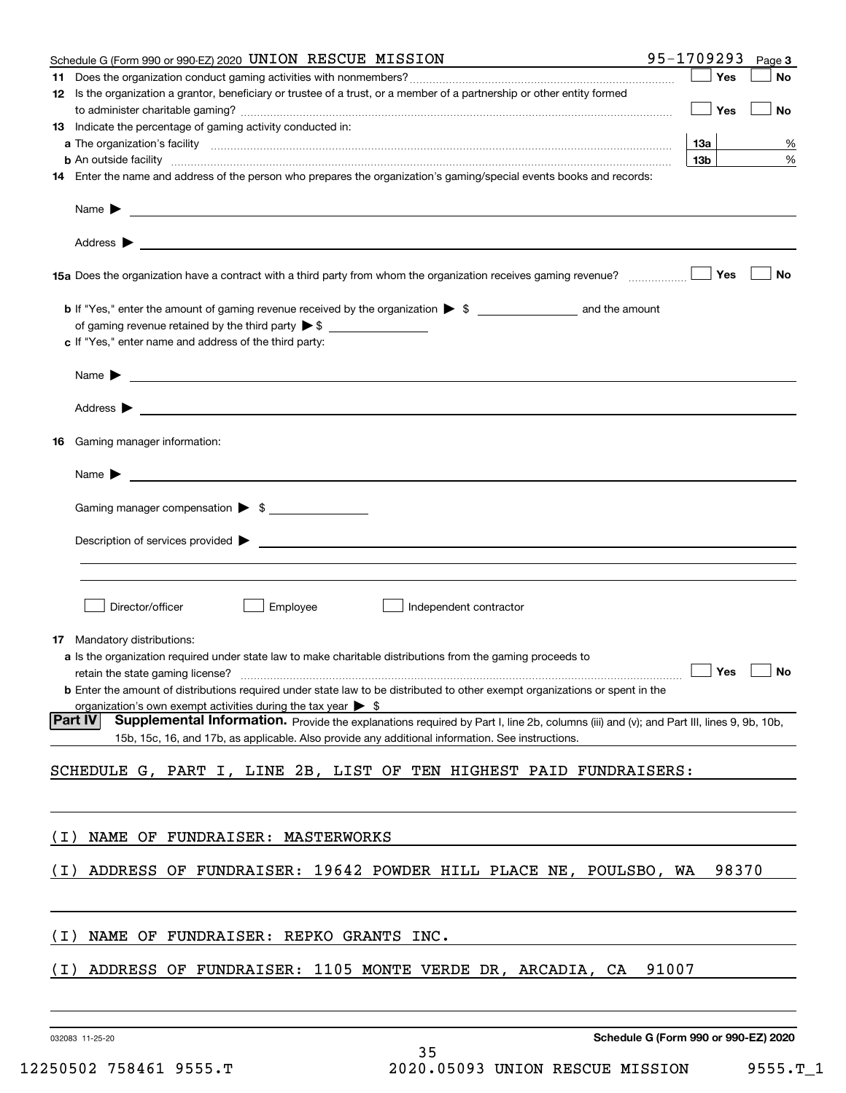|       | Schedule G (Form 990 or 990-EZ) 2020 UNION RESCUE MISSION                                                                                                                                                                                                             | 95-1709293 |                 | Page 3               |
|-------|-----------------------------------------------------------------------------------------------------------------------------------------------------------------------------------------------------------------------------------------------------------------------|------------|-----------------|----------------------|
|       |                                                                                                                                                                                                                                                                       |            | Yes             | No                   |
|       | 12 Is the organization a grantor, beneficiary or trustee of a trust, or a member of a partnership or other entity formed                                                                                                                                              |            | Yes             | No                   |
|       | 13 Indicate the percentage of gaming activity conducted in:                                                                                                                                                                                                           |            |                 |                      |
|       |                                                                                                                                                                                                                                                                       |            | 13а             | %                    |
|       | <b>b</b> An outside facility <b>contract and the contract of the contract of the contract of the contract of the contract of the contract of the contract of the contract of the contract of the contract of the contract of the cont</b>                             |            | 13 <sub>b</sub> | $\%$                 |
|       | 14 Enter the name and address of the person who prepares the organization's gaming/special events books and records:                                                                                                                                                  |            |                 |                      |
|       | Name $\blacktriangleright$<br><u> 1989 - Andrea Stadt Britain, amerikansk politiker (</u>                                                                                                                                                                             |            |                 |                      |
|       | Address $\blacktriangleright$<br><u> 1989 - Johann Barbara, martxa alemaniar populari (</u>                                                                                                                                                                           |            |                 |                      |
|       | 15a Does the organization have a contract with a third party from whom the organization receives gaming revenue?                                                                                                                                                      |            | Yes             | No                   |
|       |                                                                                                                                                                                                                                                                       |            |                 |                      |
|       |                                                                                                                                                                                                                                                                       |            |                 |                      |
|       | c If "Yes," enter name and address of the third party:                                                                                                                                                                                                                |            |                 |                      |
|       | <u> 1989 - Johann Barbara, martxa alemaniar arg</u><br>Name $\blacktriangleright$                                                                                                                                                                                     |            |                 |                      |
|       | Address $\blacktriangleright$<br><u>state and the state of the state of the state of the state of the state of the state of the state of the state of the state of the state of the state of the state of the state of the state of the state of the state of the</u> |            |                 |                      |
| 16    | Gaming manager information:                                                                                                                                                                                                                                           |            |                 |                      |
|       | Name $\blacktriangleright$                                                                                                                                                                                                                                            |            |                 |                      |
|       | Gaming manager compensation > \$                                                                                                                                                                                                                                      |            |                 |                      |
|       | $Description of services provided$ $\triangleright$                                                                                                                                                                                                                   |            |                 |                      |
|       |                                                                                                                                                                                                                                                                       |            |                 |                      |
|       |                                                                                                                                                                                                                                                                       |            |                 |                      |
|       | Director/officer<br>Employee<br>Independent contractor                                                                                                                                                                                                                |            |                 |                      |
|       | <b>17</b> Mandatory distributions:                                                                                                                                                                                                                                    |            |                 |                      |
|       | a Is the organization required under state law to make charitable distributions from the gaming proceeds to                                                                                                                                                           |            |                 |                      |
|       |                                                                                                                                                                                                                                                                       |            |                 | $\Box$ Yes $\Box$ No |
|       | <b>b</b> Enter the amount of distributions required under state law to be distributed to other exempt organizations or spent in the                                                                                                                                   |            |                 |                      |
|       | organization's own exempt activities during the tax year $\triangleright$ \$<br><b>Part IV</b><br>Supplemental Information. Provide the explanations required by Part I, line 2b, columns (iii) and (v); and Part III, lines 9, 9b, 10b,                              |            |                 |                      |
|       | 15b, 15c, 16, and 17b, as applicable. Also provide any additional information. See instructions.                                                                                                                                                                      |            |                 |                      |
|       | SCHEDULE G, PART I, LINE 2B, LIST OF TEN HIGHEST PAID FUNDRAISERS:                                                                                                                                                                                                    |            |                 |                      |
|       |                                                                                                                                                                                                                                                                       |            |                 |                      |
| ( I ) | NAME OF FUNDRAISER: MASTERWORKS                                                                                                                                                                                                                                       |            |                 |                      |
|       |                                                                                                                                                                                                                                                                       |            |                 |                      |
| ( I ) | ADDRESS OF FUNDRAISER: 19642 POWDER HILL PLACE NE, POULSBO, WA                                                                                                                                                                                                        |            | 98370           |                      |
|       |                                                                                                                                                                                                                                                                       |            |                 |                      |
| ( I ) | NAME OF FUNDRAISER: REPKO GRANTS INC.                                                                                                                                                                                                                                 |            |                 |                      |
| ( I ) | ADDRESS OF FUNDRAISER: 1105 MONTE VERDE DR, ARCADIA, CA                                                                                                                                                                                                               | 91007      |                 |                      |
|       |                                                                                                                                                                                                                                                                       |            |                 |                      |
|       |                                                                                                                                                                                                                                                                       |            |                 |                      |
|       |                                                                                                                                                                                                                                                                       |            |                 |                      |

032083 11-25-20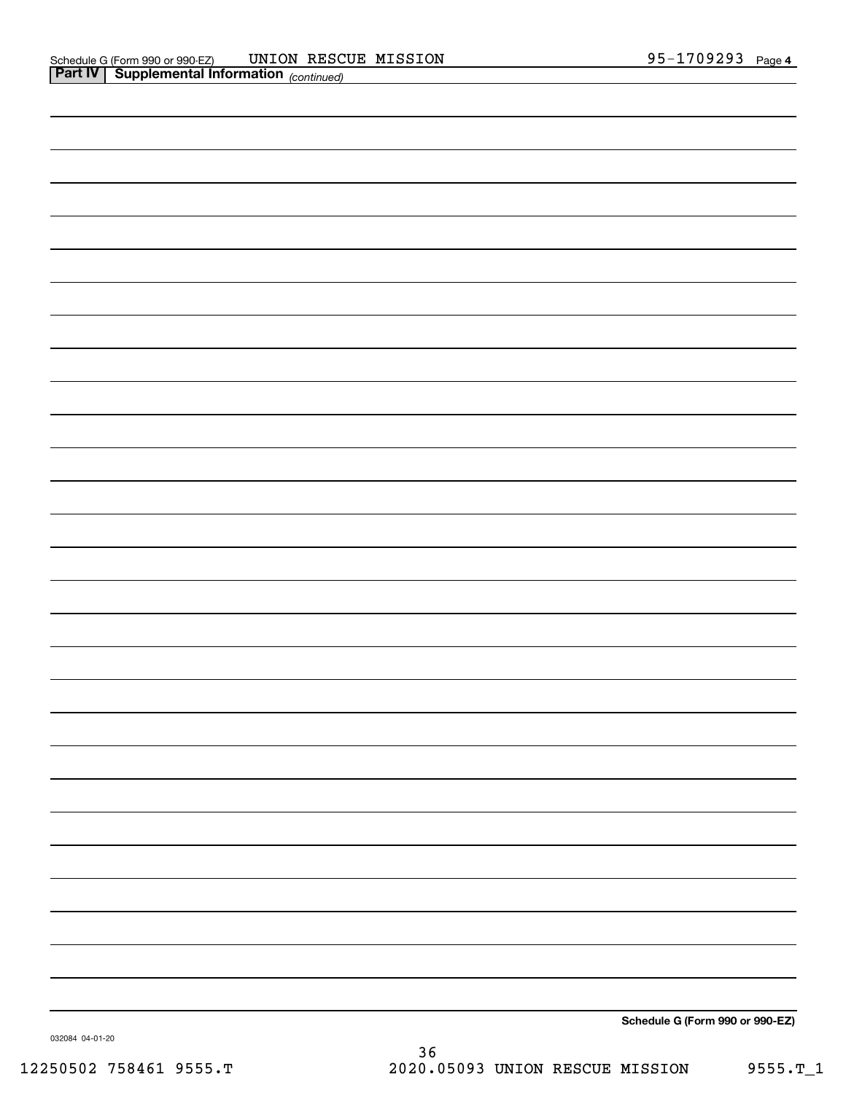| $\overline{\phantom{a}}$ |  |
|--------------------------|--|
|                          |  |
|                          |  |
|                          |  |
|                          |  |
|                          |  |
|                          |  |

**Schedule G (Form 990 or 990-EZ)**

032084 04-01-20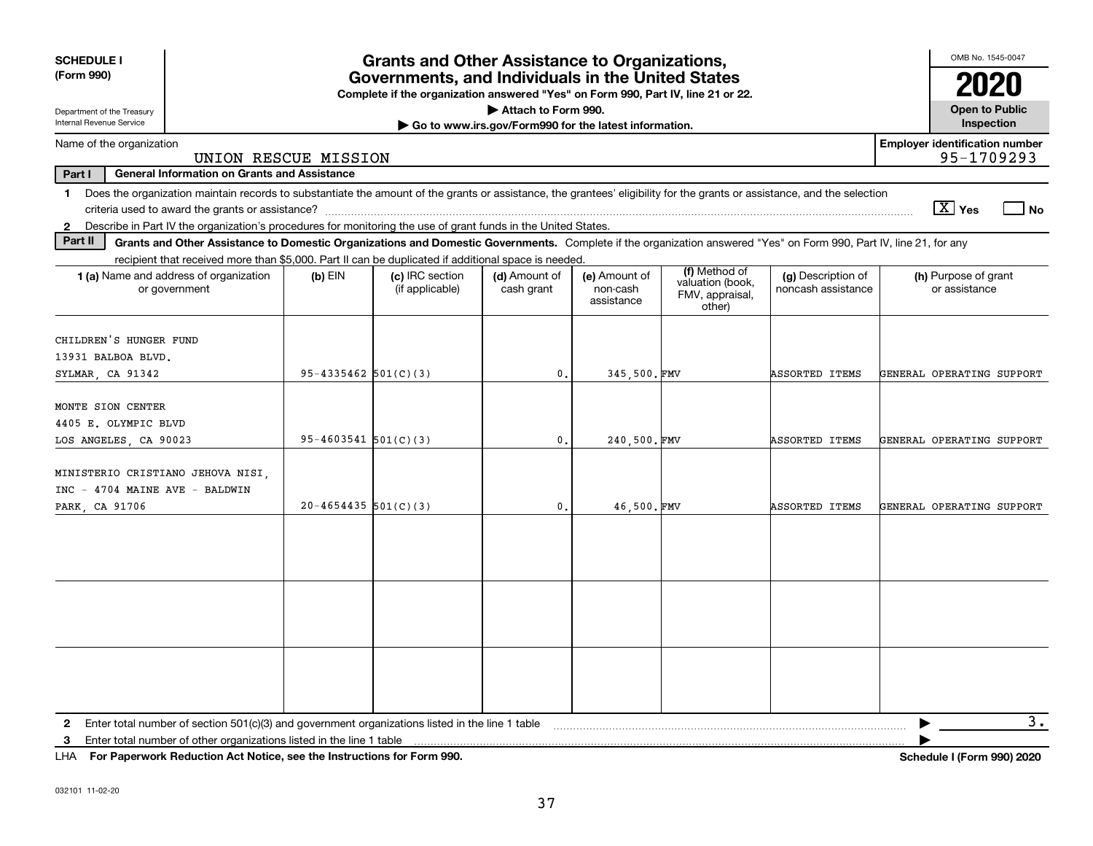| <b>SCHEDULE I</b><br>(Form 990)                                                                                                                                                         | <b>Grants and Other Assistance to Organizations,</b><br>Governments, and Individuals in the United States<br>Complete if the organization answered "Yes" on Form 990, Part IV, line 21 or 22. |                            |                                                                                                     |                                                       |                                         |                                                                |                                                                                                                                                                    |                                                     |  |  |
|-----------------------------------------------------------------------------------------------------------------------------------------------------------------------------------------|-----------------------------------------------------------------------------------------------------------------------------------------------------------------------------------------------|----------------------------|-----------------------------------------------------------------------------------------------------|-------------------------------------------------------|-----------------------------------------|----------------------------------------------------------------|--------------------------------------------------------------------------------------------------------------------------------------------------------------------|-----------------------------------------------------|--|--|
| Department of the Treasury                                                                                                                                                              |                                                                                                                                                                                               |                            |                                                                                                     | Attach to Form 990.                                   |                                         |                                                                |                                                                                                                                                                    | <b>Open to Public</b>                               |  |  |
| Internal Revenue Service                                                                                                                                                                |                                                                                                                                                                                               |                            |                                                                                                     | Go to www.irs.gov/Form990 for the latest information. |                                         |                                                                |                                                                                                                                                                    | Inspection                                          |  |  |
| Name of the organization                                                                                                                                                                | UNION RESCUE MISSION                                                                                                                                                                          |                            |                                                                                                     |                                                       |                                         |                                                                |                                                                                                                                                                    | <b>Employer identification number</b><br>95-1709293 |  |  |
| Part I<br><b>General Information on Grants and Assistance</b>                                                                                                                           |                                                                                                                                                                                               |                            |                                                                                                     |                                                       |                                         |                                                                |                                                                                                                                                                    |                                                     |  |  |
| Does the organization maintain records to substantiate the amount of the grants or assistance, the grantees' eligibility for the grants or assistance, and the selection<br>$\mathbf 1$ |                                                                                                                                                                                               |                            |                                                                                                     |                                                       |                                         |                                                                |                                                                                                                                                                    |                                                     |  |  |
|                                                                                                                                                                                         |                                                                                                                                                                                               |                            |                                                                                                     |                                                       |                                         |                                                                |                                                                                                                                                                    | $\boxed{\text{X}}$ Yes<br>l No                      |  |  |
| Describe in Part IV the organization's procedures for monitoring the use of grant funds in the United States.<br>$\mathbf{2}$                                                           |                                                                                                                                                                                               |                            |                                                                                                     |                                                       |                                         |                                                                |                                                                                                                                                                    |                                                     |  |  |
| Part II                                                                                                                                                                                 |                                                                                                                                                                                               |                            |                                                                                                     |                                                       |                                         |                                                                | Grants and Other Assistance to Domestic Organizations and Domestic Governments. Complete if the organization answered "Yes" on Form 990, Part IV, line 21, for any |                                                     |  |  |
|                                                                                                                                                                                         |                                                                                                                                                                                               |                            | recipient that received more than \$5,000. Part II can be duplicated if additional space is needed. |                                                       |                                         |                                                                |                                                                                                                                                                    |                                                     |  |  |
| 1 (a) Name and address of organization<br>or government                                                                                                                                 |                                                                                                                                                                                               | $(b)$ EIN                  | (c) IRC section<br>(if applicable)                                                                  | (d) Amount of<br>cash grant                           | (e) Amount of<br>non-cash<br>assistance | (f) Method of<br>valuation (book,<br>FMV, appraisal,<br>other) | (g) Description of<br>noncash assistance                                                                                                                           | (h) Purpose of grant<br>or assistance               |  |  |
| CHILDREN'S HUNGER FUND<br>13931 BALBOA BLVD.<br>SYLMAR, CA 91342                                                                                                                        |                                                                                                                                                                                               | $95 - 4335462$ $501(C)(3)$ |                                                                                                     | $\mathbf{0}$                                          | 345,500.FMV                             |                                                                | ASSORTED ITEMS                                                                                                                                                     | GENERAL OPERATING SUPPORT                           |  |  |
| MONTE SION CENTER<br>4405 E. OLYMPIC BLVD                                                                                                                                               |                                                                                                                                                                                               |                            |                                                                                                     |                                                       |                                         |                                                                |                                                                                                                                                                    |                                                     |  |  |
| LOS ANGELES, CA 90023                                                                                                                                                                   |                                                                                                                                                                                               | $95 - 4603541$ $501(C)(3)$ |                                                                                                     | $\mathbf{0}$ .                                        | 240.500.FMV                             |                                                                | ASSORTED ITEMS                                                                                                                                                     | GENERAL OPERATING SUPPORT                           |  |  |
| MINISTERIO CRISTIANO JEHOVA NISI,<br>INC - 4704 MAINE AVE - BALDWIN<br>PARK CA 91706                                                                                                    |                                                                                                                                                                                               | $20 - 4654435$ 501(C)(3)   |                                                                                                     | $\mathbf{0}$ .                                        | 46,500.FMV                              |                                                                | <b>ASSORTED ITEMS</b>                                                                                                                                              | GENERAL OPERATING SUPPORT                           |  |  |
|                                                                                                                                                                                         |                                                                                                                                                                                               |                            |                                                                                                     |                                                       |                                         |                                                                |                                                                                                                                                                    |                                                     |  |  |
|                                                                                                                                                                                         |                                                                                                                                                                                               |                            |                                                                                                     |                                                       |                                         |                                                                |                                                                                                                                                                    |                                                     |  |  |
|                                                                                                                                                                                         |                                                                                                                                                                                               |                            |                                                                                                     |                                                       |                                         |                                                                |                                                                                                                                                                    |                                                     |  |  |
| Enter total number of section 501(c)(3) and government organizations listed in the line 1 table                                                                                         |                                                                                                                                                                                               |                            |                                                                                                     |                                                       |                                         |                                                                |                                                                                                                                                                    | 3.                                                  |  |  |
| 2<br>Enter total number of other organizations listed in the line 1 table<br>3                                                                                                          |                                                                                                                                                                                               |                            |                                                                                                     |                                                       |                                         |                                                                |                                                                                                                                                                    |                                                     |  |  |
|                                                                                                                                                                                         |                                                                                                                                                                                               |                            |                                                                                                     |                                                       |                                         |                                                                |                                                                                                                                                                    |                                                     |  |  |

**For Paperwork Reduction Act Notice, see the Instructions for Form 990. Schedule I (Form 990) 2020** LHA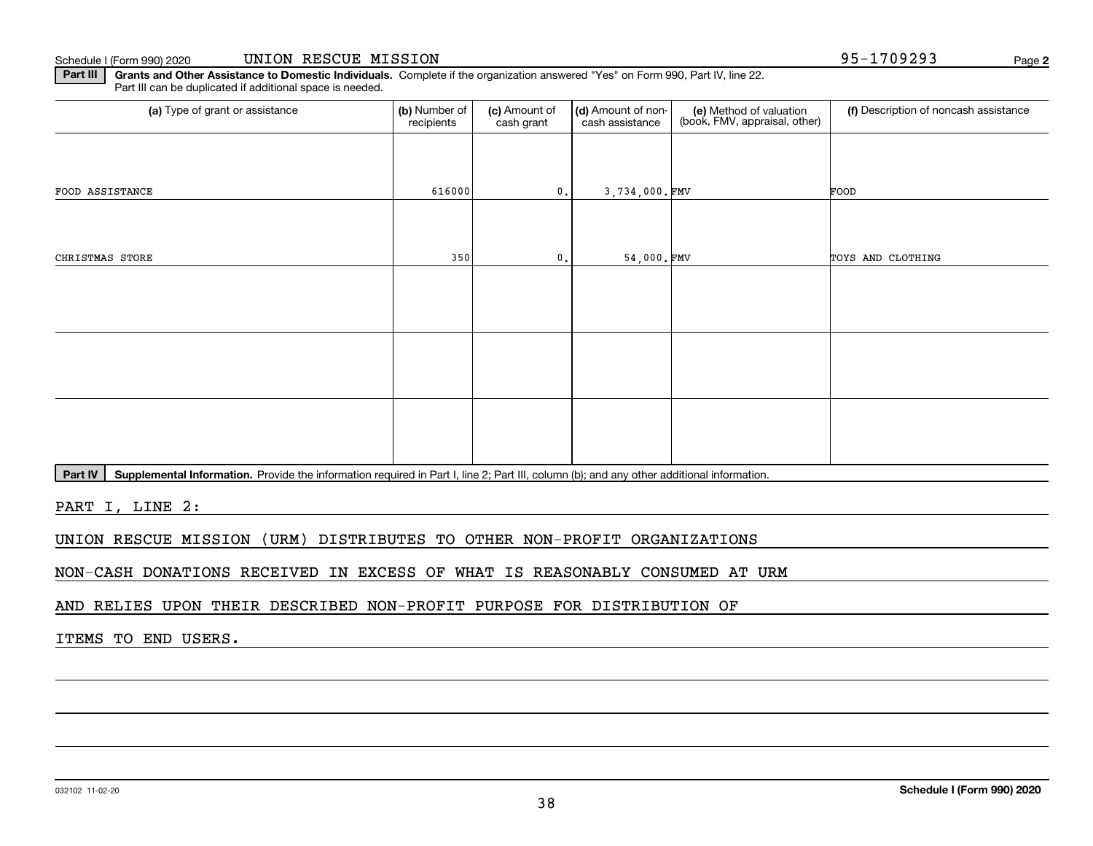Schedule I (Form 990) 2020 Page UNION RESCUE MISSION 95-1709293

**Part III | Grants and Other Assistance to Domestic Individuals. Complete if the organization answered "Yes" on Form 990, Part IV, line 22.** Part III can be duplicated if additional space is needed.

| (a) Type of grant or assistance | (b) Number of<br>recipients | (c) Amount of<br>cash grant | (d) Amount of non-<br>cash assistance | (e) Method of valuation<br>(book, FMV, appraisal, other) | (f) Description of noncash assistance |
|---------------------------------|-----------------------------|-----------------------------|---------------------------------------|----------------------------------------------------------|---------------------------------------|
|                                 |                             |                             |                                       |                                                          |                                       |
| FOOD ASSISTANCE                 | 616000                      | 0.                          | 3,734,000.FMV                         |                                                          | FOOD                                  |
|                                 |                             |                             |                                       |                                                          |                                       |
| CHRISTMAS STORE                 | 350                         | 0.                          | 54,000.FMV                            |                                                          | TOYS AND CLOTHING                     |
|                                 |                             |                             |                                       |                                                          |                                       |
|                                 |                             |                             |                                       |                                                          |                                       |
|                                 |                             |                             |                                       |                                                          |                                       |
|                                 |                             |                             |                                       |                                                          |                                       |
|                                 |                             |                             |                                       |                                                          |                                       |
|                                 |                             |                             |                                       |                                                          |                                       |

Part IV | Supplemental Information. Provide the information required in Part I, line 2; Part III, column (b); and any other additional information.

PART I, LINE 2:

UNION RESCUE MISSION (URM) DISTRIBUTES TO OTHER NON-PROFIT ORGANIZATIONS

NON-CASH DONATIONS RECEIVED IN EXCESS OF WHAT IS REASONABLY CONSUMED AT URM

AND RELIES UPON THEIR DESCRIBED NON-PROFIT PURPOSE FOR DISTRIBUTION OF

ITEMS TO END USERS.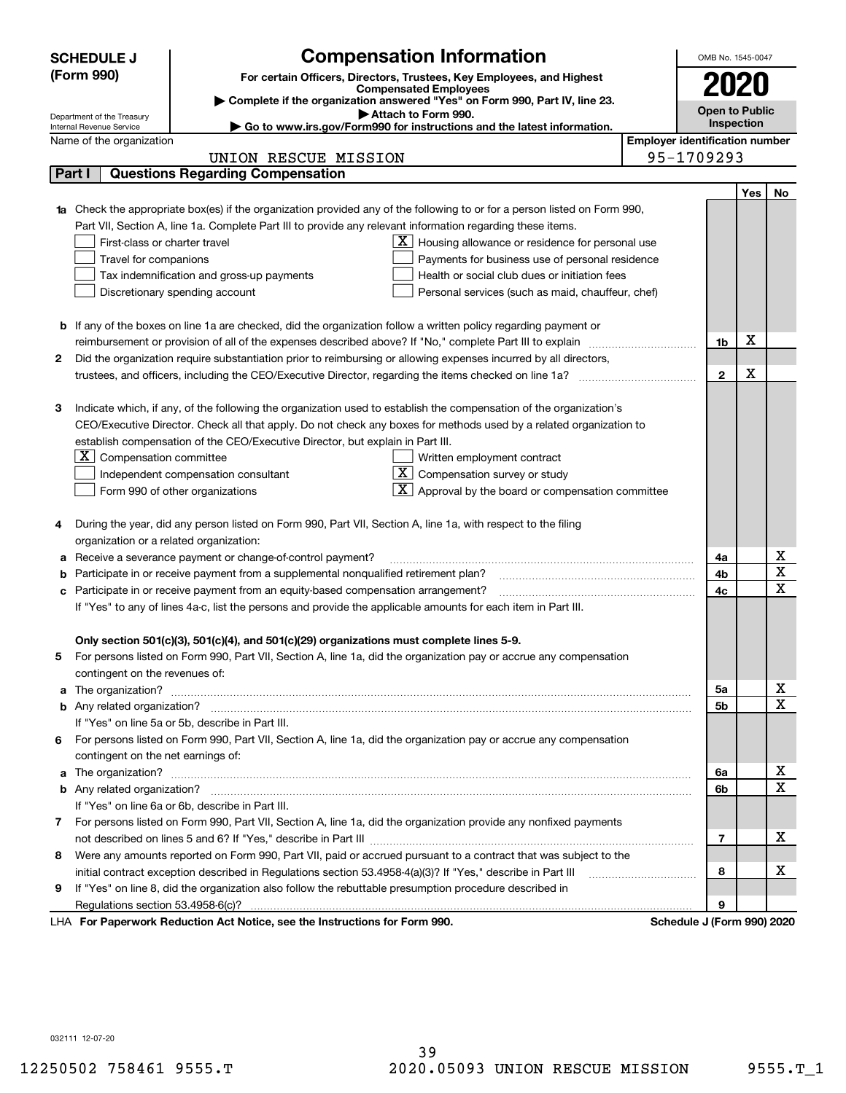|    | <b>SCHEDULE J</b>                                      | <b>Compensation Information</b>                                                                                                  |                                       | OMB No. 1545-0047          |            |                         |
|----|--------------------------------------------------------|----------------------------------------------------------------------------------------------------------------------------------|---------------------------------------|----------------------------|------------|-------------------------|
|    | (Form 990)                                             | For certain Officers, Directors, Trustees, Key Employees, and Highest                                                            |                                       |                            |            |                         |
|    |                                                        | <b>Compensated Employees</b>                                                                                                     |                                       | 2020                       |            |                         |
|    |                                                        | Complete if the organization answered "Yes" on Form 990, Part IV, line 23.<br>Attach to Form 990.                                |                                       | <b>Open to Public</b>      |            |                         |
|    | Department of the Treasury<br>Internal Revenue Service | ► Go to www.irs.gov/Form990 for instructions and the latest information.                                                         |                                       |                            | Inspection |                         |
|    | Name of the organization                               |                                                                                                                                  | <b>Employer identification number</b> |                            |            |                         |
|    |                                                        | UNION RESCUE MISSION                                                                                                             |                                       | 95-1709293                 |            |                         |
|    | Part I                                                 | <b>Questions Regarding Compensation</b>                                                                                          |                                       |                            |            |                         |
|    |                                                        |                                                                                                                                  |                                       |                            | Yes        | No                      |
|    |                                                        | <b>1a</b> Check the appropriate box(es) if the organization provided any of the following to or for a person listed on Form 990, |                                       |                            |            |                         |
|    |                                                        | Part VII, Section A, line 1a. Complete Part III to provide any relevant information regarding these items.                       |                                       |                            |            |                         |
|    | First-class or charter travel                          | $\underline{\mathbf{X}}$ Housing allowance or residence for personal use                                                         |                                       |                            |            |                         |
|    | Travel for companions                                  | Payments for business use of personal residence                                                                                  |                                       |                            |            |                         |
|    |                                                        | Health or social club dues or initiation fees<br>Tax indemnification and gross-up payments                                       |                                       |                            |            |                         |
|    |                                                        | Discretionary spending account<br>Personal services (such as maid, chauffeur, chef)                                              |                                       |                            |            |                         |
|    |                                                        |                                                                                                                                  |                                       |                            |            |                         |
|    |                                                        | <b>b</b> If any of the boxes on line 1a are checked, did the organization follow a written policy regarding payment or           |                                       |                            |            |                         |
|    |                                                        |                                                                                                                                  |                                       | 1b                         | X          |                         |
| 2  |                                                        | Did the organization require substantiation prior to reimbursing or allowing expenses incurred by all directors,                 |                                       |                            |            |                         |
|    |                                                        |                                                                                                                                  |                                       | $\mathbf{2}$               | X          |                         |
|    |                                                        |                                                                                                                                  |                                       |                            |            |                         |
| З  |                                                        | Indicate which, if any, of the following the organization used to establish the compensation of the organization's               |                                       |                            |            |                         |
|    |                                                        | CEO/Executive Director. Check all that apply. Do not check any boxes for methods used by a related organization to               |                                       |                            |            |                         |
|    |                                                        | establish compensation of the CEO/Executive Director, but explain in Part III.                                                   |                                       |                            |            |                         |
|    | $X$ Compensation committee                             | Written employment contract                                                                                                      |                                       |                            |            |                         |
|    |                                                        | $ \mathbf{X} $ Compensation survey or study<br>Independent compensation consultant                                               |                                       |                            |            |                         |
|    |                                                        | $\mathbf{X}$ Approval by the board or compensation committee<br>Form 990 of other organizations                                  |                                       |                            |            |                         |
| 4  |                                                        | During the year, did any person listed on Form 990, Part VII, Section A, line 1a, with respect to the filing                     |                                       |                            |            |                         |
|    | organization or a related organization:                |                                                                                                                                  |                                       |                            |            |                         |
| а  |                                                        | Receive a severance payment or change-of-control payment?                                                                        |                                       | 4a                         |            | х                       |
| b  |                                                        | Participate in or receive payment from a supplemental nonqualified retirement plan?                                              |                                       | 4b                         |            | $\overline{\textbf{X}}$ |
| с  |                                                        | Participate in or receive payment from an equity-based compensation arrangement?                                                 |                                       | 4c                         |            | $\mathbf X$             |
|    |                                                        | If "Yes" to any of lines 4a-c, list the persons and provide the applicable amounts for each item in Part III.                    |                                       |                            |            |                         |
|    |                                                        |                                                                                                                                  |                                       |                            |            |                         |
|    |                                                        | Only section 501(c)(3), 501(c)(4), and 501(c)(29) organizations must complete lines 5-9.                                         |                                       |                            |            |                         |
|    |                                                        | For persons listed on Form 990, Part VII, Section A, line 1a, did the organization pay or accrue any compensation                |                                       |                            |            |                         |
|    | contingent on the revenues of:                         |                                                                                                                                  |                                       |                            |            |                         |
|    |                                                        | a The organization? <b>Entitation</b> and the organization?                                                                      |                                       | 5а                         |            | x                       |
|    |                                                        |                                                                                                                                  |                                       | <b>5b</b>                  |            | $\overline{\mathbf{x}}$ |
|    |                                                        | If "Yes" on line 5a or 5b, describe in Part III.                                                                                 |                                       |                            |            |                         |
| 6. |                                                        | For persons listed on Form 990, Part VII, Section A, line 1a, did the organization pay or accrue any compensation                |                                       |                            |            |                         |
|    | contingent on the net earnings of:                     |                                                                                                                                  |                                       |                            |            |                         |
|    |                                                        | a The organization? <b>Entitled Strategies and Strategies and Strategies</b> and The organization?                               |                                       | 6a                         |            | х                       |
|    |                                                        |                                                                                                                                  |                                       | 6b                         |            | $\overline{\mathbf{X}}$ |
|    |                                                        | If "Yes" on line 6a or 6b, describe in Part III.                                                                                 |                                       |                            |            |                         |
|    |                                                        | 7 For persons listed on Form 990, Part VII, Section A, line 1a, did the organization provide any nonfixed payments               |                                       |                            |            |                         |
|    |                                                        |                                                                                                                                  |                                       | $\overline{7}$             |            | х                       |
| 8  |                                                        | Were any amounts reported on Form 990, Part VII, paid or accrued pursuant to a contract that was subject to the                  |                                       |                            |            |                         |
|    |                                                        | initial contract exception described in Regulations section 53.4958-4(a)(3)? If "Yes," describe in Part III                      |                                       | 8                          |            | х                       |
| 9  |                                                        | If "Yes" on line 8, did the organization also follow the rebuttable presumption procedure described in                           |                                       |                            |            |                         |
|    |                                                        |                                                                                                                                  |                                       | 9                          |            |                         |
|    |                                                        | LHA For Paperwork Reduction Act Notice, see the Instructions for Form 990.                                                       |                                       | Schedule J (Form 990) 2020 |            |                         |

032111 12-07-20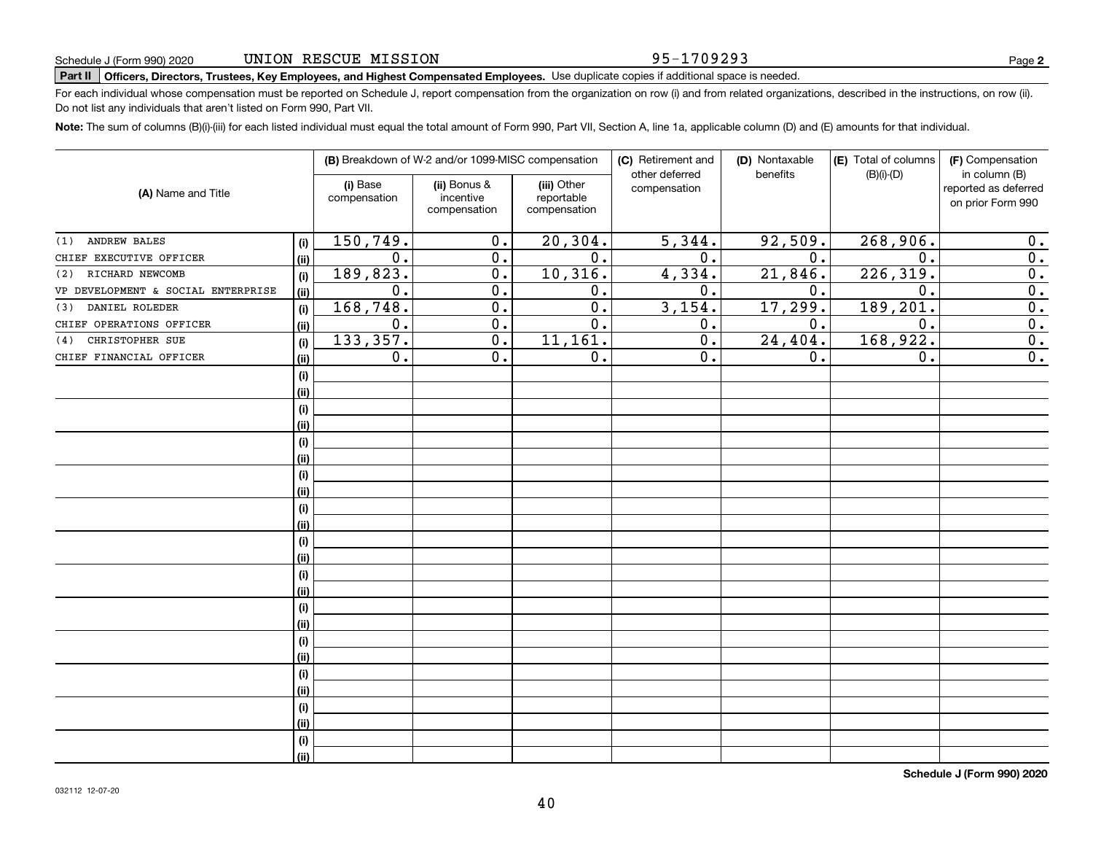### 95-1709293

**2**

# **Part II Officers, Directors, Trustees, Key Employees, and Highest Compensated Employees.**  Schedule J (Form 990) 2020 Page Use duplicate copies if additional space is needed.

For each individual whose compensation must be reported on Schedule J, report compensation from the organization on row (i) and from related organizations, described in the instructions, on row (ii). Do not list any individuals that aren't listed on Form 990, Part VII.

**Note:**  The sum of columns (B)(i)-(iii) for each listed individual must equal the total amount of Form 990, Part VII, Section A, line 1a, applicable column (D) and (E) amounts for that individual.

| (A) Name and Title                 |             |                          | (B) Breakdown of W-2 and/or 1099-MISC compensation |                                           | (C) Retirement and<br>other deferred | (D) Nontaxable<br>benefits | (E) Total of columns<br>$(B)(i)-(D)$ | (F) Compensation<br>in column (B)         |  |
|------------------------------------|-------------|--------------------------|----------------------------------------------------|-------------------------------------------|--------------------------------------|----------------------------|--------------------------------------|-------------------------------------------|--|
|                                    |             | (i) Base<br>compensation | (ii) Bonus &<br>incentive<br>compensation          | (iii) Other<br>reportable<br>compensation | compensation                         |                            |                                      | reported as deferred<br>on prior Form 990 |  |
| ANDREW BALES<br>(1)                | (i)         | 150,749.                 | 0.                                                 | 20, 304.                                  | 5,344.                               | 92,509.                    | 268,906.                             | 0.                                        |  |
| CHIEF EXECUTIVE OFFICER            | (ii)        | 0.                       | 0.                                                 | $\overline{0}$ .                          | $\overline{0}$ .                     | 0.                         | $\mathbf 0$ .                        | $\overline{0}$ .                          |  |
| (2) RICHARD NEWCOMB                | (i)         | 189, 823.                | $\overline{0}$ .                                   | 10, 316.                                  | 4,334.                               | 21,846.                    | 226, 319.                            | 0.                                        |  |
| VP DEVELOPMENT & SOCIAL ENTERPRISE | (ii)        | 0.                       | 0.                                                 | 0.                                        | 0.                                   | 0.                         | $\mathbf 0$ .                        | $\overline{0}$ .                          |  |
| DANIEL ROLEDER<br>(3)              | (i)         | 168,748.                 | 0.                                                 | $\overline{0}$ .                          | 3,154.                               | 17,299.                    | 189,201.                             | $\overline{0}$ .                          |  |
| CHIEF OPERATIONS OFFICER           | (ii)        | $0$ .                    | $\mathbf 0$ .                                      | 0.                                        | 0.                                   | 0.                         | 0.                                   | $\overline{\mathbf{0}}$ .                 |  |
| CHRISTOPHER SUE<br>(4)             | (i)         | 133, 357.                | 0.                                                 | 11, 161.                                  | 0.                                   | 24,404.                    | 168,922.                             | $\overline{0}$ .                          |  |
| CHIEF FINANCIAL OFFICER            | (ii)        | $0$ .                    | 0.                                                 | 0.                                        | 0.                                   | 0.                         | 0.                                   | $\overline{0}$ .                          |  |
|                                    | (i)         |                          |                                                    |                                           |                                      |                            |                                      |                                           |  |
|                                    | (ii)        |                          |                                                    |                                           |                                      |                            |                                      |                                           |  |
|                                    | (i)         |                          |                                                    |                                           |                                      |                            |                                      |                                           |  |
|                                    | (ii)        |                          |                                                    |                                           |                                      |                            |                                      |                                           |  |
|                                    | (i)         |                          |                                                    |                                           |                                      |                            |                                      |                                           |  |
|                                    | (ii)        |                          |                                                    |                                           |                                      |                            |                                      |                                           |  |
|                                    | (i)         |                          |                                                    |                                           |                                      |                            |                                      |                                           |  |
|                                    | (ii)        |                          |                                                    |                                           |                                      |                            |                                      |                                           |  |
|                                    | (i)         |                          |                                                    |                                           |                                      |                            |                                      |                                           |  |
|                                    | (ii)        |                          |                                                    |                                           |                                      |                            |                                      |                                           |  |
|                                    | (i)         |                          |                                                    |                                           |                                      |                            |                                      |                                           |  |
|                                    | (ii)        |                          |                                                    |                                           |                                      |                            |                                      |                                           |  |
|                                    | (i)         |                          |                                                    |                                           |                                      |                            |                                      |                                           |  |
|                                    | (ii)        |                          |                                                    |                                           |                                      |                            |                                      |                                           |  |
|                                    | (i)         |                          |                                                    |                                           |                                      |                            |                                      |                                           |  |
|                                    | (ii)        |                          |                                                    |                                           |                                      |                            |                                      |                                           |  |
|                                    | (i)         |                          |                                                    |                                           |                                      |                            |                                      |                                           |  |
|                                    | (ii)        |                          |                                                    |                                           |                                      |                            |                                      |                                           |  |
|                                    | (i)         |                          |                                                    |                                           |                                      |                            |                                      |                                           |  |
|                                    | (ii)        |                          |                                                    |                                           |                                      |                            |                                      |                                           |  |
|                                    | (i)         |                          |                                                    |                                           |                                      |                            |                                      |                                           |  |
|                                    | (ii)        |                          |                                                    |                                           |                                      |                            |                                      |                                           |  |
|                                    | (i)<br>(ii) |                          |                                                    |                                           |                                      |                            |                                      |                                           |  |
|                                    |             |                          |                                                    |                                           |                                      |                            |                                      |                                           |  |

**Schedule J (Form 990) 2020**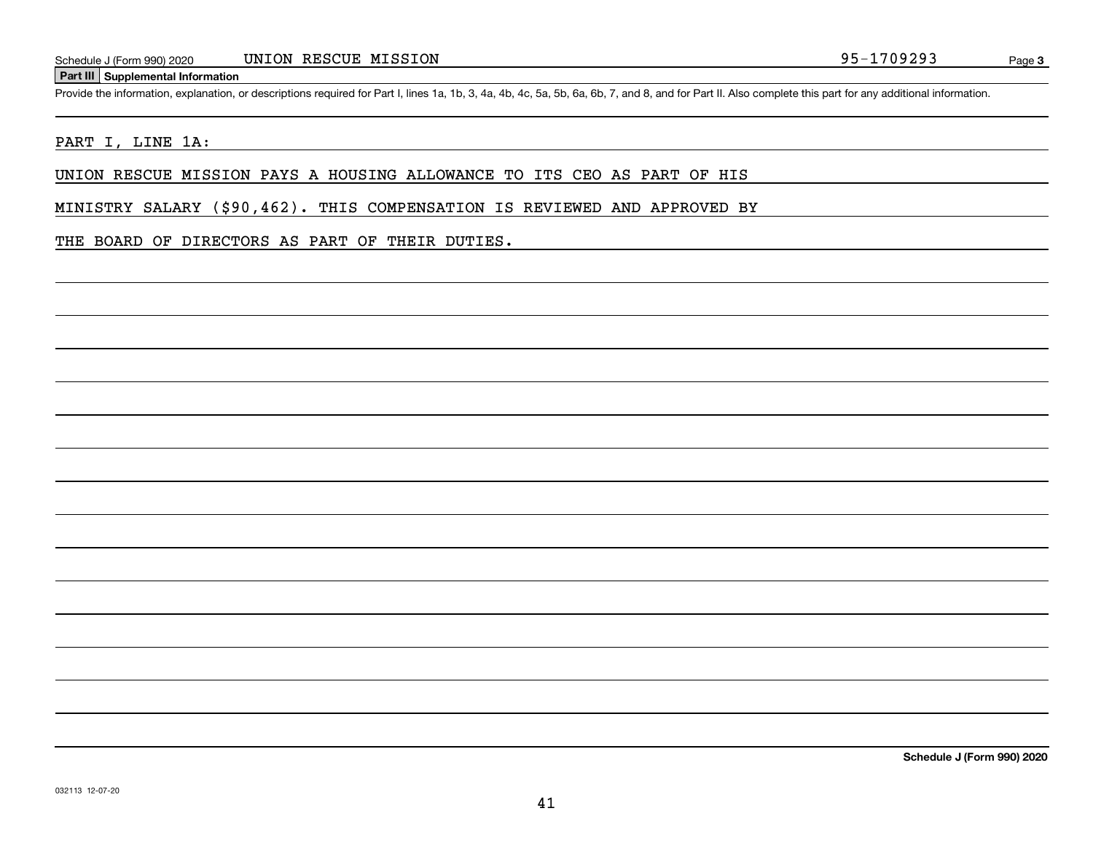### **Part III Supplemental Information**

Schedule J (Form 990) 2020 UNION RESCUE MISSION 2014 2015 2016 1709293<br>Part III Supplemental Information<br>Provide the information, explanation, or descriptions required for Part I, lines 1a, 1b, 3, 4a, 4b, 4c, 5a, 5b, 6a, 6

### PART I, LINE 1A:

UNION RESCUE MISSION PAYS A HOUSING ALLOWANCE TO ITS CEO AS PART OF HIS

MINISTRY SALARY (\$90,462). THIS COMPENSATION IS REVIEWED AND APPROVED BY

### THE BOARD OF DIRECTORS AS PART OF THEIR DUTIES.

**Schedule J (Form 990) 2020**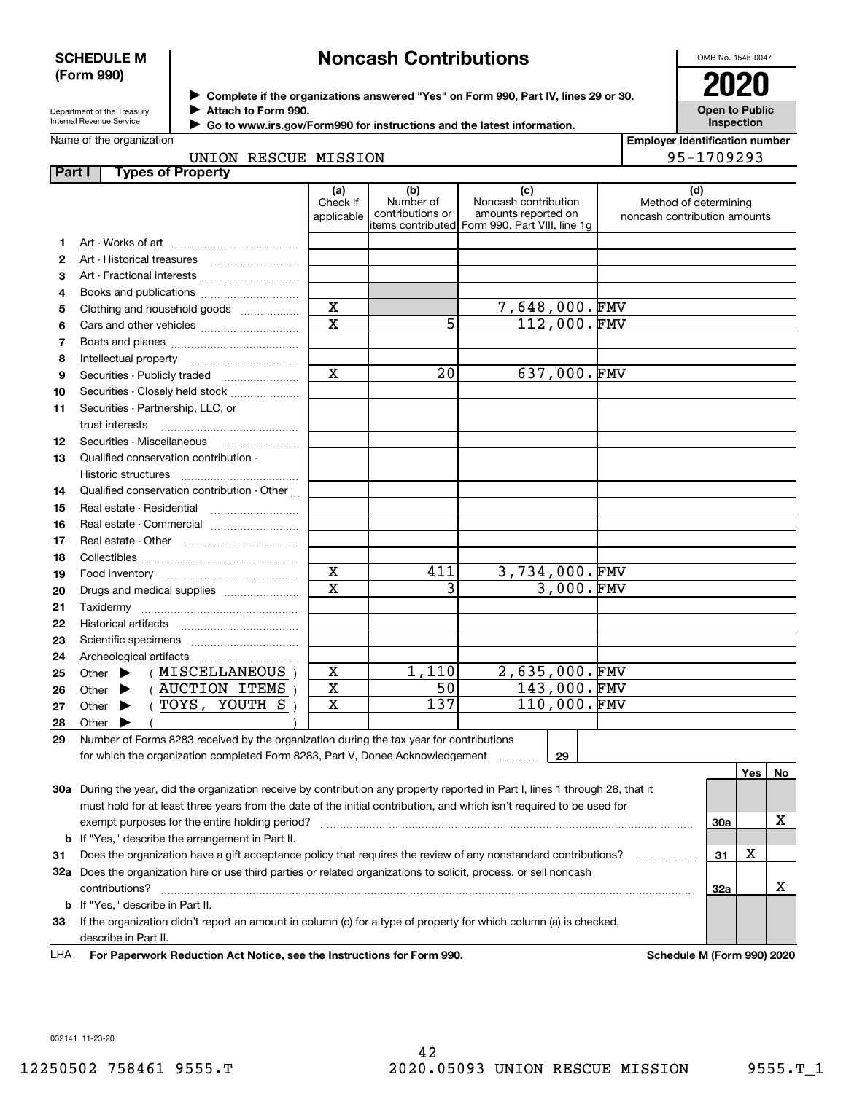### **SCHEDULE M (Form 990)**

# **Noncash Contributions**

OMB No. 1545-0047

| Department of the Treasury |
|----------------------------|
| Internal Revenue Service   |

**Complete if the organizations answered "Yes" on Form 990, Part IV, lines 29 or 30.** <sup>J</sup>**2020 Attach to Form 990.** J

 **Go to www.irs.gov/Form990 for instructions and the latest information.** J

| LULU                                       |
|--------------------------------------------|
| <b>Open to Public</b><br><b>Inspection</b> |

| Name of the organization |  |
|--------------------------|--|
|--------------------------|--|

|  | UNION RESCUE MISSION |  |
|--|----------------------|--|

**Employer identification number** 95-1709293

| Part I | <b>Types of Property</b>                                                                                                       |                               |                                      |                                                                                                       |                                                              |     |     |    |
|--------|--------------------------------------------------------------------------------------------------------------------------------|-------------------------------|--------------------------------------|-------------------------------------------------------------------------------------------------------|--------------------------------------------------------------|-----|-----|----|
|        |                                                                                                                                | (a)<br>Check if<br>applicable | (b)<br>Number of<br>contributions or | (c)<br>Noncash contribution<br>amounts reported on<br>items contributed  Form 990, Part VIII, line 1g | (d)<br>Method of determining<br>noncash contribution amounts |     |     |    |
| 1.     |                                                                                                                                |                               |                                      |                                                                                                       |                                                              |     |     |    |
| 2      |                                                                                                                                |                               |                                      |                                                                                                       |                                                              |     |     |    |
| 3      |                                                                                                                                |                               |                                      |                                                                                                       |                                                              |     |     |    |
| 4      | Books and publications                                                                                                         |                               |                                      |                                                                                                       |                                                              |     |     |    |
| 5      | Clothing and household goods                                                                                                   | $\mathbf X$                   |                                      | 7,648,000.FMV                                                                                         |                                                              |     |     |    |
| 6      |                                                                                                                                | $\overline{\mathbf{x}}$       | 5                                    | 112,000.FMV                                                                                           |                                                              |     |     |    |
| 7      |                                                                                                                                |                               |                                      |                                                                                                       |                                                              |     |     |    |
| 8      | Intellectual property                                                                                                          |                               |                                      |                                                                                                       |                                                              |     |     |    |
| 9      |                                                                                                                                | $\mathbf x$                   | 20                                   | 637,000.FMV                                                                                           |                                                              |     |     |    |
| 10     | Securities - Closely held stock                                                                                                |                               |                                      |                                                                                                       |                                                              |     |     |    |
| 11     | Securities - Partnership, LLC, or                                                                                              |                               |                                      |                                                                                                       |                                                              |     |     |    |
|        | trust interests                                                                                                                |                               |                                      |                                                                                                       |                                                              |     |     |    |
| 12     | Securities - Miscellaneous                                                                                                     |                               |                                      |                                                                                                       |                                                              |     |     |    |
| 13     | Qualified conservation contribution -                                                                                          |                               |                                      |                                                                                                       |                                                              |     |     |    |
|        | Historic structures                                                                                                            |                               |                                      |                                                                                                       |                                                              |     |     |    |
| 14     | Qualified conservation contribution - Other                                                                                    |                               |                                      |                                                                                                       |                                                              |     |     |    |
| 15     | Real estate - Residential                                                                                                      |                               |                                      |                                                                                                       |                                                              |     |     |    |
| 16     |                                                                                                                                |                               |                                      |                                                                                                       |                                                              |     |     |    |
| 17     |                                                                                                                                |                               |                                      |                                                                                                       |                                                              |     |     |    |
| 18     |                                                                                                                                |                               |                                      |                                                                                                       |                                                              |     |     |    |
| 19     |                                                                                                                                | $\mathbf X$                   | 411                                  | $3,734,000.\n$ FMV                                                                                    |                                                              |     |     |    |
| 20     | Drugs and medical supplies                                                                                                     | $\overline{\text{x}}$         | 3                                    | 3,000.FMV                                                                                             |                                                              |     |     |    |
| 21     | Taxidermy                                                                                                                      |                               |                                      |                                                                                                       |                                                              |     |     |    |
| 22     |                                                                                                                                |                               |                                      |                                                                                                       |                                                              |     |     |    |
| 23     |                                                                                                                                |                               |                                      |                                                                                                       |                                                              |     |     |    |
| 24     | Archeological artifacts                                                                                                        |                               |                                      |                                                                                                       |                                                              |     |     |    |
| 25     | (MISCELLANEOUS)<br>Other $\blacktriangleright$                                                                                 | x                             | 1,110                                | $2,635,000.\n$ FMV                                                                                    |                                                              |     |     |    |
| 26     | (AUCTION ITEMS)<br>Other $\blacktriangleright$                                                                                 | X                             | 50                                   | 143,000.FMV                                                                                           |                                                              |     |     |    |
| 27     | (TOYS, YOUTH S)<br>Other $\blacktriangleright$                                                                                 | $\mathbf X$                   | 137                                  | 110,000.FMV                                                                                           |                                                              |     |     |    |
| 28     | Other $\blacktriangleright$                                                                                                    |                               |                                      |                                                                                                       |                                                              |     |     |    |
| 29     | Number of Forms 8283 received by the organization during the tax year for contributions                                        |                               |                                      |                                                                                                       |                                                              |     |     |    |
|        | for which the organization completed Form 8283, Part V, Donee Acknowledgement                                                  |                               |                                      | 29                                                                                                    |                                                              |     |     |    |
|        |                                                                                                                                |                               |                                      |                                                                                                       |                                                              |     | Yes | No |
|        | 30a During the year, did the organization receive by contribution any property reported in Part I, lines 1 through 28, that it |                               |                                      |                                                                                                       |                                                              |     |     |    |
|        | must hold for at least three years from the date of the initial contribution, and which isn't required to be used for          |                               |                                      |                                                                                                       |                                                              |     |     |    |
|        | exempt purposes for the entire holding period?                                                                                 |                               |                                      |                                                                                                       |                                                              | 30a |     | x  |
|        | <b>b</b> If "Yes," describe the arrangement in Part II.                                                                        |                               |                                      |                                                                                                       |                                                              |     |     |    |
| 31     | Does the organization have a gift acceptance policy that requires the review of any nonstandard contributions?                 |                               |                                      |                                                                                                       |                                                              | 31  | х   |    |
|        | 32a Does the organization hire or use third parties or related organizations to solicit, process, or sell noncash              |                               |                                      |                                                                                                       |                                                              |     |     |    |
|        | contributions?                                                                                                                 |                               |                                      |                                                                                                       |                                                              | 32a |     | х  |
|        | <b>b</b> If "Yes," describe in Part II.                                                                                        |                               |                                      |                                                                                                       |                                                              |     |     |    |
| 33     | If the organization didn't report an amount in column (c) for a type of property for which column (a) is checked,              |                               |                                      |                                                                                                       |                                                              |     |     |    |
|        | describe in Part II.                                                                                                           |                               |                                      |                                                                                                       |                                                              |     |     |    |

For Paperwork Reduction Act Notice, see the Instructions for Form 990. Schedule M (Form 990) 2020 LHA

032141 11-23-20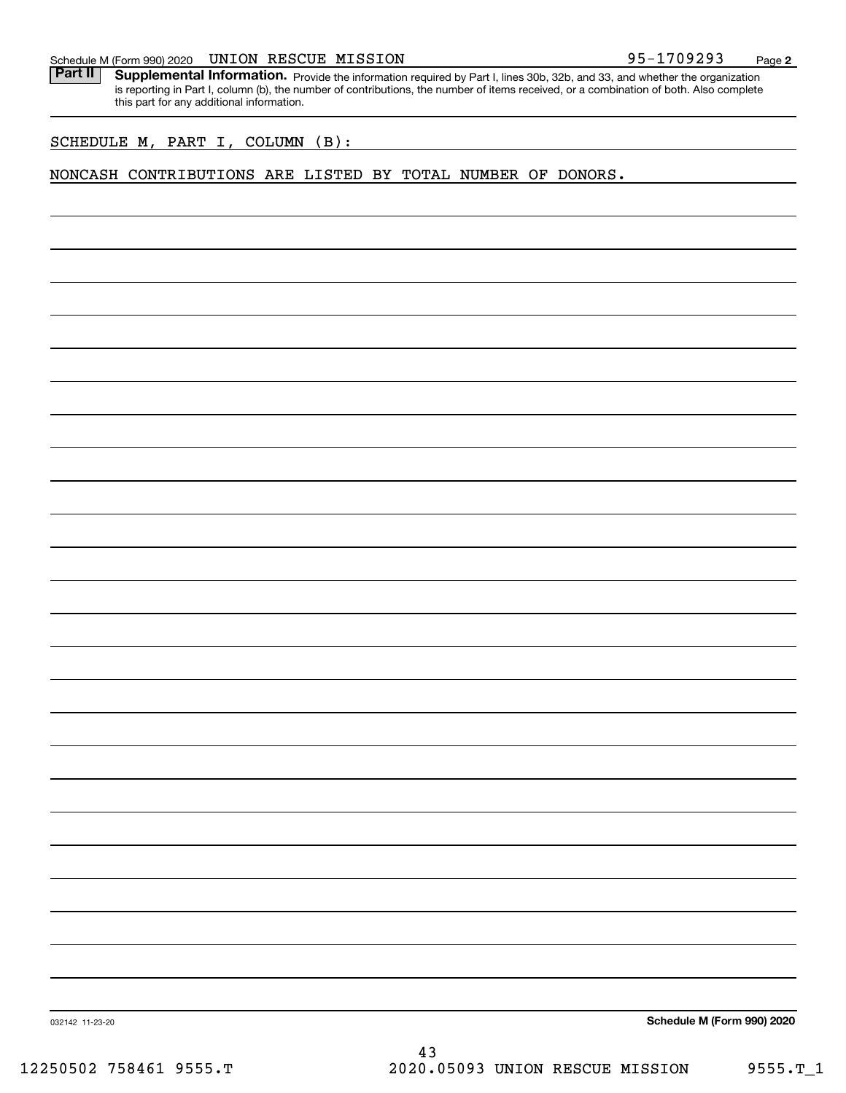### Schedule M (Form 990) 2020 Page UNION RESCUE MISSION 95-1709293

Part II | Supplemental Information. Provide the information required by Part I, lines 30b, 32b, and 33, and whether the organization is reporting in Part I, column (b), the number of contributions, the number of items received, or a combination of both. Also complete this part for any additional information.

SCHEDULE M, PART I, COLUMN (B):

### NONCASH CONTRIBUTIONS ARE LISTED BY TOTAL NUMBER OF DONORS.

**Schedule M (Form 990) 2020**

032142 11-23-20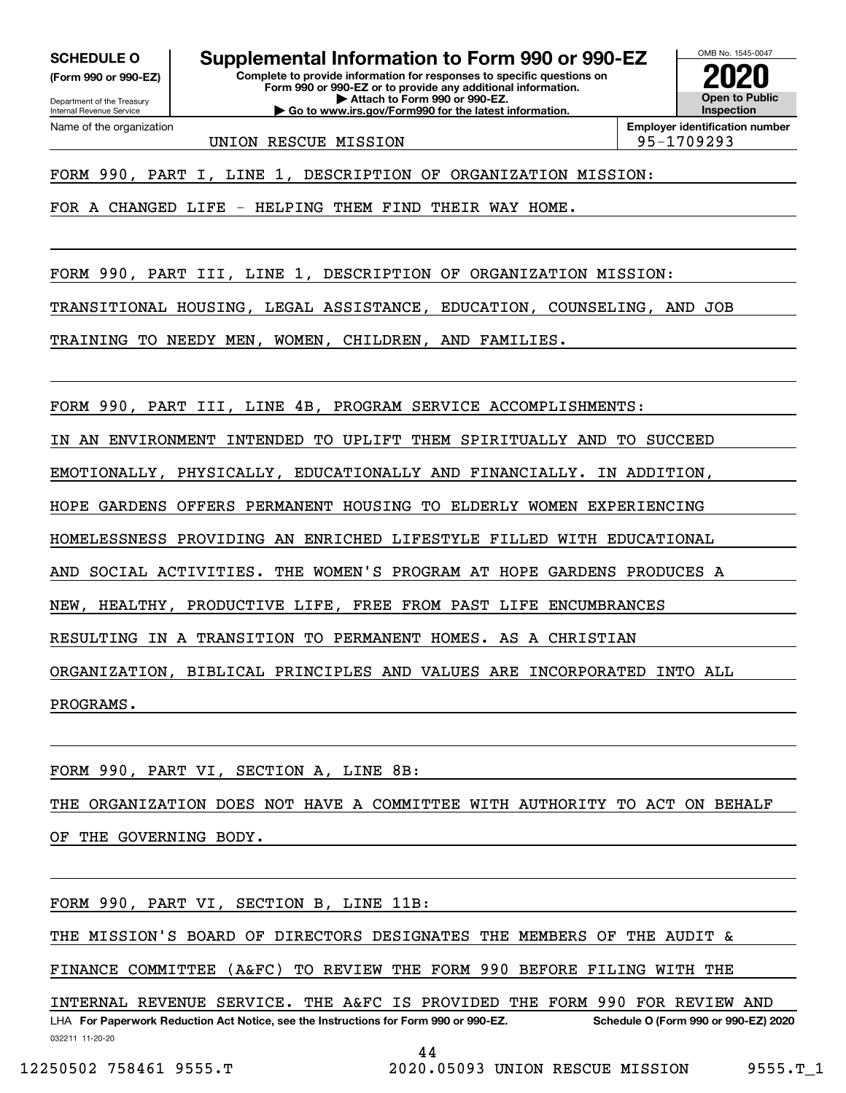**(Form 990 or 990-EZ)**

Department of the Treasury Internal Revenue Service Name of the organization

**SCHEDULE O Supplemental Information to Form 990 or 990-EZ**

**Complete to provide information for responses to specific questions on Form 990 or 990-EZ or to provide any additional information. | Attach to Form 990 or 990-EZ. | Go to www.irs.gov/Form990 for the latest information.**



UNION RESCUE MISSION 95-1709293

**Employer identification number**

FORM 990, PART I, LINE 1, DESCRIPTION OF ORGANIZATION MISSION:

FOR A CHANGED LIFE - HELPING THEM FIND THEIR WAY HOME.

FORM 990, PART III, LINE 1, DESCRIPTION OF ORGANIZATION MISSION:

TRANSITIONAL HOUSING, LEGAL ASSISTANCE, EDUCATION, COUNSELING, AND JOB

TRAINING TO NEEDY MEN, WOMEN, CHILDREN, AND FAMILIES.

FORM 990, PART III, LINE 4B, PROGRAM SERVICE ACCOMPLISHMENTS:

IN AN ENVIRONMENT INTENDED TO UPLIFT THEM SPIRITUALLY AND TO SUCCEED

EMOTIONALLY, PHYSICALLY, EDUCATIONALLY AND FINANCIALLY. IN ADDITION,

HOPE GARDENS OFFERS PERMANENT HOUSING TO ELDERLY WOMEN EXPERIENCING

HOMELESSNESS PROVIDING AN ENRICHED LIFESTYLE FILLED WITH EDUCATIONAL

AND SOCIAL ACTIVITIES. THE WOMEN'S PROGRAM AT HOPE GARDENS PRODUCES A

NEW, HEALTHY, PRODUCTIVE LIFE, FREE FROM PAST LIFE ENCUMBRANCES

RESULTING IN A TRANSITION TO PERMANENT HOMES. AS A CHRISTIAN

ORGANIZATION, BIBLICAL PRINCIPLES AND VALUES ARE INCORPORATED INTO ALL

PROGRAMS.

FORM 990, PART VI, SECTION A, LINE 8B:

THE ORGANIZATION DOES NOT HAVE A COMMITTEE WITH AUTHORITY TO ACT ON BEHALF OF THE GOVERNING BODY.

FORM 990, PART VI, SECTION B, LINE 11B:

THE MISSION'S BOARD OF DIRECTORS DESIGNATES THE MEMBERS OF THE AUDIT &

FINANCE COMMITTEE (A&FC) TO REVIEW THE FORM 990 BEFORE FILING WITH THE

032211 11-20-20 LHA For Paperwork Reduction Act Notice, see the Instructions for Form 990 or 990-EZ. Schedule O (Form 990 or 990-EZ) 2020 INTERNAL REVENUE SERVICE. THE A&FC IS PROVIDED THE FORM 990 FOR REVIEW AND

44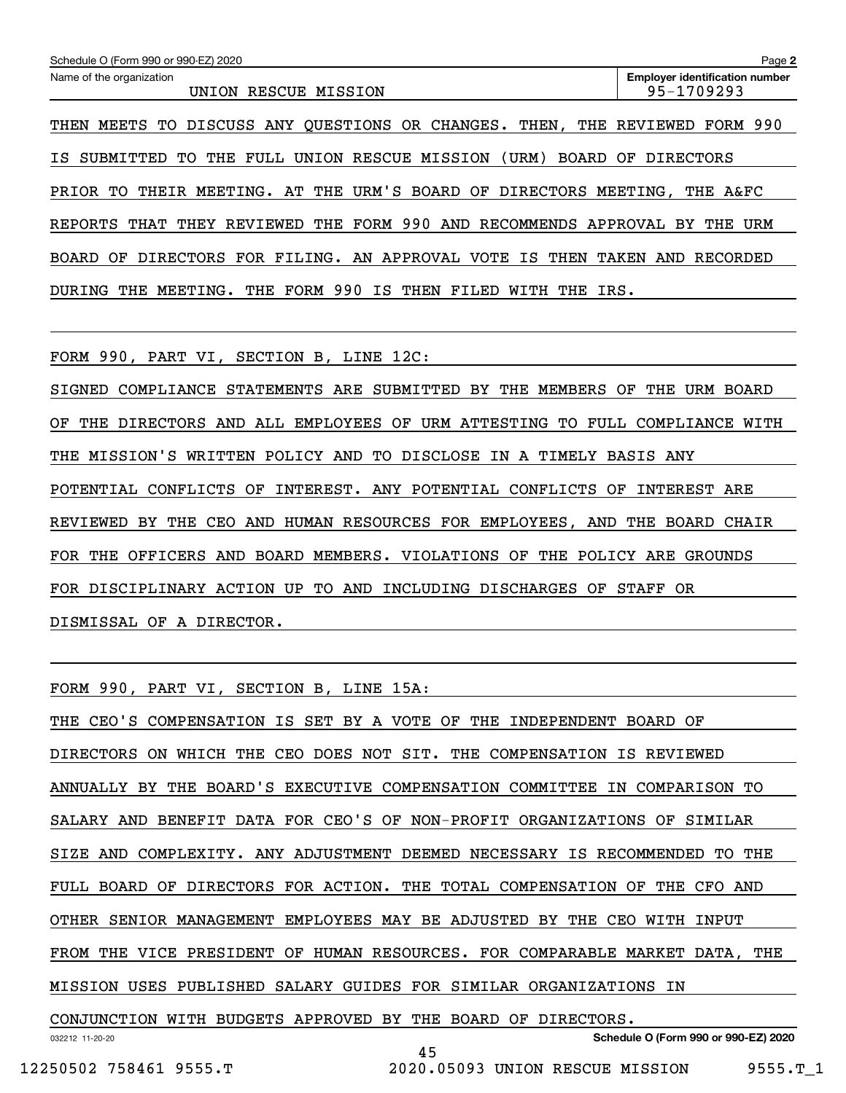| Schedule O (Form 990 or 990-EZ) 2020                                                       | Page 2                                              |
|--------------------------------------------------------------------------------------------|-----------------------------------------------------|
| Name of the organization<br>RESCUE MISSION<br>UNION                                        | <b>Employer identification number</b><br>95-1709293 |
| DISCUSS ANY OUESTIONS OR CHANGES.<br>THE<br>THEN,<br>MEETS TO<br>THEN                      | REVIEWED<br>FORM 990                                |
| UNION RESCUE MISSION<br>(URM)<br>SUBMITTED TO<br>FULL<br>BOARD<br>THE<br>IS.               | OF<br>DIRECTORS                                     |
| THEIR MEETING. AT THE URM'S BOARD OF DIRECTORS MEETING,<br>PRIOR TO                        | THE A&FC                                            |
| REVIEWED THE FORM 990 AND RECOMMENDS APPROVAL<br>REPORTS<br>THAT<br>THEY                   | URM<br>BY<br>THE                                    |
| FOR FILING. AN APPROVAL VOTE IS<br>DIRECTORS<br>THEN<br>BOARD<br>OF                        | TAKEN<br>RECORDED<br>AND                            |
| 990<br>THE FORM<br>ΙS<br>MEETING.<br>THEN<br>THE<br>THE<br>IRS.<br>DURING<br>FILED<br>WITH |                                                     |

FORM 990, PART VI, SECTION B, LINE 12C:

SIGNED COMPLIANCE STATEMENTS ARE SUBMITTED BY THE MEMBERS OF THE URM BOARD OF THE DIRECTORS AND ALL EMPLOYEES OF URM ATTESTING TO FULL COMPLIANCE WITH THE MISSION'S WRITTEN POLICY AND TO DISCLOSE IN A TIMELY BASIS ANY POTENTIAL CONFLICTS OF INTEREST. ANY POTENTIAL CONFLICTS OF INTEREST ARE REVIEWED BY THE CEO AND HUMAN RESOURCES FOR EMPLOYEES, AND THE BOARD CHAIR FOR THE OFFICERS AND BOARD MEMBERS. VIOLATIONS OF THE POLICY ARE GROUNDS FOR DISCIPLINARY ACTION UP TO AND INCLUDING DISCHARGES OF STAFF OR DISMISSAL OF A DIRECTOR.

FORM 990, PART VI, SECTION B, LINE 15A:

THE CEO'S COMPENSATION IS SET BY A VOTE OF THE INDEPENDENT BOARD OF DIRECTORS ON WHICH THE CEO DOES NOT SIT. THE COMPENSATION IS REVIEWED ANNUALLY BY THE BOARD'S EXECUTIVE COMPENSATION COMMITTEE IN COMPARISON TO SALARY AND BENEFIT DATA FOR CEO'S OF NON-PROFIT ORGANIZATIONS OF SIMILAR SIZE AND COMPLEXITY. ANY ADJUSTMENT DEEMED NECESSARY IS RECOMMENDED TO THE FULL BOARD OF DIRECTORS FOR ACTION. THE TOTAL COMPENSATION OF THE CFO AND OTHER SENIOR MANAGEMENT EMPLOYEES MAY BE ADJUSTED BY THE CEO WITH INPUT FROM THE VICE PRESIDENT OF HUMAN RESOURCES. FOR COMPARABLE MARKET DATA, THE MISSION USES PUBLISHED SALARY GUIDES FOR SIMILAR ORGANIZATIONS IN CONJUNCTION WITH BUDGETS APPROVED BY THE BOARD OF DIRECTORS.

032212 11-20-20

45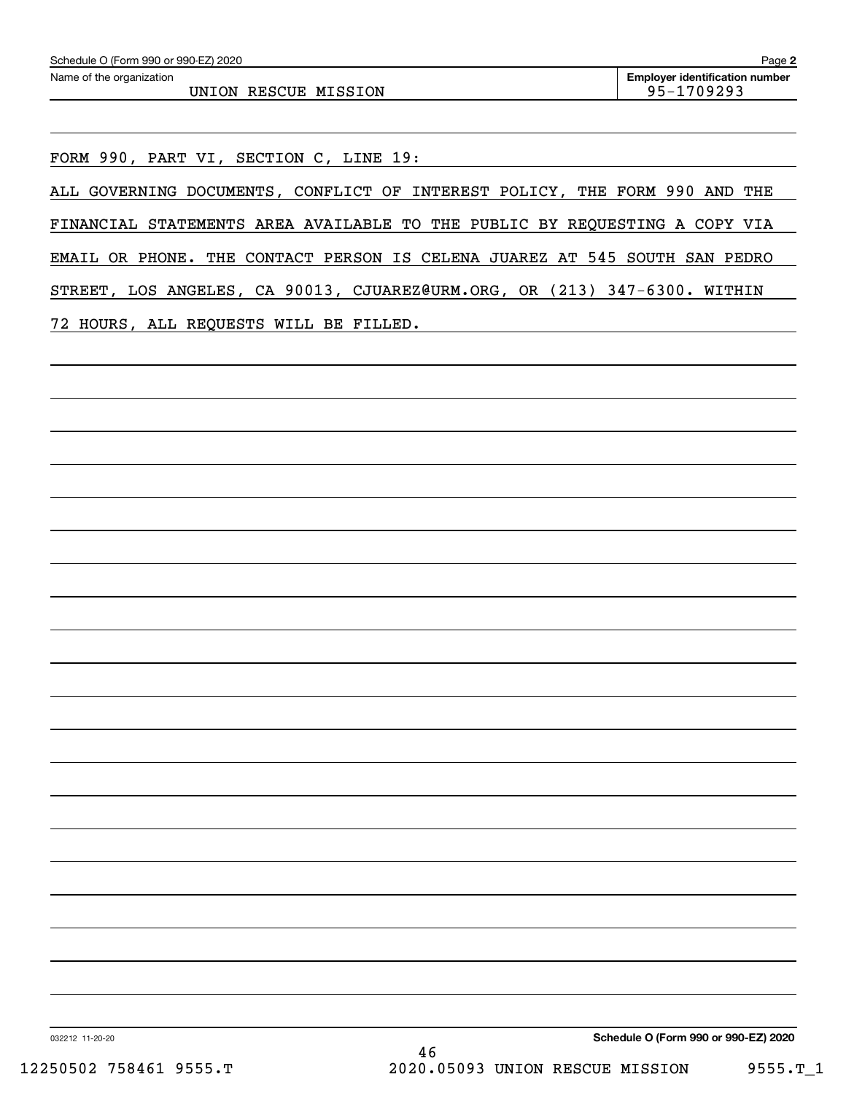UNION RESCUE MISSION 85-1709293

FORM 990, PART VI, SECTION C, LINE 19:

ALL GOVERNING DOCUMENTS, CONFLICT OF INTEREST POLICY, THE FORM 990 AND THE FINANCIAL STATEMENTS AREA AVAILABLE TO THE PUBLIC BY REQUESTING A COPY VIA EMAIL OR PHONE. THE CONTACT PERSON IS CELENA JUAREZ AT 545 SOUTH SAN PEDRO STREET, LOS ANGELES, CA 90013, CJUAREZ@URM.ORG, OR (213) 347-6300. WITHIN

72 HOURS, ALL REQUESTS WILL BE FILLED.

**Schedule O (Form 990 or 990-EZ) 2020**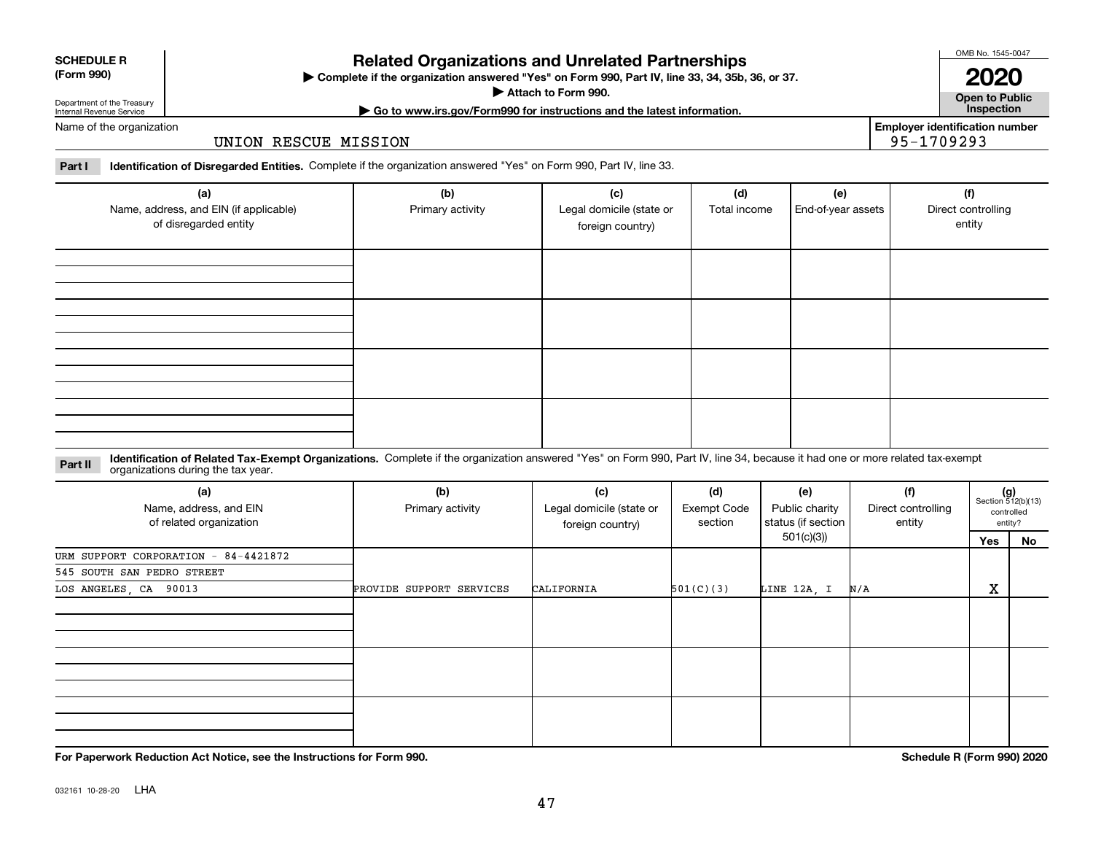| 032161 10-28-20 | LHA |
|-----------------|-----|
|                 |     |

## **Related Organizations and Unrelated Partnerships**

**Complete if the organization answered "Yes" on Form 990, Part IV, line 33, 34, 35b, 36, or 37.** |

**Attach to Form 990.**  |

# Department of the Treasury Internal Revenue Service

Name of the organization

### UNION RESCUE MISSION

**Part I Identification of Disregarded Entities.**  Complete if the organization answered "Yes" on Form 990, Part IV, line 33.

| (a)<br>Name, address, and EIN (if applicable)<br>of disregarded entity | (b)<br>Primary activity | (c)<br>Legal domicile (state or<br>foreign country) | (d)<br>Total income | (e)<br>End-of-year assets | (f)<br>Direct controlling<br>entity |
|------------------------------------------------------------------------|-------------------------|-----------------------------------------------------|---------------------|---------------------------|-------------------------------------|
|                                                                        |                         |                                                     |                     |                           |                                     |
|                                                                        |                         |                                                     |                     |                           |                                     |
|                                                                        |                         |                                                     |                     |                           |                                     |
|                                                                        |                         |                                                     |                     |                           |                                     |

### **Identification of Related Tax-Exempt Organizations.** Complete if the organization answered "Yes" on Form 990, Part IV, line 34, because it had one or more related tax-exempt **Part II** organizations during the tax year.

| (a)<br>Name, address, and EIN<br>of related organization | (b)<br>Primary activity  | (c)<br>Legal domicile (state or<br>foreign country) | (d)<br><b>Exempt Code</b><br>section | (e)<br>Public charity<br>status (if section | (f)<br>Direct controlling<br>entity |                   | $(g)$<br>Section 512(b)(13)<br>controlled<br>entity? |  |
|----------------------------------------------------------|--------------------------|-----------------------------------------------------|--------------------------------------|---------------------------------------------|-------------------------------------|-------------------|------------------------------------------------------|--|
|                                                          |                          |                                                     |                                      | 501(c)(3))                                  |                                     | Yes               | No                                                   |  |
| URM SUPPORT CORPORATION - 84-4421872                     |                          |                                                     |                                      |                                             |                                     |                   |                                                      |  |
| 545 SOUTH SAN PEDRO STREET                               |                          |                                                     |                                      |                                             |                                     |                   |                                                      |  |
| LOS ANGELES, CA 90013                                    | PROVIDE SUPPORT SERVICES | CALIFORNIA                                          | 501(C)(3)                            | LINE 12A, I                                 | N/A                                 | $\mathbf{v}$<br>ᅀ |                                                      |  |
|                                                          |                          |                                                     |                                      |                                             |                                     |                   |                                                      |  |
|                                                          |                          |                                                     |                                      |                                             |                                     |                   |                                                      |  |
|                                                          |                          |                                                     |                                      |                                             |                                     |                   |                                                      |  |

**Employer identification number** 95-1709293

**Open to Public**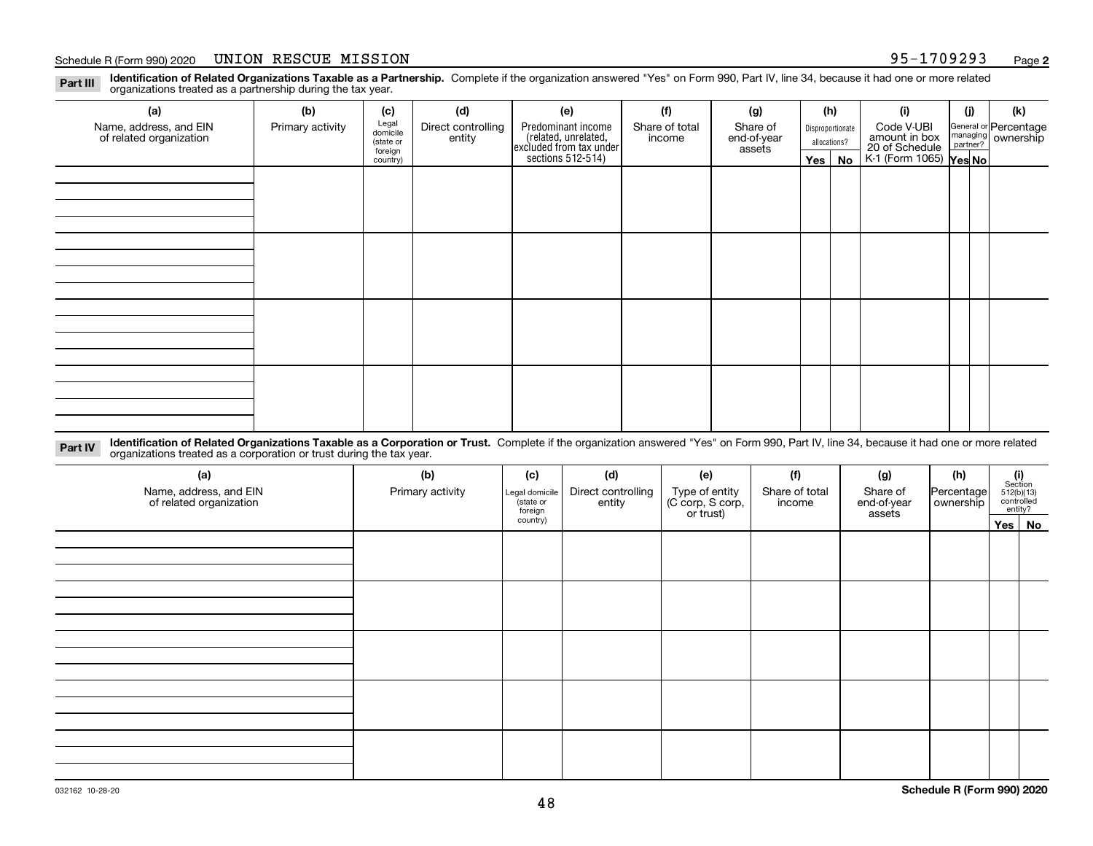### Schedule R (Form 990) 2020 Page UNION RESCUE MISSION 95-1709293

**Identification of Related Organizations Taxable as a Partnership.** Complete if the organization answered "Yes" on Form 990, Part IV, line 34, because it had one or more related **Part III** organizations treated as a partnership during the tax year.

| (b)              | (c)      | (d)                                       | (e)                | (f)            | (g)                                                                            |                       |    | (i)                                                   | (j) | (k)                                                                                                                  |
|------------------|----------|-------------------------------------------|--------------------|----------------|--------------------------------------------------------------------------------|-----------------------|----|-------------------------------------------------------|-----|----------------------------------------------------------------------------------------------------------------------|
| Primary activity |          | Direct controlling                        | Predominant income | Share of total | Share of                                                                       |                       |    | Code V-UBI                                            |     |                                                                                                                      |
|                  |          |                                           |                    |                |                                                                                |                       |    |                                                       |     |                                                                                                                      |
|                  | country) |                                           |                    |                |                                                                                |                       | No |                                                       |     |                                                                                                                      |
|                  |          |                                           |                    |                |                                                                                |                       |    |                                                       |     |                                                                                                                      |
|                  |          |                                           |                    |                |                                                                                |                       |    |                                                       |     |                                                                                                                      |
|                  |          |                                           |                    |                |                                                                                |                       |    |                                                       |     |                                                                                                                      |
|                  |          |                                           |                    |                |                                                                                |                       |    |                                                       |     |                                                                                                                      |
|                  |          |                                           |                    |                |                                                                                |                       |    |                                                       |     |                                                                                                                      |
|                  |          |                                           |                    |                |                                                                                |                       |    |                                                       |     |                                                                                                                      |
|                  |          |                                           |                    |                |                                                                                |                       |    |                                                       |     |                                                                                                                      |
|                  |          |                                           |                    |                |                                                                                |                       |    |                                                       |     |                                                                                                                      |
|                  |          |                                           |                    |                |                                                                                |                       |    |                                                       |     |                                                                                                                      |
|                  |          |                                           |                    |                |                                                                                |                       |    |                                                       |     |                                                                                                                      |
|                  |          |                                           |                    |                |                                                                                |                       |    |                                                       |     |                                                                                                                      |
|                  |          |                                           |                    |                |                                                                                |                       |    |                                                       |     |                                                                                                                      |
|                  |          |                                           |                    |                |                                                                                |                       |    |                                                       |     |                                                                                                                      |
|                  |          |                                           |                    |                |                                                                                |                       |    |                                                       |     |                                                                                                                      |
|                  |          |                                           |                    |                |                                                                                |                       |    |                                                       |     |                                                                                                                      |
|                  |          |                                           |                    |                |                                                                                |                       |    |                                                       |     |                                                                                                                      |
|                  |          | Legal<br>domicile<br>(state or<br>foreign | entity             |                | (related, unrelated,<br>excluded from tax under<br>sections 512-514)<br>income | end-of-year<br>assets |    | (h)<br>Disproportionate<br>allocations?<br>$Yes \mid$ |     | General or Percentage<br>managing ownership<br>partner?<br>amount in box<br>20 of Schedule<br>K-1 (Form 1065) Yes No |

**Identification of Related Organizations Taxable as a Corporation or Trust.** Complete if the organization answered "Yes" on Form 990, Part IV, line 34, because it had one or more related **Part IV** organizations treated as a corporation or trust during the tax year.

| (a)<br>Name, address, and EIN<br>of related organization | (b)<br>Primary activity | (c)<br>Legal domicile<br>(state or<br>foreign | (d)<br>Direct controlling<br>entity | (e)<br>Type of entity<br>(C corp, S corp,<br>or trust) | (f)<br>Share of total<br>income | (g)<br>Share of<br>end-of-year<br>assets | (h)<br>Percentage<br>ownership | $\begin{array}{c} \textbf{(i)}\\ \text{Section}\\ 512 \text{(b)} \text{(13)}\\ \text{controlled} \\ \text{entity?} \end{array}$ |
|----------------------------------------------------------|-------------------------|-----------------------------------------------|-------------------------------------|--------------------------------------------------------|---------------------------------|------------------------------------------|--------------------------------|---------------------------------------------------------------------------------------------------------------------------------|
|                                                          |                         | country)                                      |                                     |                                                        |                                 |                                          |                                | Yes No                                                                                                                          |
|                                                          |                         |                                               |                                     |                                                        |                                 |                                          |                                |                                                                                                                                 |
|                                                          |                         |                                               |                                     |                                                        |                                 |                                          |                                |                                                                                                                                 |
|                                                          |                         |                                               |                                     |                                                        |                                 |                                          |                                |                                                                                                                                 |
|                                                          |                         |                                               |                                     |                                                        |                                 |                                          |                                |                                                                                                                                 |
|                                                          |                         |                                               |                                     |                                                        |                                 |                                          |                                |                                                                                                                                 |
|                                                          |                         |                                               |                                     |                                                        |                                 |                                          |                                |                                                                                                                                 |
|                                                          |                         |                                               |                                     |                                                        |                                 |                                          |                                |                                                                                                                                 |
|                                                          |                         |                                               |                                     |                                                        |                                 |                                          |                                |                                                                                                                                 |
|                                                          |                         |                                               |                                     |                                                        |                                 |                                          |                                |                                                                                                                                 |
|                                                          |                         |                                               |                                     |                                                        |                                 |                                          |                                |                                                                                                                                 |
|                                                          |                         |                                               |                                     |                                                        |                                 |                                          |                                |                                                                                                                                 |
|                                                          |                         |                                               |                                     |                                                        |                                 |                                          |                                |                                                                                                                                 |
|                                                          |                         |                                               |                                     |                                                        |                                 |                                          |                                |                                                                                                                                 |
|                                                          |                         |                                               |                                     |                                                        |                                 |                                          |                                |                                                                                                                                 |
|                                                          |                         |                                               |                                     |                                                        |                                 |                                          |                                |                                                                                                                                 |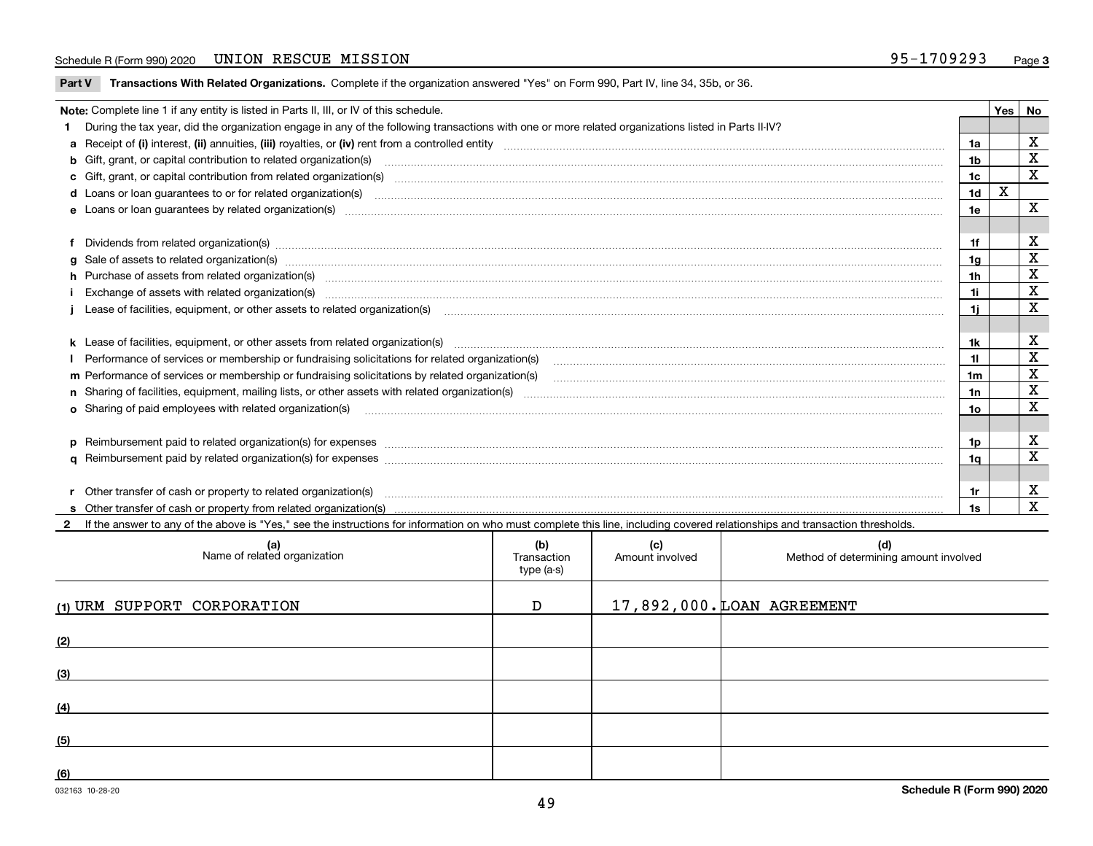### Schedule R (Form 990) 2020 Page UNION RESCUE MISSION 95-1709293

**Part V** T**ransactions With Related Organizations.** Complete if the organization answered "Yes" on Form 990, Part IV, line 34, 35b, or 36.

| Note: Complete line 1 if any entity is listed in Parts II, III, or IV of this schedule. |                                                                                                                                                                                                                                |                |   |                         |  |  |
|-----------------------------------------------------------------------------------------|--------------------------------------------------------------------------------------------------------------------------------------------------------------------------------------------------------------------------------|----------------|---|-------------------------|--|--|
|                                                                                         | 1 During the tax year, did the organization engage in any of the following transactions with one or more related organizations listed in Parts II-IV?                                                                          |                |   |                         |  |  |
|                                                                                         |                                                                                                                                                                                                                                | 1a             |   | X                       |  |  |
|                                                                                         | b Gift, grant, or capital contribution to related organization(s) material contracts and contribution to related organization(s)                                                                                               | 1b             |   | X                       |  |  |
|                                                                                         | c Gift, grant, or capital contribution from related organization(s) manufaction contribution from related organization(s) manufaction contribution from related organization(s) manufaction contribution from related organiza | 1c             |   | $\overline{\mathbf{x}}$ |  |  |
|                                                                                         | <b>d</b> Loans or loan quarantees to or for related organization(s)                                                                                                                                                            | 1 <sub>d</sub> | X |                         |  |  |
|                                                                                         |                                                                                                                                                                                                                                | 1e             |   | X                       |  |  |
|                                                                                         |                                                                                                                                                                                                                                |                |   |                         |  |  |
|                                                                                         | f Dividends from related organization(s) machinesis and content to the control of the control of the control of the content of the control of the content of the content of the content of the content of the content of the c | 1f             |   | х                       |  |  |
|                                                                                         | g Sale of assets to related organization(s) www.assetsion.com/www.assetsion.com/www.assetsion.com/www.assetsion.com/www.assetsion.com/www.assetsion.com/www.assetsion.com/www.assetsion.com/www.assetsion.com/www.assetsion.co | 1a             |   | х                       |  |  |
|                                                                                         | h Purchase of assets from related organization(s) manufactured and content and content and content and content and content and content and content and content and content and content and content and content and content and | 1 <sub>h</sub> |   | X                       |  |  |
|                                                                                         | Exchange of assets with related organization(s) www.wallen.com/www.wallen.com/www.wallen.com/www.wallen.com/www.wallen.com/www.wallen.com/www.wallen.com/www.wallen.com/www.wallen.com/www.wallen.com/www.wallen.com/www.walle | 1i.            |   | X                       |  |  |
|                                                                                         | Lease of facilities, equipment, or other assets to related organization(s) contraction contraction control and the set of facilities, equipment, or other assets to related organization(s) contraction control and the set of | 1i.            |   | X                       |  |  |
|                                                                                         |                                                                                                                                                                                                                                |                |   |                         |  |  |
|                                                                                         |                                                                                                                                                                                                                                | 1k             |   | X                       |  |  |
|                                                                                         |                                                                                                                                                                                                                                | 11             |   | X                       |  |  |
|                                                                                         | m Performance of services or membership or fundraising solicitations by related organization(s)                                                                                                                                | 1m             |   | $\mathbf x$             |  |  |
|                                                                                         |                                                                                                                                                                                                                                | 1n             |   | X                       |  |  |
|                                                                                         | o Sharing of paid employees with related organization(s)                                                                                                                                                                       | 10             |   | X                       |  |  |
|                                                                                         |                                                                                                                                                                                                                                |                |   |                         |  |  |
|                                                                                         | p Reimbursement paid to related organization(s) for expenses [1111] and the content of the content of the content of the content of the content of the content of the content of the content of the content of the content of  | 1p.            |   | X                       |  |  |
|                                                                                         |                                                                                                                                                                                                                                | 1a             |   | X                       |  |  |
|                                                                                         |                                                                                                                                                                                                                                |                |   |                         |  |  |
|                                                                                         | r Other transfer of cash or property to related organization(s)                                                                                                                                                                | 1r             |   | X                       |  |  |
|                                                                                         |                                                                                                                                                                                                                                | 1s             |   | X                       |  |  |
|                                                                                         | 2 If the answer to any of the above is "Yes," see the instructions for information on who must complete this line, including covered relationships and transaction thresholds.                                                 |                |   |                         |  |  |

| (a)<br>Name of related organization | (b)<br>Transaction<br>type (a-s) | (c)<br>Amount involved | (d)<br>Method of determining amount involved |
|-------------------------------------|----------------------------------|------------------------|----------------------------------------------|
| (1) URM SUPPORT CORPORATION         | D                                |                        | 17,892,000. LOAN AGREEMENT                   |
| (2)                                 |                                  |                        |                                              |
| (3)                                 |                                  |                        |                                              |
| (4)                                 |                                  |                        |                                              |
| (5)                                 |                                  |                        |                                              |
| (6)                                 |                                  |                        |                                              |

 $\overline{\phantom{a}}$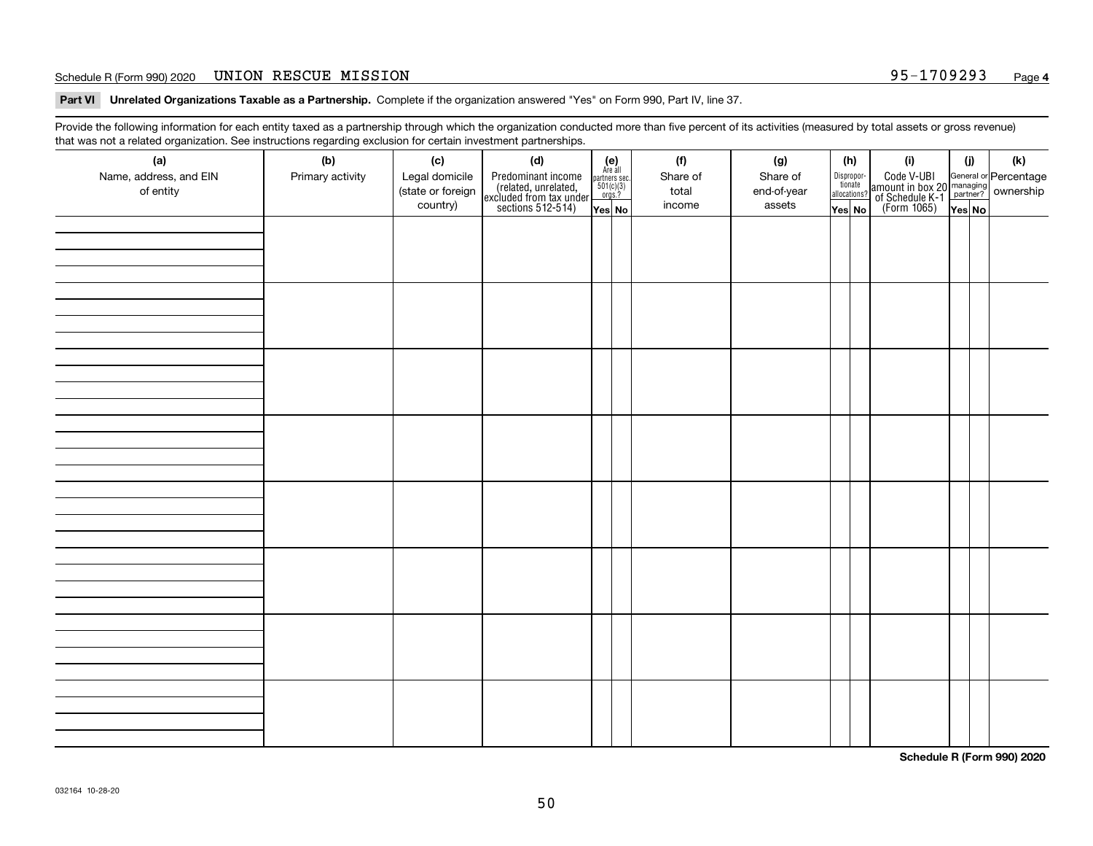### Schedule R (Form 990) 2020 Page UNION RESCUE MISSION 95-1709293

**Part VI Unrelated Organizations Taxable as a Partnership. Complete if the organization answered "Yes" on Form 990, Part IV, line 37.** 

Provide the following information for each entity taxed as a partnership through which the organization conducted more than five percent of its activities (measured by total assets or gross revenue) that was not a related organization. See instructions regarding exclusion for certain investment partnerships.

| - - - - -<br>(a)<br>Name, address, and EIN<br>of entity | ----- <del>-</del> -------<br>(b)<br>Primary activity | (c)<br>Legal domicile<br>(state or foreign<br>country) | (d)<br>Predominant income<br>(related, unrelated,<br>excluded from tax under<br>sections 512-514) | (e)<br>Are all<br>partners sec.<br>$501(c)(3)$<br>orgs.?<br>Yes No | (f)<br>Share of<br>total<br>income | (g)<br>Share of<br>end-of-year<br>assets | (h)<br>Dispropor-<br>tionate<br>allocations?<br>Yes No | (i)<br>Code V-UBI<br>amount in box 20 managing<br>of Schedule K-1<br>(Form 1065)<br>$\overline{Yes}$ No | (i)<br>Yes No | (k) |
|---------------------------------------------------------|-------------------------------------------------------|--------------------------------------------------------|---------------------------------------------------------------------------------------------------|--------------------------------------------------------------------|------------------------------------|------------------------------------------|--------------------------------------------------------|---------------------------------------------------------------------------------------------------------|---------------|-----|
|                                                         |                                                       |                                                        |                                                                                                   |                                                                    |                                    |                                          |                                                        |                                                                                                         |               |     |
|                                                         |                                                       |                                                        |                                                                                                   |                                                                    |                                    |                                          |                                                        |                                                                                                         |               |     |
|                                                         |                                                       |                                                        |                                                                                                   |                                                                    |                                    |                                          |                                                        |                                                                                                         |               |     |
|                                                         |                                                       |                                                        |                                                                                                   |                                                                    |                                    |                                          |                                                        |                                                                                                         |               |     |
|                                                         |                                                       |                                                        |                                                                                                   |                                                                    |                                    |                                          |                                                        |                                                                                                         |               |     |
|                                                         |                                                       |                                                        |                                                                                                   |                                                                    |                                    |                                          |                                                        |                                                                                                         |               |     |
|                                                         |                                                       |                                                        |                                                                                                   |                                                                    |                                    |                                          |                                                        |                                                                                                         |               |     |
|                                                         |                                                       |                                                        |                                                                                                   |                                                                    |                                    |                                          |                                                        |                                                                                                         |               |     |

**Schedule R (Form 990) 2020**